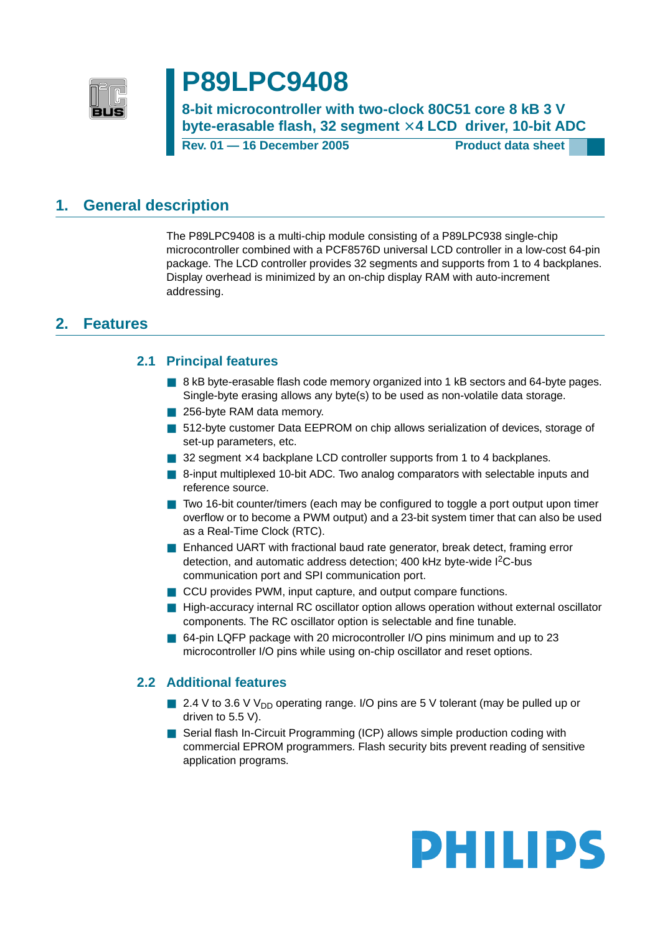

# **P89LPC9408**

**8-bit microcontroller with two-clock 80C51 core 8 kB 3 V** byte-erasable flash, 32 segment  $\times$  4 LCD driver, 10-bit ADC

**Rev. 01 — 16 December 2005 Product data sheet**

## <span id="page-0-0"></span>**1. General description**

The P89LPC9408 is a multi-chip module consisting of a P89LPC938 single-chip microcontroller combined with a PCF8576D universal LCD controller in a low-cost 64-pin package. The LCD controller provides 32 segments and supports from 1 to 4 backplanes. Display overhead is minimized by an on-chip display RAM with auto-increment addressing.

## <span id="page-0-2"></span><span id="page-0-1"></span>**2. Features**

### **2.1 Principal features**

- 8 kB byte-erasable flash code memory organized into 1 kB sectors and 64-byte pages. Single-byte erasing allows any byte(s) to be used as non-volatile data storage.
- 256-byte RAM data memory.
- 512-byte customer Data EEPROM on chip allows serialization of devices, storage of set-up parameters, etc.
- $\Box$  32 segment  $\times$  4 backplane LCD controller supports from 1 to 4 backplanes.
- 8-input multiplexed 10-bit ADC. Two analog comparators with selectable inputs and reference source.
- Two 16-bit counter/timers (each may be configured to toggle a port output upon timer overflow or to become a PWM output) and a 23-bit system timer that can also be used as a Real-Time Clock (RTC).
- Enhanced UART with fractional baud rate generator, break detect, framing error detection, and automatic address detection; 400 kHz byte-wide I<sup>2</sup>C-bus communication port and SPI communication port.
- CCU provides PWM, input capture, and output compare functions.
- High-accuracy internal RC oscillator option allows operation without external oscillator components. The RC oscillator option is selectable and fine tunable.
- 64-pin LQFP package with 20 microcontroller I/O pins minimum and up to 23 microcontroller I/O pins while using on-chip oscillator and reset options.

### <span id="page-0-3"></span>**2.2 Additional features**

- 2.4 V to 3.6 V V<sub>DD</sub> operating range. I/O pins are 5 V tolerant (may be pulled up or driven to 5.5 V).
- Serial flash In-Circuit Programming (ICP) allows simple production coding with commercial EPROM programmers. Flash security bits prevent reading of sensitive application programs.

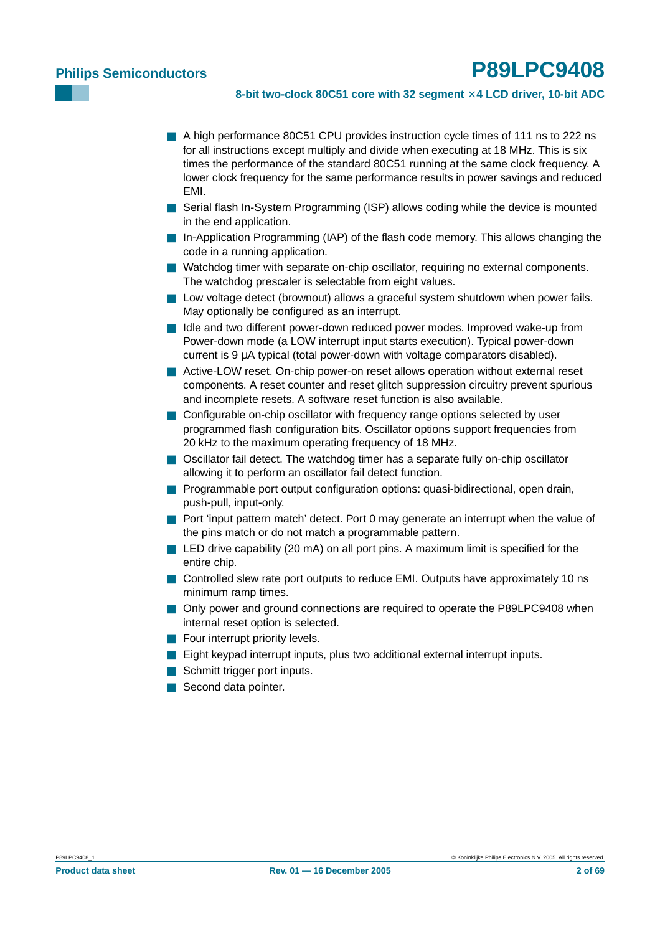#### **8-bit two-clock 80C51 core with 32 segment** × **4 LCD driver, 10-bit ADC**

- A high performance 80C51 CPU provides instruction cycle times of 111 ns to 222 ns for all instructions except multiply and divide when executing at 18 MHz. This is six times the performance of the standard 80C51 running at the same clock frequency. A lower clock frequency for the same performance results in power savings and reduced EMI.
- Serial flash In-System Programming (ISP) allows coding while the device is mounted in the end application.
- In-Application Programming (IAP) of the flash code memory. This allows changing the code in a running application.
- Watchdog timer with separate on-chip oscillator, requiring no external components. The watchdog prescaler is selectable from eight values.
- Low voltage detect (brownout) allows a graceful system shutdown when power fails. May optionally be configured as an interrupt.
- Idle and two different power-down reduced power modes. Improved wake-up from Power-down mode (a LOW interrupt input starts execution). Typical power-down current is 9 µA typical (total power-down with voltage comparators disabled).
- Active-LOW reset. On-chip power-on reset allows operation without external reset components. A reset counter and reset glitch suppression circuitry prevent spurious and incomplete resets. A software reset function is also available.
- Configurable on-chip oscillator with frequency range options selected by user programmed flash configuration bits. Oscillator options support frequencies from 20 kHz to the maximum operating frequency of 18 MHz.
- Oscillator fail detect. The watchdog timer has a separate fully on-chip oscillator allowing it to perform an oscillator fail detect function.
- Programmable port output configuration options: quasi-bidirectional, open drain, push-pull, input-only.
- Port 'input pattern match' detect. Port 0 may generate an interrupt when the value of the pins match or do not match a programmable pattern.
- LED drive capability (20 mA) on all port pins. A maximum limit is specified for the entire chip.
- Controlled slew rate port outputs to reduce EMI. Outputs have approximately 10 ns minimum ramp times.
- Only power and ground connections are required to operate the P89LPC9408 when internal reset option is selected.
- Four interrupt priority levels.
- Eight keypad interrupt inputs, plus two additional external interrupt inputs.
- Schmitt trigger port inputs.
- Second data pointer.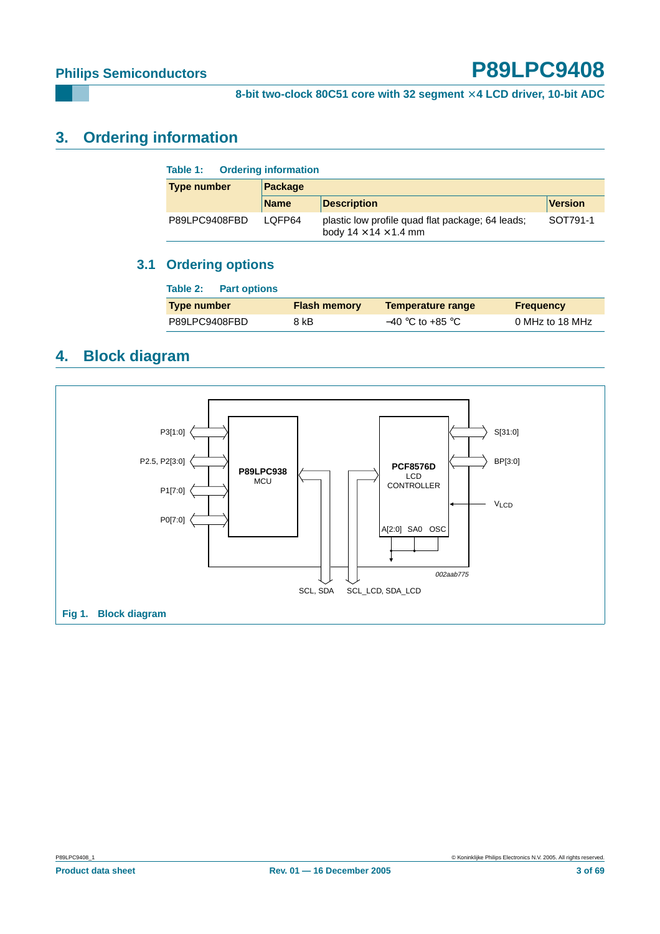## <span id="page-2-0"></span>**3. Ordering information**

| <b>Ordering information</b><br>Table 1: |             |                                                                                       |                |  |  |  |  |  |  |
|-----------------------------------------|-------------|---------------------------------------------------------------------------------------|----------------|--|--|--|--|--|--|
| <b>Type number</b>                      | Package     |                                                                                       |                |  |  |  |  |  |  |
|                                         | <b>Name</b> | <b>Description</b>                                                                    | <b>Version</b> |  |  |  |  |  |  |
| P89LPC9408FBD                           | LOFP64      | plastic low profile quad flat package; 64 leads;<br>body $14 \times 14 \times 1.4$ mm | SOT791-1       |  |  |  |  |  |  |

## <span id="page-2-1"></span>**3.1 Ordering options**

| Table 2:<br><b>Part options</b> |                     |                          |                  |
|---------------------------------|---------------------|--------------------------|------------------|
| <b>Type number</b>              | <b>Flash memory</b> | <b>Temperature range</b> | <b>Frequency</b> |
| P89LPC9408FBD                   | 8 kB                | $-40$ °C to +85 °C       | 0 MHz to 18 MHz  |

## <span id="page-2-2"></span>**4. Block diagram**

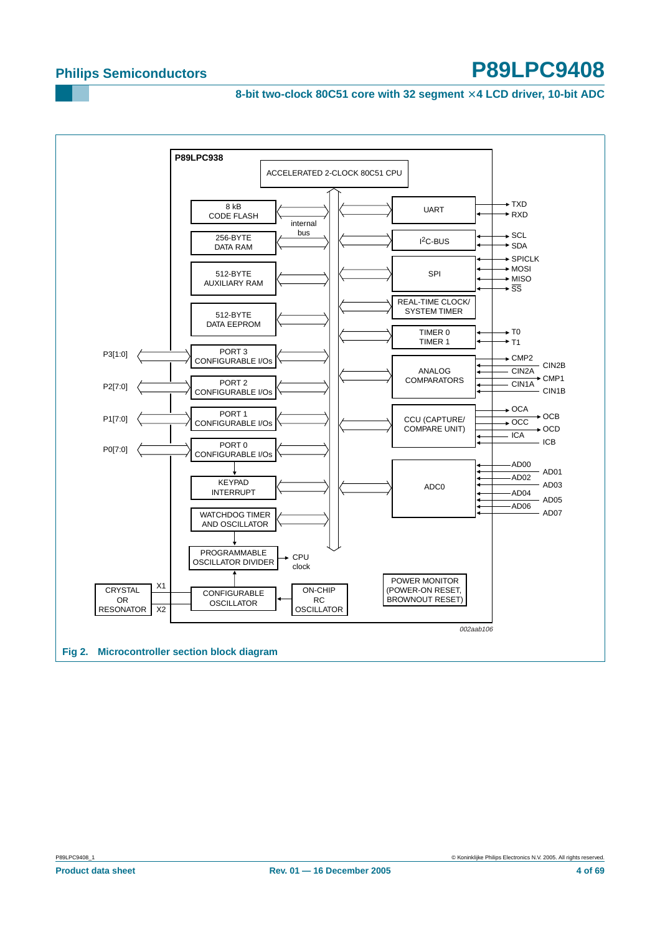**8-bit two-clock 80C51 core with 32 segment** × **4 LCD driver, 10-bit ADC**

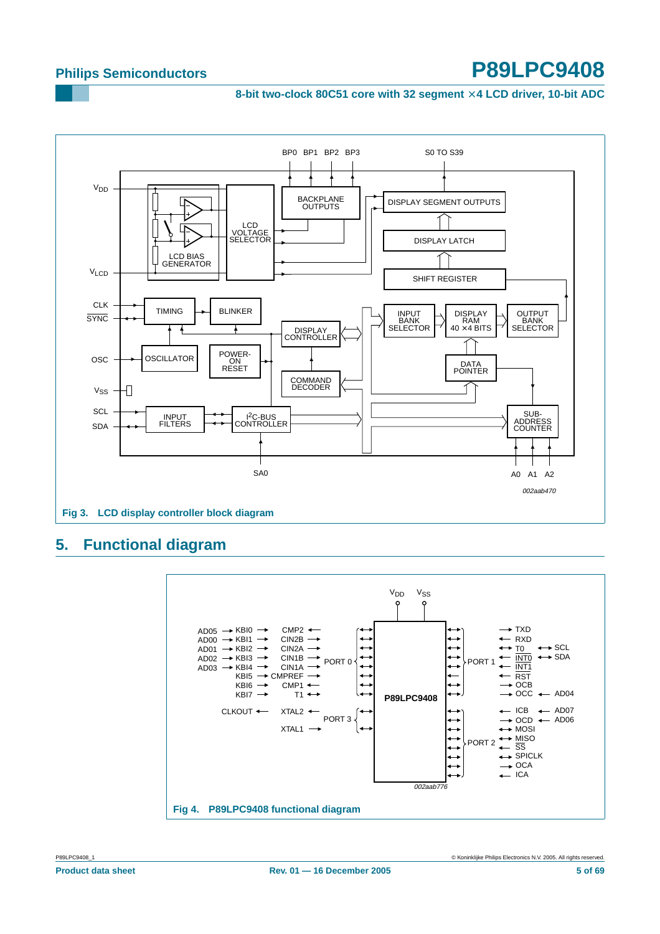**8-bit two-clock 80C51 core with 32 segment** × **4 LCD driver, 10-bit ADC**



## <span id="page-4-0"></span>**5. Functional diagram**

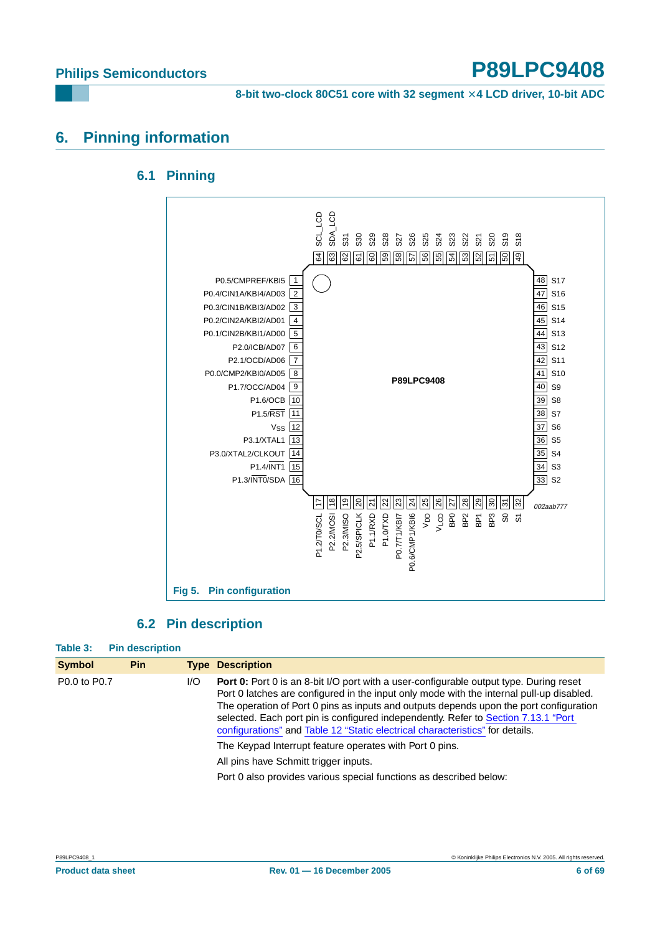**8-bit two-clock 80C51 core with 32 segment** × **4 LCD driver, 10-bit ADC**

## <span id="page-5-1"></span><span id="page-5-0"></span>**6. Pinning information**

## **6.1 Pinning**



#### **6.2 Pin description**

<span id="page-5-2"></span>

| Table 3:      | <b>Pin description</b> |     |                                                                                                                                                                                                                                                                                                                                                                                                                                                            |
|---------------|------------------------|-----|------------------------------------------------------------------------------------------------------------------------------------------------------------------------------------------------------------------------------------------------------------------------------------------------------------------------------------------------------------------------------------------------------------------------------------------------------------|
| <b>Symbol</b> | Pin                    |     | <b>Type Description</b>                                                                                                                                                                                                                                                                                                                                                                                                                                    |
| P0.0 to P0.7  |                        | I/O | <b>Port 0:</b> Port 0 is an 8-bit I/O port with a user-configurable output type. During reset<br>Port 0 latches are configured in the input only mode with the internal pull-up disabled.<br>The operation of Port 0 pins as inputs and outputs depends upon the port configuration<br>selected. Each port pin is configured independently. Refer to Section 7.13.1 "Port<br>configurations" and Table 12 "Static electrical characteristics" for details. |
|               |                        |     | The Keypad Interrupt feature operates with Port 0 pins.                                                                                                                                                                                                                                                                                                                                                                                                    |
|               |                        |     | All pins have Schmitt trigger inputs.                                                                                                                                                                                                                                                                                                                                                                                                                      |
|               |                        |     | Port 0 also provides various special functions as described below:                                                                                                                                                                                                                                                                                                                                                                                         |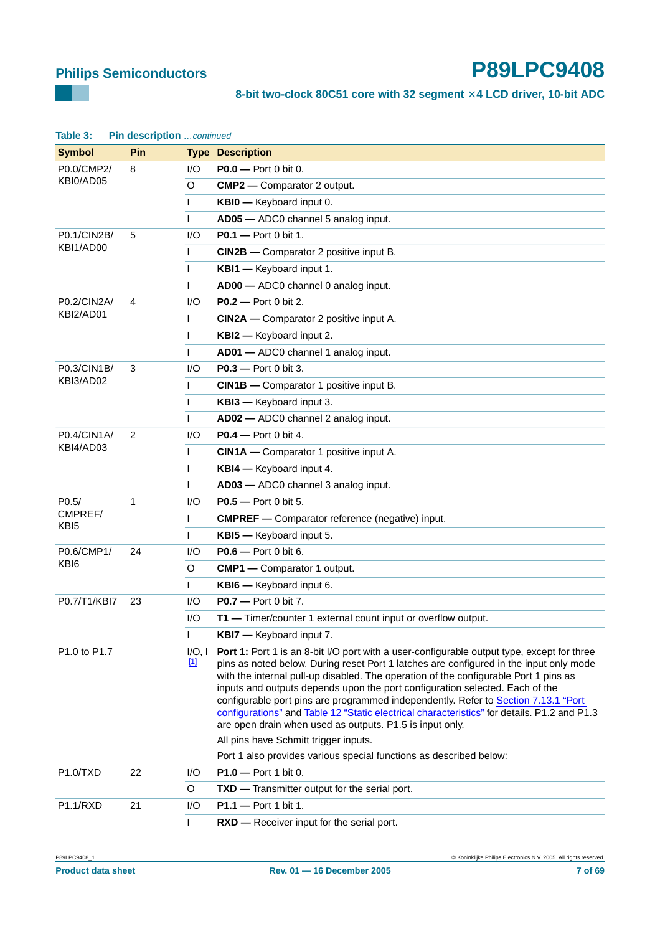**8-bit two-clock 80C51 core with 32 segment** × **4 LCD driver, 10-bit ADC**

| Table 3:                    | Pin description continued |                       |                                                                                                                                                                                                                                                                                                                                                                                                                                                                                                                                                                                                               |
|-----------------------------|---------------------------|-----------------------|---------------------------------------------------------------------------------------------------------------------------------------------------------------------------------------------------------------------------------------------------------------------------------------------------------------------------------------------------------------------------------------------------------------------------------------------------------------------------------------------------------------------------------------------------------------------------------------------------------------|
| <b>Symbol</b>               | Pin                       |                       | <b>Type Description</b>                                                                                                                                                                                                                                                                                                                                                                                                                                                                                                                                                                                       |
| P0.0/CMP2/                  | 8                         | 1/O                   | P0.0 - Port 0 bit 0.                                                                                                                                                                                                                                                                                                                                                                                                                                                                                                                                                                                          |
| KBI0/AD05                   |                           | O                     | <b>CMP2</b> — Comparator 2 output.                                                                                                                                                                                                                                                                                                                                                                                                                                                                                                                                                                            |
|                             |                           | $\mathsf{I}$          | KBI0 - Keyboard input 0.                                                                                                                                                                                                                                                                                                                                                                                                                                                                                                                                                                                      |
|                             |                           | $\mathbf{I}$          | AD05 - ADC0 channel 5 analog input.                                                                                                                                                                                                                                                                                                                                                                                                                                                                                                                                                                           |
| P0.1/CIN2B/                 | 5                         | I/O                   | <b>P0.1</b> - Port 0 bit 1.                                                                                                                                                                                                                                                                                                                                                                                                                                                                                                                                                                                   |
| KBI1/AD00                   |                           | $\mathbf{I}$          | <b>CIN2B</b> — Comparator 2 positive input B.                                                                                                                                                                                                                                                                                                                                                                                                                                                                                                                                                                 |
|                             |                           | $\mathsf{I}$          | KBI1 - Keyboard input 1.                                                                                                                                                                                                                                                                                                                                                                                                                                                                                                                                                                                      |
|                             |                           | $\mathbf{I}$          | AD00 - ADC0 channel 0 analog input.                                                                                                                                                                                                                                                                                                                                                                                                                                                                                                                                                                           |
| P0.2/CIN2A/                 | 4                         | I/O                   | <b>P0.2</b> - Port 0 bit 2.                                                                                                                                                                                                                                                                                                                                                                                                                                                                                                                                                                                   |
| KBI2/AD01                   |                           | $\mathsf{I}$          | <b>CIN2A</b> — Comparator 2 positive input A.                                                                                                                                                                                                                                                                                                                                                                                                                                                                                                                                                                 |
|                             |                           | $\mathsf{I}$          | KBI2 - Keyboard input 2.                                                                                                                                                                                                                                                                                                                                                                                                                                                                                                                                                                                      |
|                             |                           | $\mathbf{I}$          | AD01 - ADC0 channel 1 analog input.                                                                                                                                                                                                                                                                                                                                                                                                                                                                                                                                                                           |
| P0.3/CIN1B/                 | 3                         | I/O                   | <b>P0.3</b> - Port 0 bit 3.                                                                                                                                                                                                                                                                                                                                                                                                                                                                                                                                                                                   |
| KBI3/AD02                   |                           | $\mathsf{I}$          | <b>CIN1B</b> — Comparator 1 positive input B.                                                                                                                                                                                                                                                                                                                                                                                                                                                                                                                                                                 |
|                             |                           | $\mathsf{I}$          | KBI3 - Keyboard input 3.                                                                                                                                                                                                                                                                                                                                                                                                                                                                                                                                                                                      |
|                             |                           | $\mathbf{I}$          | AD02 - ADC0 channel 2 analog input.                                                                                                                                                                                                                                                                                                                                                                                                                                                                                                                                                                           |
| P0.4/CIN1A/                 | 2                         | I/O                   | <b>P0.4</b> - Port 0 bit 4.                                                                                                                                                                                                                                                                                                                                                                                                                                                                                                                                                                                   |
| KBI4/AD03                   |                           | $\mathsf{I}$          | <b>CIN1A</b> — Comparator 1 positive input A.                                                                                                                                                                                                                                                                                                                                                                                                                                                                                                                                                                 |
|                             |                           | $\mathsf{I}$          | KBI4 - Keyboard input 4.                                                                                                                                                                                                                                                                                                                                                                                                                                                                                                                                                                                      |
|                             |                           | $\mathbf{I}$          | AD03 - ADC0 channel 3 analog input.                                                                                                                                                                                                                                                                                                                                                                                                                                                                                                                                                                           |
| P <sub>0.5</sub>            | 1                         | I/O                   | <b>P0.5</b> - Port 0 bit 5.                                                                                                                                                                                                                                                                                                                                                                                                                                                                                                                                                                                   |
| CMPREF/<br>KB <sub>I5</sub> |                           | $\mathsf{I}$          | <b>CMPREF</b> - Comparator reference (negative) input.                                                                                                                                                                                                                                                                                                                                                                                                                                                                                                                                                        |
|                             |                           | $\mathbf{I}$          | KBI5 - Keyboard input 5.                                                                                                                                                                                                                                                                                                                                                                                                                                                                                                                                                                                      |
| P0.6/CMP1/                  | 24                        | I/O                   | <b>P0.6</b> - Port 0 bit 6.                                                                                                                                                                                                                                                                                                                                                                                                                                                                                                                                                                                   |
| KB <sub>I6</sub>            |                           | O                     | <b>CMP1</b> - Comparator 1 output.                                                                                                                                                                                                                                                                                                                                                                                                                                                                                                                                                                            |
|                             |                           | $\mathbf{I}$          | KBI6 - Keyboard input 6.                                                                                                                                                                                                                                                                                                                                                                                                                                                                                                                                                                                      |
| P0.7/T1/KBI7                | 23                        | I/O                   | <b>P0.7</b> - Port 0 bit 7.                                                                                                                                                                                                                                                                                                                                                                                                                                                                                                                                                                                   |
|                             |                           | I/O                   | T1 - Timer/counter 1 external count input or overflow output.                                                                                                                                                                                                                                                                                                                                                                                                                                                                                                                                                 |
|                             |                           | $\mathbf{I}$          | <b>KBI7</b> - Keyboard input 7.                                                                                                                                                                                                                                                                                                                                                                                                                                                                                                                                                                               |
| P1.0 to P1.7                |                           | I/O, I<br>$\boxed{1}$ | Port 1: Port 1 is an 8-bit I/O port with a user-configurable output type, except for three<br>pins as noted below. During reset Port 1 latches are configured in the input only mode<br>with the internal pull-up disabled. The operation of the configurable Port 1 pins as<br>inputs and outputs depends upon the port configuration selected. Each of the<br>configurable port pins are programmed independently. Refer to Section 7.13.1 "Port<br>configurations" and Table 12 "Static electrical characteristics" for details. P1.2 and P1.3<br>are open drain when used as outputs. P1.5 is input only. |
|                             |                           |                       | All pins have Schmitt trigger inputs.                                                                                                                                                                                                                                                                                                                                                                                                                                                                                                                                                                         |
|                             |                           |                       | Port 1 also provides various special functions as described below:                                                                                                                                                                                                                                                                                                                                                                                                                                                                                                                                            |
| <b>P1.0/TXD</b>             | 22                        | I/O                   | $P1.0 - Port 1 bit 0.$                                                                                                                                                                                                                                                                                                                                                                                                                                                                                                                                                                                        |
|                             |                           | O                     | <b>TXD</b> — Transmitter output for the serial port.                                                                                                                                                                                                                                                                                                                                                                                                                                                                                                                                                          |
| <b>P1.1/RXD</b>             | 21                        | I/O                   | $P1.1 - Port 1 bit 1.$                                                                                                                                                                                                                                                                                                                                                                                                                                                                                                                                                                                        |
|                             |                           | $\mathbf{I}$          | RXD - Receiver input for the serial port.                                                                                                                                                                                                                                                                                                                                                                                                                                                                                                                                                                     |

P89LPC9408\_1 © Koninklijke Philips Electronics N.V. 2005. All rights reserved.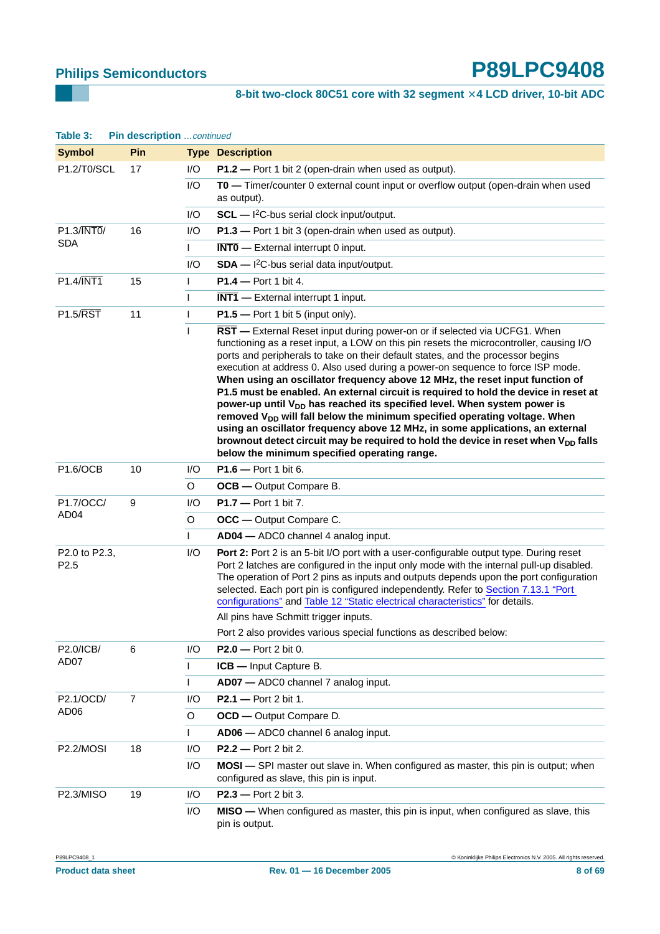## **8-bit two-clock 80C51 core with 32 segment** × **4 LCD driver, 10-bit ADC**

| Table 3:                          | Pin description continued |              |                                                                                                                                                                                                                                                                                                                                                                                                                                                                                                                                                                                                                                                                                                                                                                                                                                                                                                                                        |
|-----------------------------------|---------------------------|--------------|----------------------------------------------------------------------------------------------------------------------------------------------------------------------------------------------------------------------------------------------------------------------------------------------------------------------------------------------------------------------------------------------------------------------------------------------------------------------------------------------------------------------------------------------------------------------------------------------------------------------------------------------------------------------------------------------------------------------------------------------------------------------------------------------------------------------------------------------------------------------------------------------------------------------------------------|
| <b>Symbol</b>                     | Pin                       |              | <b>Type Description</b>                                                                                                                                                                                                                                                                                                                                                                                                                                                                                                                                                                                                                                                                                                                                                                                                                                                                                                                |
| P1.2/T0/SCL                       | 17                        | 1/O          | P1.2 - Port 1 bit 2 (open-drain when used as output).                                                                                                                                                                                                                                                                                                                                                                                                                                                                                                                                                                                                                                                                                                                                                                                                                                                                                  |
|                                   |                           | 1/O          | T0 - Timer/counter 0 external count input or overflow output (open-drain when used<br>as output).                                                                                                                                                                                                                                                                                                                                                                                                                                                                                                                                                                                                                                                                                                                                                                                                                                      |
|                                   |                           | I/O          | $SCL$ - $1^2C$ -bus serial clock input/output.                                                                                                                                                                                                                                                                                                                                                                                                                                                                                                                                                                                                                                                                                                                                                                                                                                                                                         |
| $P1.3/\overline{INT0}/$           | 16                        | I/O          | P1.3 - Port 1 bit 3 (open-drain when used as output).                                                                                                                                                                                                                                                                                                                                                                                                                                                                                                                                                                                                                                                                                                                                                                                                                                                                                  |
| <b>SDA</b>                        |                           | $\mathsf{L}$ | $\overline{\text{INT0}}$ - External interrupt 0 input.                                                                                                                                                                                                                                                                                                                                                                                                                                                                                                                                                                                                                                                                                                                                                                                                                                                                                 |
|                                   |                           | I/O          | $SDA - l^2C$ -bus serial data input/output.                                                                                                                                                                                                                                                                                                                                                                                                                                                                                                                                                                                                                                                                                                                                                                                                                                                                                            |
| $P1.4/\overline{INT1}$            | 15                        | $\mathsf{I}$ | $P1.4 - Port 1 bit 4.$                                                                                                                                                                                                                                                                                                                                                                                                                                                                                                                                                                                                                                                                                                                                                                                                                                                                                                                 |
|                                   |                           | $\mathbf{I}$ | $\overline{\text{INT1}}$ - External interrupt 1 input.                                                                                                                                                                                                                                                                                                                                                                                                                                                                                                                                                                                                                                                                                                                                                                                                                                                                                 |
| <b>P1.5/RST</b>                   | 11                        | $\mathbf{I}$ | $P1.5$ - Port 1 bit 5 (input only).                                                                                                                                                                                                                                                                                                                                                                                                                                                                                                                                                                                                                                                                                                                                                                                                                                                                                                    |
|                                   |                           | $\mathbf{I}$ | RST - External Reset input during power-on or if selected via UCFG1. When<br>functioning as a reset input, a LOW on this pin resets the microcontroller, causing I/O<br>ports and peripherals to take on their default states, and the processor begins<br>execution at address 0. Also used during a power-on sequence to force ISP mode.<br>When using an oscillator frequency above 12 MHz, the reset input function of<br>P1.5 must be enabled. An external circuit is required to hold the device in reset at<br>power-up until V <sub>DD</sub> has reached its specified level. When system power is<br>removed V <sub>DD</sub> will fall below the minimum specified operating voltage. When<br>using an oscillator frequency above 12 MHz, in some applications, an external<br>brownout detect circuit may be required to hold the device in reset when V <sub>DD</sub> falls<br>below the minimum specified operating range. |
| P1.6/OCB                          | 10                        | I/O          | P1.6 - Port 1 bit 6.                                                                                                                                                                                                                                                                                                                                                                                                                                                                                                                                                                                                                                                                                                                                                                                                                                                                                                                   |
|                                   |                           | O            | <b>OCB</b> — Output Compare B.                                                                                                                                                                                                                                                                                                                                                                                                                                                                                                                                                                                                                                                                                                                                                                                                                                                                                                         |
| P1.7/OCC/                         | 9                         | I/O          | $P1.7 - Port 1 bit 7.$                                                                                                                                                                                                                                                                                                                                                                                                                                                                                                                                                                                                                                                                                                                                                                                                                                                                                                                 |
| AD <sub>04</sub>                  |                           | O            | <b>OCC</b> — Output Compare C.                                                                                                                                                                                                                                                                                                                                                                                                                                                                                                                                                                                                                                                                                                                                                                                                                                                                                                         |
|                                   |                           | $\mathsf{I}$ | AD04 - ADC0 channel 4 analog input.                                                                                                                                                                                                                                                                                                                                                                                                                                                                                                                                                                                                                                                                                                                                                                                                                                                                                                    |
| P2.0 to P2.3,<br>P <sub>2.5</sub> |                           | I/O          | Port 2: Port 2 is an 5-bit I/O port with a user-configurable output type. During reset<br>Port 2 latches are configured in the input only mode with the internal pull-up disabled.<br>The operation of Port 2 pins as inputs and outputs depends upon the port configuration<br>selected. Each port pin is configured independently. Refer to Section 7.13.1 "Port<br>configurations" and Table 12 "Static electrical characteristics" for details.                                                                                                                                                                                                                                                                                                                                                                                                                                                                                    |
|                                   |                           |              | All pins have Schmitt trigger inputs.                                                                                                                                                                                                                                                                                                                                                                                                                                                                                                                                                                                                                                                                                                                                                                                                                                                                                                  |
|                                   |                           |              | Port 2 also provides various special functions as described below:                                                                                                                                                                                                                                                                                                                                                                                                                                                                                                                                                                                                                                                                                                                                                                                                                                                                     |
| P2.0/ICB/<br>AD07                 | 6                         | I/O          | $P2.0 - Port 2 bit 0.$                                                                                                                                                                                                                                                                                                                                                                                                                                                                                                                                                                                                                                                                                                                                                                                                                                                                                                                 |
|                                   |                           | $\mathbf{I}$ | ICB - Input Capture B.                                                                                                                                                                                                                                                                                                                                                                                                                                                                                                                                                                                                                                                                                                                                                                                                                                                                                                                 |
|                                   |                           | $\mathsf{I}$ | AD07 - ADC0 channel 7 analog input.                                                                                                                                                                                                                                                                                                                                                                                                                                                                                                                                                                                                                                                                                                                                                                                                                                                                                                    |
| P2.1/OCD/<br>AD <sub>06</sub>     | 7                         | I/O          | <b>P2.1</b> - Port 2 bit 1.                                                                                                                                                                                                                                                                                                                                                                                                                                                                                                                                                                                                                                                                                                                                                                                                                                                                                                            |
|                                   |                           | O            | <b>OCD</b> - Output Compare D.                                                                                                                                                                                                                                                                                                                                                                                                                                                                                                                                                                                                                                                                                                                                                                                                                                                                                                         |
|                                   |                           | $\mathsf{I}$ | AD06 - ADC0 channel 6 analog input.                                                                                                                                                                                                                                                                                                                                                                                                                                                                                                                                                                                                                                                                                                                                                                                                                                                                                                    |
| P2.2/MOSI                         | 18                        | I/O          | <b>P2.2</b> - Port 2 bit 2.                                                                                                                                                                                                                                                                                                                                                                                                                                                                                                                                                                                                                                                                                                                                                                                                                                                                                                            |
|                                   |                           | I/O          | MOSI - SPI master out slave in. When configured as master, this pin is output; when<br>configured as slave, this pin is input.                                                                                                                                                                                                                                                                                                                                                                                                                                                                                                                                                                                                                                                                                                                                                                                                         |
| P2.3/MISO                         | 19                        | I/O          | $P2.3 - Port 2 bit 3.$                                                                                                                                                                                                                                                                                                                                                                                                                                                                                                                                                                                                                                                                                                                                                                                                                                                                                                                 |
|                                   |                           | I/O          | <b>MISO</b> — When configured as master, this pin is input, when configured as slave, this<br>pin is output.                                                                                                                                                                                                                                                                                                                                                                                                                                                                                                                                                                                                                                                                                                                                                                                                                           |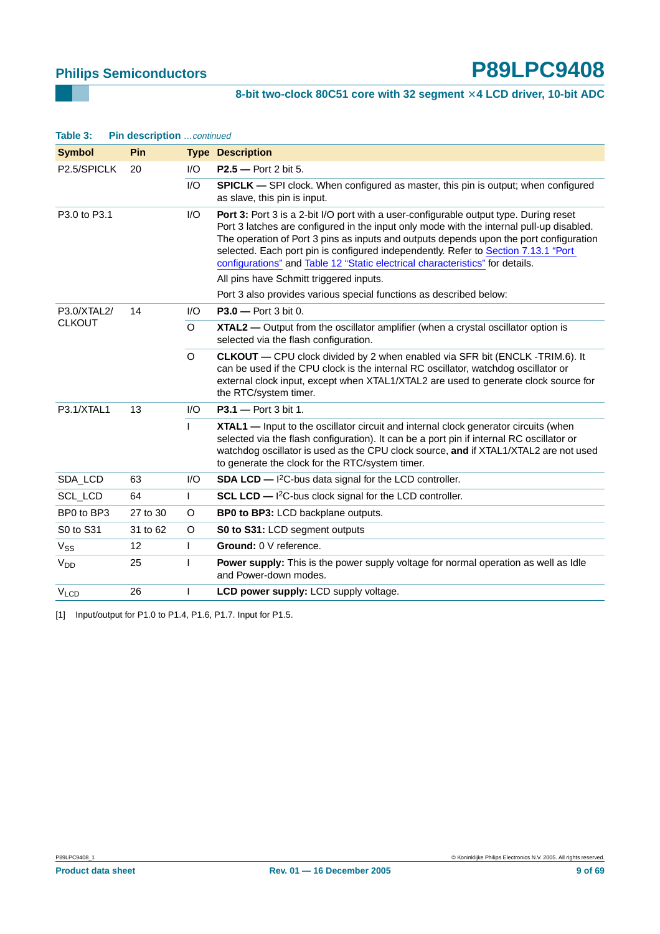## 8-bit two-clock 80C51 core with 32 segment  $\times$  4 LCD driver, 10-bit ADC

| Table 3:         | Pin description continued |              |                                                                                                                                                                                                                                                                                                                                                                                                                                                    |
|------------------|---------------------------|--------------|----------------------------------------------------------------------------------------------------------------------------------------------------------------------------------------------------------------------------------------------------------------------------------------------------------------------------------------------------------------------------------------------------------------------------------------------------|
| <b>Symbol</b>    | Pin                       |              | <b>Type Description</b>                                                                                                                                                                                                                                                                                                                                                                                                                            |
| P2.5/SPICLK      | 20                        | 1/O          | $P2.5 - Port 2 bit 5.$                                                                                                                                                                                                                                                                                                                                                                                                                             |
|                  |                           | 1/O          | <b>SPICLK</b> — SPI clock. When configured as master, this pin is output; when configured<br>as slave, this pin is input.                                                                                                                                                                                                                                                                                                                          |
| P3.0 to P3.1     |                           | I/O          | Port 3: Port 3 is a 2-bit I/O port with a user-configurable output type. During reset<br>Port 3 latches are configured in the input only mode with the internal pull-up disabled.<br>The operation of Port 3 pins as inputs and outputs depends upon the port configuration<br>selected. Each port pin is configured independently. Refer to Section 7.13.1 "Port<br>configurations" and Table 12 "Static electrical characteristics" for details. |
|                  |                           |              | All pins have Schmitt triggered inputs.                                                                                                                                                                                                                                                                                                                                                                                                            |
|                  |                           |              | Port 3 also provides various special functions as described below:                                                                                                                                                                                                                                                                                                                                                                                 |
| P3.0/XTAL2/      | 14                        | 1/O          | $P3.0 - Port 3 bit 0.$                                                                                                                                                                                                                                                                                                                                                                                                                             |
| <b>CLKOUT</b>    |                           | O            | XTAL2 — Output from the oscillator amplifier (when a crystal oscillator option is<br>selected via the flash configuration.                                                                                                                                                                                                                                                                                                                         |
|                  |                           | $\Omega$     | <b>CLKOUT</b> - CPU clock divided by 2 when enabled via SFR bit (ENCLK -TRIM.6). It<br>can be used if the CPU clock is the internal RC oscillator, watchdog oscillator or<br>external clock input, except when XTAL1/XTAL2 are used to generate clock source for<br>the RTC/system timer.                                                                                                                                                          |
| P3.1/XTAL1       | 13                        | 1/O          | <b>P3.1</b> - Port 3 bit 1.                                                                                                                                                                                                                                                                                                                                                                                                                        |
|                  |                           | $\mathsf{I}$ | <b>XTAL1</b> — Input to the oscillator circuit and internal clock generator circuits (when<br>selected via the flash configuration). It can be a port pin if internal RC oscillator or<br>watchdog oscillator is used as the CPU clock source, and if XTAL1/XTAL2 are not used<br>to generate the clock for the RTC/system timer.                                                                                                                  |
| SDA_LCD          | 63                        | 1/O          | <b>SDA LCD</b> $ ^{12}$ C-bus data signal for the LCD controller.                                                                                                                                                                                                                                                                                                                                                                                  |
| SCL_LCD          | 64                        | $\mathsf{L}$ | SCL LCD - I <sup>2</sup> C-bus clock signal for the LCD controller.                                                                                                                                                                                                                                                                                                                                                                                |
| BP0 to BP3       | 27 to 30                  | O            | <b>BP0 to BP3: LCD backplane outputs.</b>                                                                                                                                                                                                                                                                                                                                                                                                          |
| S0 to S31        | 31 to 62                  | O            | S0 to S31: LCD segment outputs                                                                                                                                                                                                                                                                                                                                                                                                                     |
| $V_{SS}$         | 12                        | $\mathsf{L}$ | Ground: 0 V reference.                                                                                                                                                                                                                                                                                                                                                                                                                             |
| V <sub>DD</sub>  | 25                        |              | Power supply: This is the power supply voltage for normal operation as well as Idle<br>and Power-down modes.                                                                                                                                                                                                                                                                                                                                       |
| V <sub>LCD</sub> | 26                        | ı            | LCD power supply: LCD supply voltage.                                                                                                                                                                                                                                                                                                                                                                                                              |

<span id="page-8-0"></span>[1] Input/output for P1.0 to P1.4, P1.6, P1.7. Input for P1.5.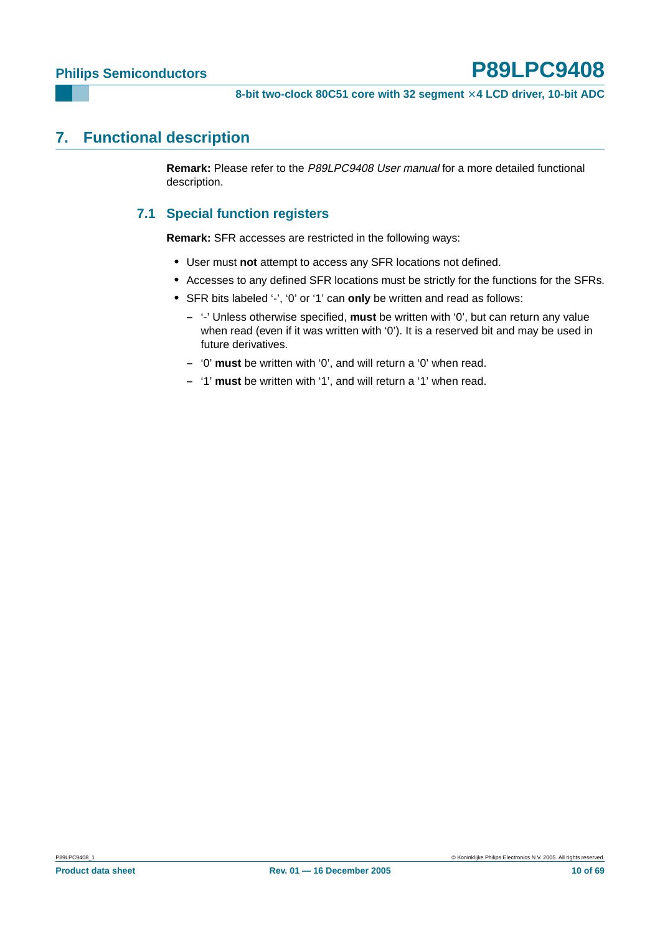## <span id="page-9-1"></span><span id="page-9-0"></span>**7. Functional description**

**Remark:** Please refer to the P89LPC9408 User manual for a more detailed functional description.

## **7.1 Special function registers**

**Remark:** SFR accesses are restricted in the following ways:

- **•** User must **not** attempt to access any SFR locations not defined.
- **•** Accesses to any defined SFR locations must be strictly for the functions for the SFRs.
- **•** SFR bits labeled '-', '0' or '1' can **only** be written and read as follows:
	- **–** '-' Unless otherwise specified, **must** be written with '0', but can return any value when read (even if it was written with '0'). It is a reserved bit and may be used in future derivatives.
	- **–** '0' **must** be written with '0', and will return a '0' when read.
	- **–** '1' **must** be written with '1', and will return a '1' when read.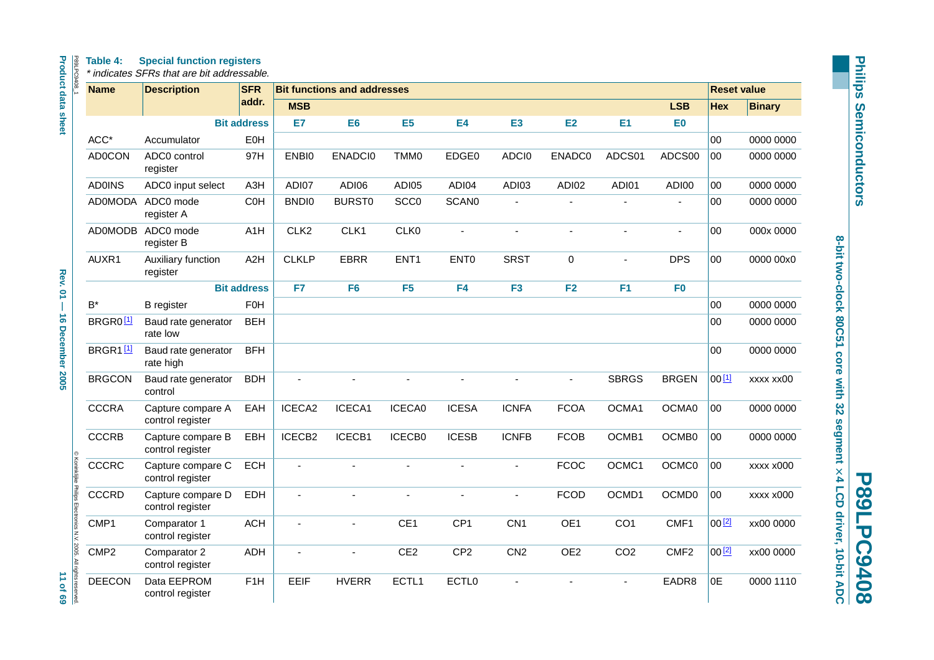| Table 4: |  |  | <b>Special function registers</b> |
|----------|--|--|-----------------------------------|
|----------|--|--|-----------------------------------|

| P89LPC9408                                                       | <b>Name</b>          | <b>Description</b>                    | <b>SFR</b>         |                  | <b>Bit functions and addresses</b> |                  |                   |                 |                 |                 |                   | <b>Reset value</b> |               |
|------------------------------------------------------------------|----------------------|---------------------------------------|--------------------|------------------|------------------------------------|------------------|-------------------|-----------------|-----------------|-----------------|-------------------|--------------------|---------------|
|                                                                  |                      |                                       | addr.              | <b>MSB</b>       |                                    |                  |                   |                 |                 |                 | <b>LSB</b>        | <b>Hex</b>         | <b>Binary</b> |
| <b>Product data sheet</b>                                        |                      |                                       | <b>Bit address</b> | E7               | E <sub>6</sub>                     | E <sub>5</sub>   | <b>E4</b>         | <b>E3</b>       | <b>E2</b>       | E1              | E <sub>0</sub>    |                    |               |
|                                                                  | ACC*                 | Accumulator                           | <b>E0H</b>         |                  |                                    |                  |                   |                 |                 |                 |                   | 00                 | 0000 0000     |
|                                                                  | <b>AD0CON</b>        | ADC0 control<br>register              | 97H                | ENBI0            | ENADCI0                            | TMM0             | EDGE0             | ADCI0           | <b>ENADC0</b>   | ADCS01          | ADCS00            | 00                 | 0000 0000     |
|                                                                  | <b>AD0INS</b>        | ADC0 input select                     | A <sub>3</sub> H   | ADI07            | ADI06                              | ADI05            | ADI04             | ADI03           | ADI02           | ADI01           | ADI00             | 00                 | 0000 0000     |
|                                                                  | <b>AD0MODA</b>       | ADC0 mode<br>register A               | C <sub>OH</sub>    | <b>BNDI0</b>     | <b>BURST0</b>                      | SCC <sub>0</sub> | <b>SCAN0</b>      |                 |                 |                 |                   | 00                 | 0000 0000     |
|                                                                  | <b>AD0MODB</b>       | ADC0 mode<br>register B               | A1H                | CLK <sub>2</sub> | CLK1                               | CLK0             | $\overline{a}$    |                 | ä,              | $\blacksquare$  | ÷,                | 00                 | 000x 0000     |
|                                                                  | AUXR1                | Auxiliary function<br>register        | A <sub>2</sub> H   | <b>CLKLP</b>     | <b>EBRR</b>                        | ENT <sub>1</sub> | ENT <sub>0</sub>  | <b>SRST</b>     | 0               |                 | <b>DPS</b>        | 00                 | 0000 00x0     |
| <b>Rev. 01-</b>                                                  |                      |                                       | <b>Bit address</b> | F7               | F <sub>6</sub>                     | F <sub>5</sub>   | F <sub>4</sub>    | F <sub>3</sub>  | F2              | F <sub>1</sub>  | F <sub>0</sub>    |                    |               |
| <b>16 December 2005</b>                                          | $\mathsf{B}^{\star}$ | <b>B</b> register                     | <b>F0H</b>         |                  |                                    |                  |                   |                 |                 |                 |                   | 00                 | 0000 0000     |
|                                                                  | BRGR0 <sup>[1]</sup> | Baud rate generator<br>rate low       | <b>BEH</b>         |                  |                                    |                  |                   |                 |                 |                 |                   | 00                 | 0000 0000     |
|                                                                  | BRGR1[1]             | Baud rate generator<br>rate high      | <b>BFH</b>         |                  |                                    |                  |                   |                 |                 |                 |                   | 00                 | 0000 0000     |
|                                                                  | <b>BRGCON</b>        | Baud rate generator<br>control        | <b>BDH</b>         | ÷,               | $\overline{a}$                     | ä,               | Ĭ.                |                 | $\blacksquare$  | <b>SBRGS</b>    | <b>BRGEN</b>      | 00[1]              | xxxx xx00     |
|                                                                  | <b>CCCRA</b>         | Capture compare A<br>control register | EAH                | ICECA2           | ICECA1                             | ICECA0           | <b>ICESA</b>      | <b>ICNFA</b>    | <b>FCOA</b>     | OCMA1           | OCMA0             | 00                 | 0000 0000     |
|                                                                  | <b>CCCRB</b>         | Capture compare B<br>control register | EBH                | ICECB2           | ICECB1                             | ICECB0           | <b>ICESB</b>      | <b>ICNFB</b>    | <b>FCOB</b>     | OCMB1           | OCMB0             | 00                 | 0000 0000     |
|                                                                  | <b>CCCRC</b>         | Capture compare C<br>control register | <b>ECH</b>         |                  |                                    |                  |                   |                 | <b>FCOC</b>     | OCMC1           | OCMC0             | 00                 | xxxx x000     |
|                                                                  | <b>CCCRD</b>         | Capture compare D<br>control register | EDH                |                  |                                    |                  |                   |                 | <b>FCOD</b>     | OCMD1           | OCMD <sub>0</sub> | 00                 | xxxx x000     |
| © Koninklijke Philips Electronics N.V. 2005. All rights reserved | CMP1                 | Comparator 1<br>control register      | <b>ACH</b>         |                  | $\overline{a}$                     | CE1              | CP <sub>1</sub>   | CN <sub>1</sub> | OE1             | CO <sub>1</sub> | CMF1              | 00[2]              | xx00 0000     |
|                                                                  | CMP <sub>2</sub>     | Comparator 2<br>control register      | <b>ADH</b>         |                  |                                    | CE <sub>2</sub>  | CP <sub>2</sub>   | CN <sub>2</sub> | OE <sub>2</sub> | CO <sub>2</sub> | CMF <sub>2</sub>  | $00^{[2]}$         | xx00 0000     |
| 11 of 69                                                         | <b>DEECON</b>        | Data EEPROM<br>control register       | F <sub>1</sub> H   | EEIF             | <b>HVERR</b>                       | ECTL1            | ECTL <sub>0</sub> |                 |                 |                 | EADR8             | 0E                 | 0000 1110     |

**Philips Semiconductors Philips Semiconductors**

**8-bit two-clock 80C51 core with 32 segment**

8-bit two-clock 80C51 core with 32 segment x 4 LCD driver, 10-bit ADC

**P89LPC9408**

**P89LPC9408** 

 **4 LCD driver, 10-bit ADC**

**Product data sheet Rev. 01 — 16 December 2005 11 of 69 Rev. 01 - 16 December 2005** 

11 of 69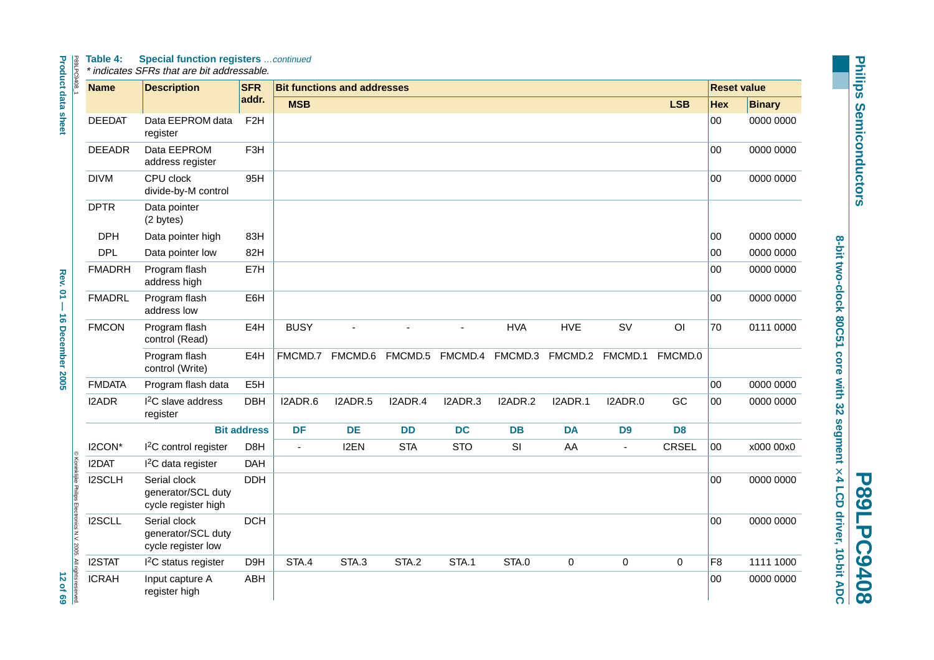#### P89LPC9. **Table 4: Special function registers** …continued

| <b>Name</b>   | <b>Description</b>                                        | <b>SFR</b>         |                | <b>Bit functions and addresses</b> |            |            |                 |             |                 |                |                | <b>Reset value</b> |
|---------------|-----------------------------------------------------------|--------------------|----------------|------------------------------------|------------|------------|-----------------|-------------|-----------------|----------------|----------------|--------------------|
|               |                                                           | addr.              | <b>MSB</b>     |                                    |            |            |                 |             |                 | <b>LSB</b>     | <b>Hex</b>     | <b>Binary</b>      |
| <b>DEEDAT</b> | Data EEPROM data<br>register                              | F <sub>2</sub> H   |                |                                    |            |            |                 |             |                 |                | $00\,$         | 0000 0000          |
| <b>DEEADR</b> | Data EEPROM<br>address register                           | F <sub>3</sub> H   |                |                                    |            |            |                 |             |                 |                | 00             | 0000 0000          |
| <b>DIVM</b>   | CPU clock<br>divide-by-M control                          | 95H                |                |                                    |            |            |                 |             |                 |                | $00\,$         | 0000 0000          |
| <b>DPTR</b>   | Data pointer<br>(2 bytes)                                 |                    |                |                                    |            |            |                 |             |                 |                |                |                    |
| <b>DPH</b>    | Data pointer high                                         | 83H                |                |                                    |            |            |                 |             |                 |                | 00             | 0000 0000          |
| <b>DPL</b>    | Data pointer low                                          | 82H                |                |                                    |            |            |                 |             |                 |                | 00             | 0000 0000          |
| <b>FMADRH</b> | Program flash<br>address high                             | E7H                |                |                                    |            |            |                 |             |                 |                | 00             | 0000 0000          |
| <b>FMADRL</b> | Program flash<br>address low                              | E6H                |                |                                    |            |            |                 |             |                 |                | 00             | 0000 0000          |
| <b>FMCON</b>  | Program flash<br>control (Read)                           | E4H                | <b>BUSY</b>    |                                    |            |            | <b>HVA</b>      | <b>HVE</b>  | <b>SV</b>       | O <sub>1</sub> | 70             | 0111 0000          |
|               | Program flash<br>control (Write)                          | E4H                | FMCMD.7        | FMCMD.6                            | FMCMD.5    |            | FMCMD.4 FMCMD.3 |             | FMCMD.2 FMCMD.1 | FMCMD.0        |                |                    |
| <b>FMDATA</b> | Program flash data                                        | E <sub>5</sub> H   |                |                                    |            |            |                 |             |                 |                | 00             | 0000 0000          |
| I2ADR         | I <sup>2</sup> C slave address<br>register                | <b>DBH</b>         | I2ADR.6        | I2ADR.5                            | I2ADR.4    | I2ADR.3    | I2ADR.2         | I2ADR.1     | I2ADR.0         | GC             | 00             | 0000 0000          |
|               |                                                           | <b>Bit address</b> | <b>DF</b>      | <b>DE</b>                          | <b>DD</b>  | <b>DC</b>  | <b>DB</b>       | <b>DA</b>   | D <sub>9</sub>  | D <sub>8</sub> |                |                    |
| I2CON*        | I <sup>2</sup> C control register                         | D8H                | $\blacksquare$ | I2EN                               | <b>STA</b> | <b>STO</b> | SI              | AA          | $\blacksquare$  | <b>CRSEL</b>   | 00             | x000 00x0          |
| I2DAT         | I <sup>2</sup> C data register                            | <b>DAH</b>         |                |                                    |            |            |                 |             |                 |                |                |                    |
| I2SCLH        | Serial clock<br>generator/SCL duty<br>cycle register high | <b>DDH</b>         |                |                                    |            |            |                 |             |                 |                | $00\,$         | 0000 0000          |
| I2SCLL        | Serial clock<br>generator/SCL duty<br>cycle register low  | <b>DCH</b>         |                |                                    |            |            |                 |             |                 |                | 00             | 0000 0000          |
| <b>I2STAT</b> | $I2C$ status register                                     | D9H                | STA.4          | STA.3                              | STA.2      | STA.1      | STA.0           | $\mathbf 0$ | $\mathbf 0$     | $\mathbf 0$    | F <sub>8</sub> | 1111 1000          |
| <b>ICRAH</b>  | Input capture A<br>register high                          | ABH                |                |                                    |            |            |                 |             |                 |                | 00             | 0000 0000          |

**Philips Semiconductors Philips Semiconductors**

**8-bit two-clock 80C51 core with 32 segment**

8-bit two-clock 80C51 core with 32 segment × 4 LCD driver, 10-bit ADC

**P89LPC9408**

**P89LPC9408** 

 **4 LCD driver, 10-bit ADC**

**Product data sheet Appel 20**  $\rightarrow$  **20**  $\rightarrow$  **70**  $\rightarrow$  **70**  $\rightarrow$  **70**  $\rightarrow$  **70**  $\rightarrow$  **70**  $\rightarrow$  **70**  $\rightarrow$  **69** Rev. 01 - 16 December 2005

**Product data sheet** 

**12 of 69**<br>12 of 69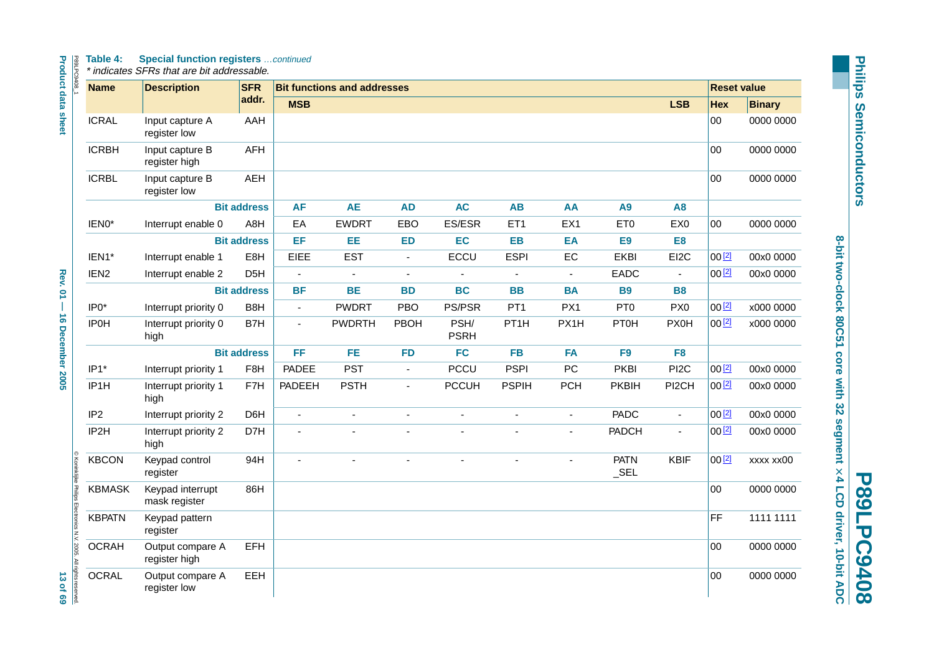#### **Table 4: Special function registers** …continued

| <b>Name</b>                                                                       | <b>Description</b>                | <b>SFR</b>         |                | <b>Bit functions and addresses</b> |                |                     |                   |                |                        |                          | <b>Reset value</b> |               |
|-----------------------------------------------------------------------------------|-----------------------------------|--------------------|----------------|------------------------------------|----------------|---------------------|-------------------|----------------|------------------------|--------------------------|--------------------|---------------|
|                                                                                   |                                   | addr.              | <b>MSB</b>     |                                    |                |                     |                   |                |                        | <b>LSB</b>               | <b>Hex</b>         | <b>Binary</b> |
| <b>ICRAL</b>                                                                      | Input capture A<br>register low   | AAH                |                |                                    |                |                     |                   |                |                        |                          | $00\,$             | 0000 0000     |
| <b>ICRBH</b>                                                                      | Input capture B<br>register high  | <b>AFH</b>         |                |                                    |                |                     |                   |                |                        |                          | 00                 | 0000 0000     |
| <b>ICRBL</b>                                                                      | Input capture B<br>register low   | <b>AEH</b>         |                |                                    |                |                     |                   |                |                        |                          | $00\,$             | 0000 0000     |
|                                                                                   |                                   | <b>Bit address</b> | <b>AF</b>      | <b>AE</b>                          | <b>AD</b>      | <b>AC</b>           | <b>AB</b>         | AA             | A9                     | <b>A8</b>                |                    |               |
| IEN0*                                                                             | Interrupt enable 0                | A8H                | EA             | <b>EWDRT</b>                       | EBO            | ES/ESR              | ET <sub>1</sub>   | EX1            | ET <sub>0</sub>        | EX0                      | 00                 | 0000 0000     |
|                                                                                   |                                   | <b>Bit address</b> | EF             | EE                                 | <b>ED</b>      | EC                  | <b>EB</b>         | EA             | E <sub>9</sub>         | E <sub>8</sub>           |                    |               |
| IEN1*                                                                             | Interrupt enable 1                | E <sub>8</sub> H   | EIEE           | <b>EST</b>                         | $\blacksquare$ | ECCU                | <b>ESPI</b>       | ${\sf EC}$     | <b>EKBI</b>            | EI2C                     | 00[2]              | 00x0 0000     |
| IEN <sub>2</sub>                                                                  | Interrupt enable 2                | D <sub>5</sub> H   | $\blacksquare$ | $\blacksquare$                     | $\blacksquare$ |                     | $\blacksquare$    | $\blacksquare$ | EADC                   | $\blacksquare$           | 00[2]              | 00x0 0000     |
|                                                                                   |                                   | <b>Bit address</b> | <b>BF</b>      | <b>BE</b>                          | <b>BD</b>      | <b>BC</b>           | <b>BB</b>         | <b>BA</b>      | <b>B9</b>              | <b>B8</b>                |                    |               |
| $IP0*$                                                                            | Interrupt priority 0              | B <sub>8</sub> H   | $\blacksquare$ | <b>PWDRT</b>                       | <b>PBO</b>     | PS/PSR              | PT <sub>1</sub>   | PX1            | PT <sub>0</sub>        | PX <sub>0</sub>          | 00[2]              | x000 0000     |
| <b>IP0H</b>                                                                       | Interrupt priority 0<br>high      | B7H                | $\blacksquare$ | <b>PWDRTH</b>                      | PBOH           | PSH/<br><b>PSRH</b> | PT <sub>1</sub> H | PX1H           | <b>PT0H</b>            | <b>PX0H</b>              | $00^{2}$           | x000 0000     |
|                                                                                   |                                   | <b>Bit address</b> | FF             | <b>FE</b>                          | <b>FD</b>      | <b>FC</b>           | <b>FB</b>         | <b>FA</b>      | F <sub>9</sub>         | F <sub>8</sub>           |                    |               |
| $IP1*$                                                                            | Interrupt priority 1              | F8H                | PADEE          | <b>PST</b>                         | $\blacksquare$ | <b>PCCU</b>         | <b>PSPI</b>       | PC             | <b>PKBI</b>            | PI <sub>2</sub> C        | 00[2]              | 00x0 0000     |
| IP <sub>1</sub> H                                                                 | Interrupt priority 1<br>high      | F7H                | PADEEH         | <b>PSTH</b>                        | $\blacksquare$ | <b>PCCUH</b>        | <b>PSPIH</b>      | <b>PCH</b>     | <b>PKBIH</b>           | PI2CH                    | 00 <sup>[2]</sup>  | 00x0 0000     |
| IP <sub>2</sub>                                                                   | Interrupt priority 2              | D6H                | $\omega$       | ä,                                 | $\blacksquare$ | $\blacksquare$      | $\blacksquare$    | $\blacksquare$ | <b>PADC</b>            | $\overline{\phantom{a}}$ | 00[2]              | 00x0 0000     |
| IP2H                                                                              | Interrupt priority 2<br>high      | D7H                |                |                                    |                |                     |                   |                | <b>PADCH</b>           | $\blacksquare$           | $00^{2}$           | 00x0 0000     |
| <b>KBCON</b>                                                                      | Keypad control<br>register        | 94H                | ÷.             |                                    |                |                     | $\overline{a}$    |                | <b>PATN</b><br>$\_SEL$ | <b>KBIF</b>              | 00[2]              | XXXX XXOO     |
| <b>KBMASK</b>                                                                     | Keypad interrupt<br>mask register | 86H                |                |                                    |                |                     |                   |                |                        |                          | $00\,$             | 0000 0000     |
| <b>KBPATN</b>                                                                     | Keypad pattern<br>register        |                    |                |                                    |                |                     |                   |                |                        |                          | FF                 | 1111 1111     |
| © Koninklijke Philips Electronics N.V. 2005. All rights reserved.<br><b>OCRAH</b> | Output compare A<br>register high | <b>EFH</b>         |                |                                    |                |                     |                   |                |                        |                          | $00\,$             | 0000 0000     |
| <b>OCRAL</b>                                                                      | Output compare A<br>register low  | <b>EEH</b>         |                |                                    |                |                     |                   |                |                        |                          | 00                 | 0000 0000     |

**Philips Semiconductors Philips Semiconductors**

**8-bit two-clock 80C51 core with 32 segment** P89LPC9408<br>8-bit two-clock 80C51 core with 32 segment  $\times$  4 LCD driver, 10-bit ADC  **4 LCD driver, 10-bit ADC**

**P89LPC9408**

٦,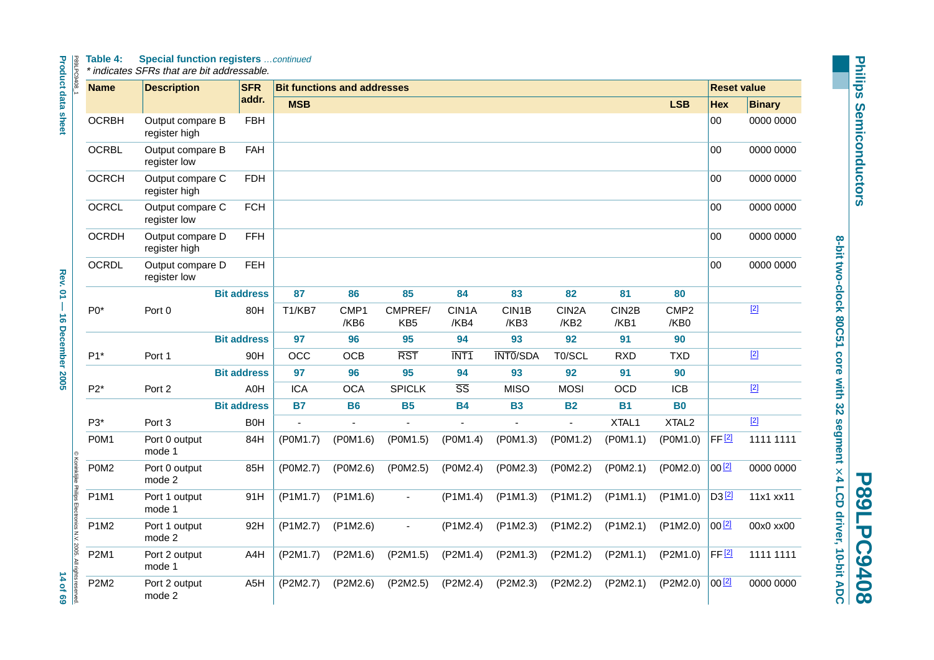#### I **Table 4: Special function registers** …continued

**Product data sheet Product data sheet Rev. 01 — 16 December 2005 14 of 69**  $\sim$  14 of 69

|                                   | <b>Name</b>  | <b>Description</b>                | <b>SFR</b>         |                | <b>Bit functions and addresses</b> |                            |                        |                 |                                        |               |                          | <b>Reset value</b>  |               |
|-----------------------------------|--------------|-----------------------------------|--------------------|----------------|------------------------------------|----------------------------|------------------------|-----------------|----------------------------------------|---------------|--------------------------|---------------------|---------------|
|                                   |              |                                   | addr.              | <b>MSB</b>     |                                    |                            |                        |                 |                                        |               | <b>LSB</b>               | <b>Hex</b>          | <b>Binary</b> |
| <b>Product data sheet</b>         | <b>OCRBH</b> | Output compare B<br>register high | <b>FBH</b>         |                |                                    |                            |                        |                 |                                        |               |                          | $00\,$              | 0000 0000     |
|                                   | <b>OCRBL</b> | Output compare B<br>register low  | <b>FAH</b>         |                |                                    |                            |                        |                 |                                        |               |                          | 00                  | 0000 0000     |
|                                   | <b>OCRCH</b> | Output compare C<br>register high | <b>FDH</b>         |                |                                    |                            |                        |                 |                                        |               |                          | 00                  | 0000 0000     |
|                                   | <b>OCRCL</b> | Output compare C<br>register low  | <b>FCH</b>         |                |                                    |                            |                        |                 |                                        |               |                          | 00                  | 0000 0000     |
|                                   | <b>OCRDH</b> | Output compare D<br>register high | <b>FFH</b>         |                |                                    |                            |                        |                 |                                        |               |                          | 00                  | 0000 0000     |
|                                   | <b>OCRDL</b> | Output compare D<br>register low  | <b>FEH</b>         |                |                                    |                            |                        |                 |                                        |               |                          | $00\,$              | 0000 0000     |
| <b>Rev. 01-</b>                   |              |                                   | <b>Bit address</b> | 87             | 86                                 | 85                         | 84                     | 83              | 82                                     | 81            | 80                       |                     |               |
|                                   | $P0*$        | Port 0                            | 80H                | T1/KB7         | CMP1<br>/KB6                       | CMPREF/<br>KB <sub>5</sub> | CIN1A<br>/KB4          | CIN1B<br>/KB3   | CIN <sub>2</sub> A<br>/KB <sub>2</sub> | CIN2B<br>/KB1 | CMP <sub>2</sub><br>/KB0 |                     | $\boxed{[2]}$ |
|                                   |              |                                   | <b>Bit address</b> | 97             | 96                                 | 95                         | 94                     | 93              | 92                                     | 91            | 90                       |                     |               |
| <b>16 December 2005</b>           | $P1*$        | Port 1                            | 90H                | OCC            | <b>OCB</b>                         | <b>RST</b>                 | INT <sub>1</sub>       | <b>INTO/SDA</b> | T0/SCL                                 | <b>RXD</b>    | <b>TXD</b>               |                     | $[2]$         |
|                                   |              |                                   | <b>Bit address</b> | 97             | 96                                 | 95                         | 94                     | 93              | 92                                     | 91            | 90                       |                     |               |
|                                   | $P2*$        | Port 2                            | A0H                | <b>ICA</b>     | <b>OCA</b>                         | <b>SPICLK</b>              | $\overline{\text{SS}}$ | <b>MISO</b>     | <b>MOSI</b>                            | <b>OCD</b>    | <b>ICB</b>               |                     | $[2]$         |
|                                   |              |                                   | <b>Bit address</b> | <b>B7</b>      | <b>B6</b>                          | <b>B5</b>                  | <b>B4</b>              | <b>B3</b>       | <b>B2</b>                              | <b>B1</b>     | <b>B0</b>                |                     |               |
|                                   | P3*          | Port <sub>3</sub>                 | <b>BOH</b>         | $\overline{a}$ |                                    | L.                         |                        |                 | ÷,                                     | XTAL1         | XTAL <sub>2</sub>        |                     | $[2]$         |
|                                   | P0M1         | Port 0 output<br>mode 1           | 84H                | (P0M1.7)       | (P0M1.6)                           | (P0M1.5)                   | (POM1.4)               | (P0M1.3)        | (P0M1.2)                               | (POM1.1)      | (POM1.0)                 | $FF$ $2$            | 1111 1111     |
| Koninklijke Philips               | P0M2         | Port 0 output<br>mode 2           | 85H                | (P0M2.7)       | (P0M2.6)                           | (P0M2.5)                   | (P0M2.4)               | (P0M2.3)        | (P0M2.2)                               | (P0M2.1)      | (P0M2.0)                 | 00[2]               | 0000 0000     |
|                                   | <b>P1M1</b>  | Port 1 output<br>mode 1           | 91H                | (P1M1.7)       | $($ P1M1.6)                        | $\blacksquare$             | $($ P1M1.4)            | (P1M1.3)        | $($ P1M1.2)                            | $($ P1M1.1)   | $($ P1M1.0)              | $D3$ <sup>[2]</sup> | 11x1 xx11     |
| Electronics N.V. 2005. All rights | P1M2         | Port 1 output<br>mode 2           | 92H                | (P1M2.7)       | (P1M2.6)                           | $\blacksquare$             | (P1M2.4)               | (P1M2.3)        | (P1M2.2)                               | (P1M2.1)      | (P1M2.0)                 | $00^{[2]}$          | 00x0 xx00     |
|                                   | <b>P2M1</b>  | Port 2 output<br>mode 1           | A4H                | (P2M1.7)       | (P2M1.6)                           | (P2M1.5)                   | (P2M1.4)               | (P2M1.3)        | (P2M1.2)                               | (P2M1.1)      | (P2M1.0)                 | FF <sup>[2]</sup>   | 1111 1111     |
| 14 of 69<br>reserved              | <b>P2M2</b>  | Port 2 output<br>mode 2           | A <sub>5</sub> H   | (P2M2.7)       | (P2M2.6)                           | (P2M2.5)                   | (P2M2.4)               | (P2M2.3)        | (P2M2.2)                               | (P2M2.1)      | (P2M2.0)                 | 00[2]               | 0000 0000     |

**Philips Semiconductors Philips Semiconductors**

**8-bit two-clock 80C51 core with 32 segment** 8-bit two-clock 80C51 core with 32 segment × 4 LCD driver, 10-bit ADC  **4 LCD driver, 10-bit ADC**

**P89LPC9408**

**P89LPC9408**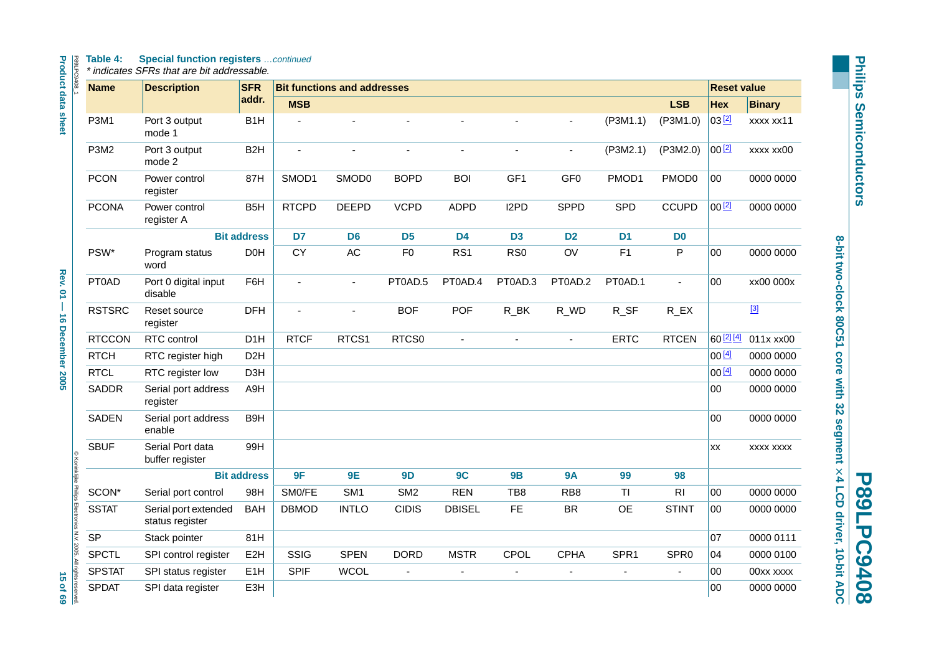# P89LPC9408\_1 **Table 4: Special function registers** …continued

\* indicates SFRs that are bit addressable.

| F<br>ŧ<br>ć | ٤<br>Ř |
|-------------|--------|
|             |        |

| j<br><b>Product data sheet</b> |  |
|--------------------------------|--|
| Rev. 01 - 16 December 2005     |  |
| <b>SQ 403</b>                  |  |

|                 | ◎ Koninkilike Philips Electronics N.N. 2005. All rights reserved. |
|-----------------|-------------------------------------------------------------------|
|                 |                                                                   |
|                 |                                                                   |
|                 |                                                                   |
| <b>15 of 69</b> |                                                                   |
|                 |                                                                   |

| <b>Name</b>   | <b>Description</b>                      | <b>SFR</b>         |                       | <b>Bit functions and addresses</b> |                 |                |                 |                 |                |                       | <b>Reset value</b> |               |
|---------------|-----------------------------------------|--------------------|-----------------------|------------------------------------|-----------------|----------------|-----------------|-----------------|----------------|-----------------------|--------------------|---------------|
|               |                                         | addr.              | <b>MSB</b>            |                                    |                 |                |                 |                 |                | <b>LSB</b>            | Hex                | <b>Binary</b> |
| <b>P3M1</b>   | Port 3 output<br>mode 1                 | B <sub>1</sub> H   |                       |                                    | ä,              | $\overline{a}$ |                 | ÷,              | $($ P3M1.1)    | (P3M1.0)              | 03[2]              | xxxx xx11     |
| P3M2          | Port 3 output<br>mode 2                 | B <sub>2</sub> H   | $\tilde{\phantom{a}}$ |                                    | $\blacksquare$  | ÷,             | $\blacksquare$  | ÷,              | (P3M2.1)       | ( P3M2.0)             | $00^{[2]}$         | xxxx xx00     |
| <b>PCON</b>   | Power control<br>register               | 87H                | SMOD1                 | SMOD0                              | <b>BOPD</b>     | <b>BOI</b>     | GF1             | GF <sub>0</sub> | PMOD1          | PMOD <sub>0</sub>     | 00                 | 0000 0000     |
| <b>PCONA</b>  | Power control<br>register A             | B <sub>5</sub> H   | <b>RTCPD</b>          | <b>DEEPD</b>                       | <b>VCPD</b>     | <b>ADPD</b>    | I2PD            | <b>SPPD</b>     | SPD            | <b>CCUPD</b>          | $00^{2}$           | 0000 0000     |
|               |                                         | <b>Bit address</b> | D7                    | D <sub>6</sub>                     | D <sub>5</sub>  | <b>D4</b>      | D <sub>3</sub>  | D <sub>2</sub>  | D <sub>1</sub> | D <sub>0</sub>        |                    |               |
| PSW*          | Program status<br>word                  | D <sub>0</sub> H   | CY                    | AC                                 | F <sub>0</sub>  | RS1            | RS <sub>0</sub> | OV              | F1             | P                     | 00                 | 0000 0000     |
| PT0AD         | Port 0 digital input<br>disable         | F6H                | ä,                    | $\blacksquare$                     | PT0AD.5         | PT0AD.4        | PT0AD.3         | PT0AD.2         | PT0AD.1        | $\blacksquare$        | 00                 | xx00 000x     |
| <b>RSTSRC</b> | Reset source<br>register                | <b>DFH</b>         | $\blacksquare$        | $\overline{a}$                     | <b>BOF</b>      | POF            | $R$ _BK         | R_WD            | R_SF           | $R$ <sub>_</sub> $EX$ |                    | $[3]$         |
| <b>RTCCON</b> | RTC control                             | D <sub>1</sub> H   | <b>RTCF</b>           | RTCS1                              | RTCS0           | $\overline{a}$ |                 | $\blacksquare$  | <b>ERTC</b>    | <b>RTCEN</b>          | 60 [2] [4]         | 011x xx00     |
| <b>RTCH</b>   | RTC register high                       | D <sub>2</sub> H   |                       |                                    |                 |                |                 |                 |                |                       | 00[4]              | 0000 0000     |
| <b>RTCL</b>   | RTC register low                        | D <sub>3</sub> H   |                       |                                    |                 |                |                 |                 |                |                       | 00[4]              | 0000 0000     |
| <b>SADDR</b>  | Serial port address<br>register         | A9H                |                       |                                    |                 |                |                 |                 |                |                       | 00                 | 0000 0000     |
| <b>SADEN</b>  | Serial port address<br>enable           | B9H                |                       |                                    |                 |                |                 |                 |                |                       | 00                 | 0000 0000     |
| <b>SBUF</b>   | Serial Port data<br>buffer register     | 99H                |                       |                                    |                 |                |                 |                 |                |                       | <b>XX</b>          | XXXX XXXX     |
|               |                                         | <b>Bit address</b> | 9F                    | <b>9E</b>                          | 9D              | 9C             | <b>9B</b>       | <b>9A</b>       | 99             | 98                    |                    |               |
| SCON*         | Serial port control                     | 98H                | SM0/FE                | SM <sub>1</sub>                    | SM <sub>2</sub> | <b>REN</b>     | TB8             | RB <sub>8</sub> | <b>TI</b>      | R <sub>l</sub>        | 00                 | 0000 0000     |
| <b>SSTAT</b>  | Serial port extended<br>status register | <b>BAH</b>         | <b>DBMOD</b>          | <b>INTLO</b>                       | <b>CIDIS</b>    | <b>DBISEL</b>  | <b>FE</b>       | <b>BR</b>       | <b>OE</b>      | <b>STINT</b>          | 00                 | 0000 0000     |
| <b>SP</b>     | Stack pointer                           | 81H                |                       |                                    |                 |                |                 |                 |                |                       | 07                 | 0000 0111     |
| <b>SPCTL</b>  | SPI control register                    | E <sub>2</sub> H   | SSIG                  | <b>SPEN</b>                        | <b>DORD</b>     | <b>MSTR</b>    | CPOL            | <b>CPHA</b>     | SPR1           | SPR <sub>0</sub>      | 04                 | 0000 0100     |
| <b>SPSTAT</b> | SPI status register                     | E <sub>1</sub> H   | <b>SPIF</b>           | <b>WCOL</b>                        | L,              | $\blacksquare$ |                 | ä,              |                |                       | 00                 | 00xx xxxx     |
| <b>SPDAT</b>  | SPI data register                       | E3H                |                       |                                    |                 |                |                 |                 |                |                       | 00                 | 0000 0000     |

**P89LPC9408**

**P89LPC9408**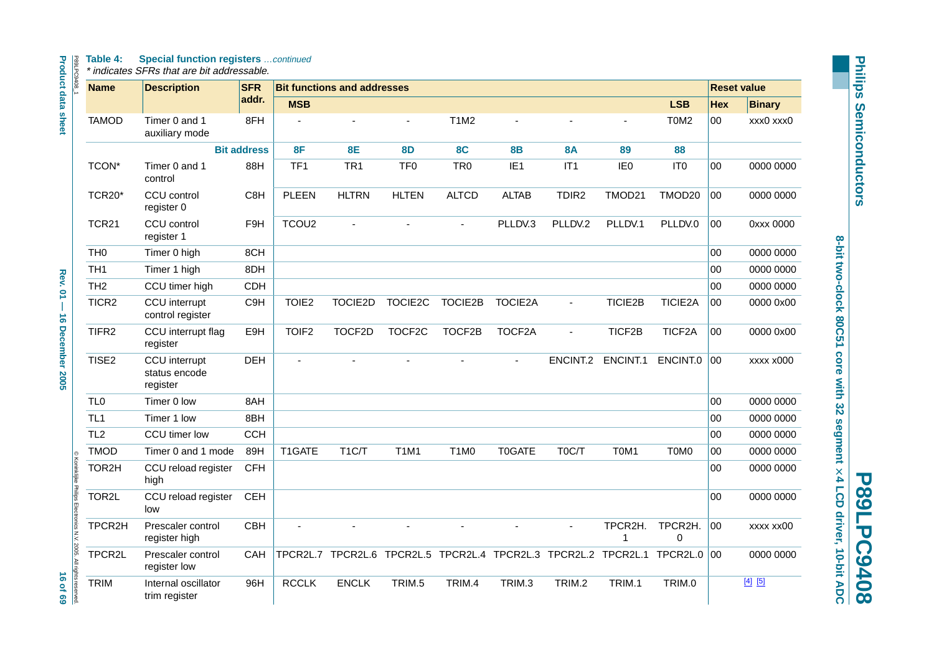#### P89LPC9. **Table 4: Special function registers** …continued

| <b>Name</b>                            | <b>Description</b>                         | <b>SFR</b>         |                   | <b>Bit functions and addresses</b>                             |                 |                 |                 |                 |                   |                               |              | <b>Reset value</b> |  |
|----------------------------------------|--------------------------------------------|--------------------|-------------------|----------------------------------------------------------------|-----------------|-----------------|-----------------|-----------------|-------------------|-------------------------------|--------------|--------------------|--|
|                                        |                                            | addr.              | <b>MSB</b>        |                                                                |                 |                 |                 |                 |                   | <b>LSB</b>                    | <b>Hex</b>   | <b>Binary</b>      |  |
| <b>TAMOD</b>                           | Timer 0 and 1<br>auxiliary mode            | 8FH                |                   |                                                                |                 | <b>T1M2</b>     |                 |                 | ä,                | T <sub>0</sub> M <sub>2</sub> | $00\,$       | xxx0 xxx0          |  |
|                                        |                                            | <b>Bit address</b> | 8F                | <b>8E</b>                                                      | <b>8D</b>       | <b>8C</b>       | <b>8B</b>       | <b>8A</b>       | 89                | 88                            |              |                    |  |
| TCON <sup>*</sup>                      | Timer 0 and 1<br>control                   | 88H                | TF <sub>1</sub>   | TR <sub>1</sub>                                                | TF <sub>0</sub> | TR <sub>0</sub> | IE <sub>1</sub> | IT <sub>1</sub> | IE <sub>0</sub>   | IT <sub>0</sub>               | 00           | 0000 0000          |  |
| TCR20*                                 | CCU control<br>register 0                  | C8H                | <b>PLEEN</b>      | <b>HLTRN</b>                                                   | <b>HLTEN</b>    | <b>ALTCD</b>    | <b>ALTAB</b>    | TDIR2           | TMOD21            | TMOD20                        | 00           | 0000 0000          |  |
| <b>TCR21</b>                           | CCU control<br>register 1                  | F <sub>9</sub> H   | TCOU <sub>2</sub> |                                                                |                 |                 | PLLDV.3         | PLLDV.2         | PLLDV.1           | PLLDV.0                       | 00           | 0xxx 0000          |  |
| TH <sub>0</sub>                        | Timer 0 high                               | 8CH                |                   |                                                                |                 |                 |                 |                 |                   |                               | 00           | 0000 0000          |  |
| TH <sub>1</sub>                        | Timer 1 high                               | 8DH                |                   |                                                                |                 |                 |                 |                 |                   |                               | $00\,$       | 0000 0000          |  |
| TH <sub>2</sub>                        | CCU timer high                             | <b>CDH</b>         |                   |                                                                |                 |                 |                 |                 |                   |                               | $00\,$       | 0000 0000          |  |
| TICR <sub>2</sub>                      | CCU interrupt<br>control register          | C9H                | TOIE <sub>2</sub> | TOCIE2D                                                        | TOCIE2C         | TOCIE2B         | <b>TOCIE2A</b>  | $\blacksquare$  | <b>TICIE2B</b>    | TICIE2A                       | 00           | 0000 0x00          |  |
| TIFR <sub>2</sub>                      | CCU interrupt flag<br>register             | E9H                | TOIF <sub>2</sub> | TOCF2D                                                         | TOCF2C          | TOCF2B          | TOCF2A          | $\blacksquare$  | TICF2B            | TICF2A                        | 00           | 0000 0x00          |  |
| TISE2                                  | CCU interrupt<br>status encode<br>register | <b>DEH</b>         | ÷,                |                                                                |                 |                 | ä,              |                 | ENCINT.2 ENCINT.1 | ENCINT.0                      | 00           | xxxx x000          |  |
| TL <sub>0</sub>                        | Timer 0 low                                | 8AH                |                   |                                                                |                 |                 |                 |                 |                   |                               | 00           | 0000 0000          |  |
| TL <sub>1</sub>                        | Timer 1 low                                | 8BH                |                   |                                                                |                 |                 |                 |                 |                   |                               | 00           | 0000 0000          |  |
| TL <sub>2</sub>                        | CCU timer low                              | <b>CCH</b>         |                   |                                                                |                 |                 |                 |                 |                   |                               | 00           | 0000 0000          |  |
| <b>TMOD</b><br>$\circ$                 | Timer 0 and 1 mode                         | 89H                | T1GATE            | T <sub>1</sub> C/T                                             | <b>T1M1</b>     | T1M0            | <b>T0GATE</b>   | T0C/T           | T0M1              | T0M0                          | 00           | 0000 0000          |  |
| Koninklijke Philips<br>TOR2H           | CCU reload register<br>high                | <b>CFH</b>         |                   |                                                                |                 |                 |                 |                 |                   |                               | 00           | 0000 0000          |  |
| TOR2L                                  | CCU reload register<br>low                 | <b>CEH</b>         |                   |                                                                |                 |                 |                 |                 |                   |                               | $00\,$       | 0000 0000          |  |
| Electronics N.V. 2005.<br>TPCR2H       | Prescaler control<br>register high         | <b>CBH</b>         |                   |                                                                |                 |                 |                 |                 | TPCR2H.<br>1      | TPCR2H.<br>$\Omega$           | 00           | xxxx xx00          |  |
| TPCR2L                                 | Prescaler control<br>register low          | <b>CAH</b>         |                   | TPCR2L.7 TPCR2L.6 TPCR2L.5 TPCR2L.4 TPCR2L.3 TPCR2L.2 TPCR2L.1 |                 |                 |                 |                 |                   | TPCR2L.0                      | $ 00\rangle$ | 0000 0000          |  |
| All rights rese<br><b>TRIM</b><br>ved. | Internal oscillator<br>trim register       | 96H                | <b>RCCLK</b>      | <b>ENCLK</b>                                                   | TRIM.5          | TRIM.4          | TRIM.3          | TRIM.2          | TRIM.1            | TRIM.0                        |              | $[4]$ $[5]$        |  |

**Philips Semiconductors Philips Semiconductors**

**8-bit two-clock 80C51 core with 32 segment**

**P89LPC94008**<br>8-bit two-clock 80C51 core with 32 segment  $\times$  4 LCD driver, 10-bit ADC

**P89LPC9408**

 **4 LCD driver, 10-bit ADC**

**Product data sheet Appel 20**  $\rightarrow$  **20**  $\rightarrow$  **76**  $\times$  **01**  $-$  **16 December 2005 16 of 69** of 69 of 69 **Rev. 01 - 16 December 2005** 

16 of 69<br>**Maria** case case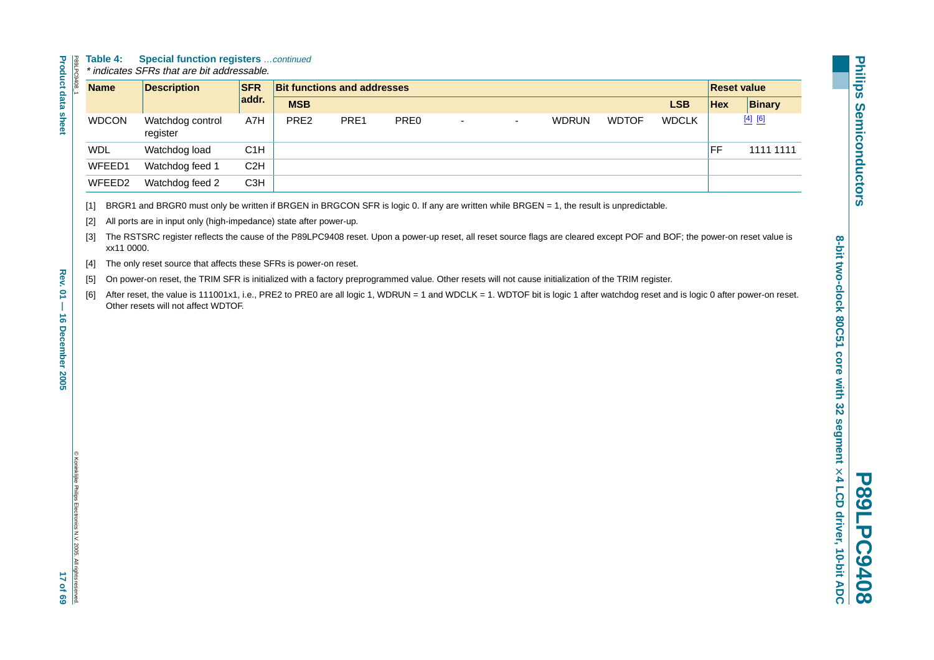#### **Table 4: Special function registers** …continued

| S<br>ļ<br>i<br>ı<br>۰ |
|-----------------------|
|                       |
|                       |
|                       |
|                       |
|                       |
|                       |
|                       |
|                       |
|                       |
|                       |
|                       |
|                       |

꽃

| Table 4:           | <b>Special function registers</b> continued<br>* indicates SFRs that are bit addressable. |                  |                                    |      |                  |    |    |              |              |              |                    |               |
|--------------------|-------------------------------------------------------------------------------------------|------------------|------------------------------------|------|------------------|----|----|--------------|--------------|--------------|--------------------|---------------|
| <b>Name</b>        | <b>Description</b>                                                                        | <b>SFR</b>       | <b>Bit functions and addresses</b> |      |                  |    |    |              |              |              | <b>Reset value</b> |               |
|                    |                                                                                           | addr.            | <b>MSB</b>                         |      |                  |    |    |              |              | <b>LSB</b>   | <b>Hex</b>         | <b>Binary</b> |
| <b>WDCON</b>       | Watchdog control<br>register                                                              | A7H              | PRE <sub>2</sub>                   | PRE1 | PRE <sub>0</sub> | ۰. | ۰. | <b>WDRUN</b> | <b>WDTOF</b> | <b>WDCLK</b> |                    | $[4]$ $[6]$   |
| <b>WDL</b>         | Watchdog load                                                                             | C1H              |                                    |      |                  |    |    |              |              |              | FF                 | 1111 1111     |
| WFEED1             | Watchdog feed 1                                                                           | C2H              |                                    |      |                  |    |    |              |              |              |                    |               |
| WFEED <sub>2</sub> | Watchdog feed 2                                                                           | C <sub>3</sub> H |                                    |      |                  |    |    |              |              |              |                    |               |

<span id="page-16-0"></span>[1] BRGR1 and BRGR0 must only be written if BRGEN in BRGCON SFR is logic 0. If any are written while BRGEN = 1, the result is unpredictable.

<span id="page-16-1"></span>[2] All ports are in input only (high-impedance) state after power-up.

<span id="page-16-2"></span>[3] The RSTSRC register reflects the cause of the P89LPC9408 reset. Upon a power-up reset, all reset source flags are cleared except POF and BOF; the power-on reset value is xx11 0000.

<span id="page-16-3"></span>[4] The only reset source that affects these SFRs is power-on reset.

- <span id="page-16-4"></span>[5] On power-on reset, the TRIM SFR is initialized with a factory preprogrammed value. Other resets will not cause initialization of the TRIM register.
- <span id="page-16-5"></span>[6] After reset, the value is 111001x1, i.e., PRE2 to PRE0 are all logic 1, WDRUN = 1 and WDCLK = 1. WDTOF bit is logic 1 after watchdog reset and is logic 0 after power-on reset. Other resets will not affect WDTOF.

Rev.

**P89LPC9408**

 $\overline{\mathbf{U}}$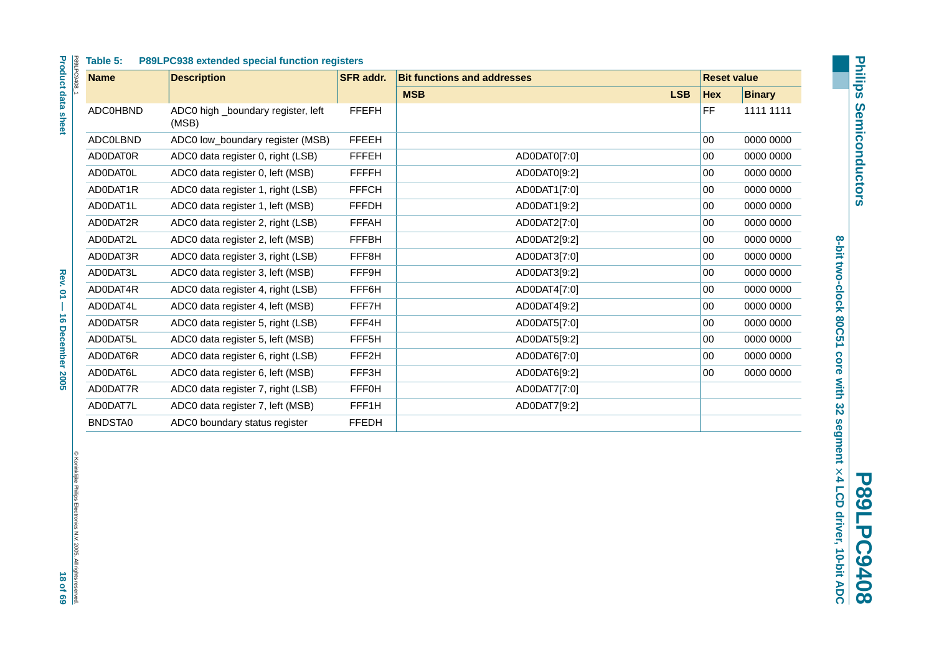| Table 5:        | P89LPC938 extended special function registers |                  |                                    |                    |               |
|-----------------|-----------------------------------------------|------------------|------------------------------------|--------------------|---------------|
| <b>Name</b>     | <b>Description</b>                            | <b>SFR</b> addr. | <b>Bit functions and addresses</b> | <b>Reset value</b> |               |
|                 |                                               |                  | <b>LSB</b><br><b>MSB</b>           | <b>Hex</b>         | <b>Binary</b> |
| <b>ADC0HBND</b> | ADC0 high _boundary register, left<br>(MSB)   | <b>FFEFH</b>     |                                    | FF                 | 1111 1111     |
| <b>ADCOLBND</b> | ADC0 low_boundary register (MSB)              | <b>FFEEH</b>     |                                    | 00                 | 0000 0000     |
| AD0DAT0R        | ADC0 data register 0, right (LSB)             | <b>FFFEH</b>     | AD0DAT0[7:0]                       | 00                 | 0000 0000     |
| AD0DAT0L        | ADC0 data register 0, left (MSB)              | <b>FFFFH</b>     | AD0DAT0[9:2]                       | $00\,$             | 0000 0000     |
| AD0DAT1R        | ADC0 data register 1, right (LSB)             | <b>FFFCH</b>     | AD0DAT1[7:0]                       | $00\,$             | 0000 0000     |
| AD0DAT1L        | ADC0 data register 1, left (MSB)              | <b>FFFDH</b>     | AD0DAT1[9:2]                       | 00                 | 0000 0000     |
| AD0DAT2R        | ADC0 data register 2, right (LSB)             | <b>FFFAH</b>     | AD0DAT2[7:0]                       | 00                 | 0000 0000     |
| AD0DAT2L        | ADC0 data register 2, left (MSB)              | <b>FFFBH</b>     | AD0DAT2[9:2]                       | $00\,$             | 0000 0000     |
| AD0DAT3R        | ADC0 data register 3, right (LSB)             | FFF8H            | AD0DAT3[7:0]                       | 00                 | 0000 0000     |
| AD0DAT3L        | ADC0 data register 3, left (MSB)              | FFF9H            | AD0DAT3[9:2]                       | 00                 | 0000 0000     |
| AD0DAT4R        | ADC0 data register 4, right (LSB)             | FFF6H            | AD0DAT4[7:0]                       | 00                 | 0000 0000     |
| AD0DAT4L        | ADC0 data register 4, left (MSB)              | FFF7H            | AD0DAT4[9:2]                       | $00\,$             | 0000 0000     |
| AD0DAT5R        | ADC0 data register 5, right (LSB)             | FFF4H            | AD0DAT5[7:0]                       | $00\,$             | 0000 0000     |
| AD0DAT5L        | ADC0 data register 5, left (MSB)              | FFF5H            | AD0DAT5[9:2]                       | 00                 | 0000 0000     |
| AD0DAT6R        | ADC0 data register 6, right (LSB)             | FFF2H            | AD0DAT6[7:0]                       | 00                 | 0000 0000     |
| AD0DAT6L        | ADC0 data register 6, left (MSB)              | FFF3H            | AD0DAT6[9:2]                       | 00                 | 0000 0000     |
| AD0DAT7R        | ADC0 data register 7, right (LSB)             | <b>FFF0H</b>     | AD0DAT7[7:0]                       |                    |               |
| AD0DAT7L        | ADC0 data register 7, left (MSB)              | FFF1H            | AD0DAT7[9:2]                       |                    |               |
| BNDSTA0         | ADC0 boundary status register                 | <b>FFEDH</b>     |                                    |                    |               |

© Koninklijke Philips Electronics N.V. 2005. All rights reserved.

8-bit two-clock 80C51 core with 32 segment × 4 LCD driver, 10-bit ADC **8-bit two-clock 80C51 core with 32 segment P89LPC9408 4 LCD driver, 10-bit ADC**

**P89LPC9408**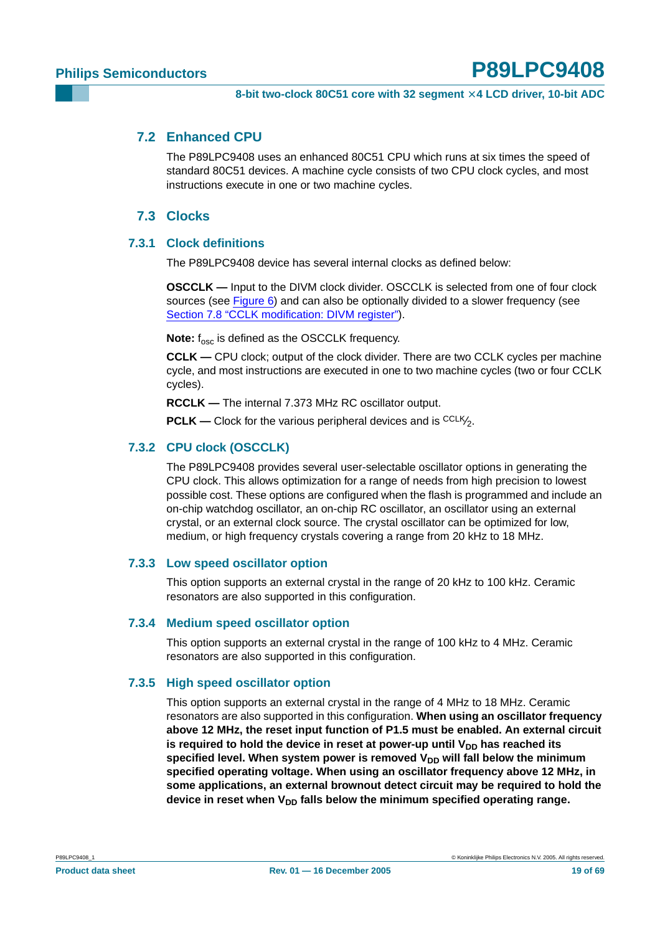#### <span id="page-18-0"></span>**7.2 Enhanced CPU**

The P89LPC9408 uses an enhanced 80C51 CPU which runs at six times the speed of standard 80C51 devices. A machine cycle consists of two CPU clock cycles, and most instructions execute in one or two machine cycles.

#### **7.3 Clocks**

#### <span id="page-18-2"></span><span id="page-18-1"></span>**7.3.1 Clock definitions**

The P89LPC9408 device has several internal clocks as defined below:

**OSCCLK —** Input to the DIVM clock divider. OSCCLK is selected from one of four clock sources (see [Figure](#page-20-0) 6) and can also be optionally divided to a slower frequency (see [Section 7.8 "CCLK modification: DIVM register"](#page-20-1)).

**Note:** f<sub>osc</sub> is defined as the OSCCLK frequency.

**CCLK —** CPU clock; output of the clock divider. There are two CCLK cycles per machine cycle, and most instructions are executed in one to two machine cycles (two or four CCLK cycles).

**RCCLK —** The internal 7.373 MHz RC oscillator output.

**PCLK** — Clock for the various peripheral devices and is <sup>CCLK</sup><sup>2</sup>.

#### <span id="page-18-3"></span>**7.3.2 CPU clock (OSCCLK)**

The P89LPC9408 provides several user-selectable oscillator options in generating the CPU clock. This allows optimization for a range of needs from high precision to lowest possible cost. These options are configured when the flash is programmed and include an on-chip watchdog oscillator, an on-chip RC oscillator, an oscillator using an external crystal, or an external clock source. The crystal oscillator can be optimized for low, medium, or high frequency crystals covering a range from 20 kHz to 18 MHz.

#### <span id="page-18-4"></span>**7.3.3 Low speed oscillator option**

This option supports an external crystal in the range of 20 kHz to 100 kHz. Ceramic resonators are also supported in this configuration.

#### <span id="page-18-5"></span>**7.3.4 Medium speed oscillator option**

This option supports an external crystal in the range of 100 kHz to 4 MHz. Ceramic resonators are also supported in this configuration.

#### <span id="page-18-6"></span>**7.3.5 High speed oscillator option**

This option supports an external crystal in the range of 4 MHz to 18 MHz. Ceramic resonators are also supported in this configuration. **When using an oscillator frequency above 12 MHz, the reset input function of P1.5 must be enabled. An external circuit** is required to hold the device in reset at power-up until V<sub>DD</sub> has reached its specified level. When system power is removed V<sub>DD</sub> will fall below the minimum **specified operating voltage. When using an oscillator frequency above 12 MHz, in some applications, an external brownout detect circuit may be required to hold the** device in reset when V<sub>DD</sub> falls below the minimum specified operating range.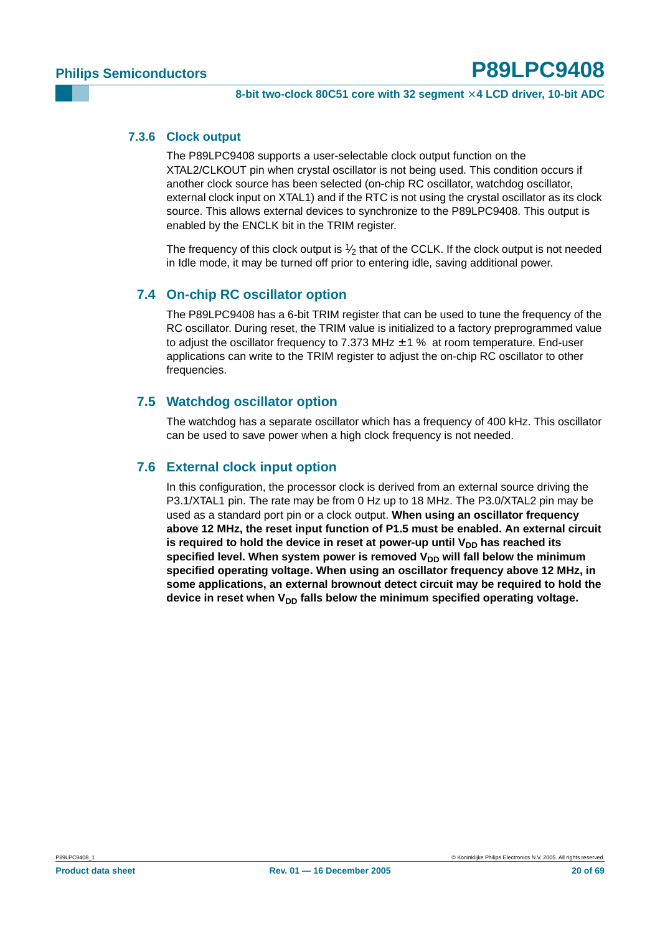#### <span id="page-19-0"></span>**7.3.6 Clock output**

The P89LPC9408 supports a user-selectable clock output function on the XTAL2/CLKOUT pin when crystal oscillator is not being used. This condition occurs if another clock source has been selected (on-chip RC oscillator, watchdog oscillator, external clock input on XTAL1) and if the RTC is not using the crystal oscillator as its clock source. This allows external devices to synchronize to the P89LPC9408. This output is enabled by the ENCLK bit in the TRIM register.

The frequency of this clock output is  $\frac{1}{2}$  that of the CCLK. If the clock output is not needed in Idle mode, it may be turned off prior to entering idle, saving additional power.

### <span id="page-19-1"></span>**7.4 On-chip RC oscillator option**

The P89LPC9408 has a 6-bit TRIM register that can be used to tune the frequency of the RC oscillator. During reset, the TRIM value is initialized to a factory preprogrammed value to adjust the oscillator frequency to 7.373 MHz  $\pm$  1 % at room temperature. End-user applications can write to the TRIM register to adjust the on-chip RC oscillator to other frequencies.

### <span id="page-19-2"></span>**7.5 Watchdog oscillator option**

The watchdog has a separate oscillator which has a frequency of 400 kHz. This oscillator can be used to save power when a high clock frequency is not needed.

#### <span id="page-19-3"></span>**7.6 External clock input option**

In this configuration, the processor clock is derived from an external source driving the P3.1/XTAL1 pin. The rate may be from 0 Hz up to 18 MHz. The P3.0/XTAL2 pin may be used as a standard port pin or a clock output. **When using an oscillator frequency above 12 MHz, the reset input function of P1.5 must be enabled. An external circuit** is required to hold the device in reset at power-up until V<sub>DD</sub> has reached its specified level. When system power is removed V<sub>DD</sub> will fall below the minimum **specified operating voltage. When using an oscillator frequency above 12 MHz, in some applications, an external brownout detect circuit may be required to hold the** device in reset when V<sub>DD</sub> falls below the minimum specified operating voltage.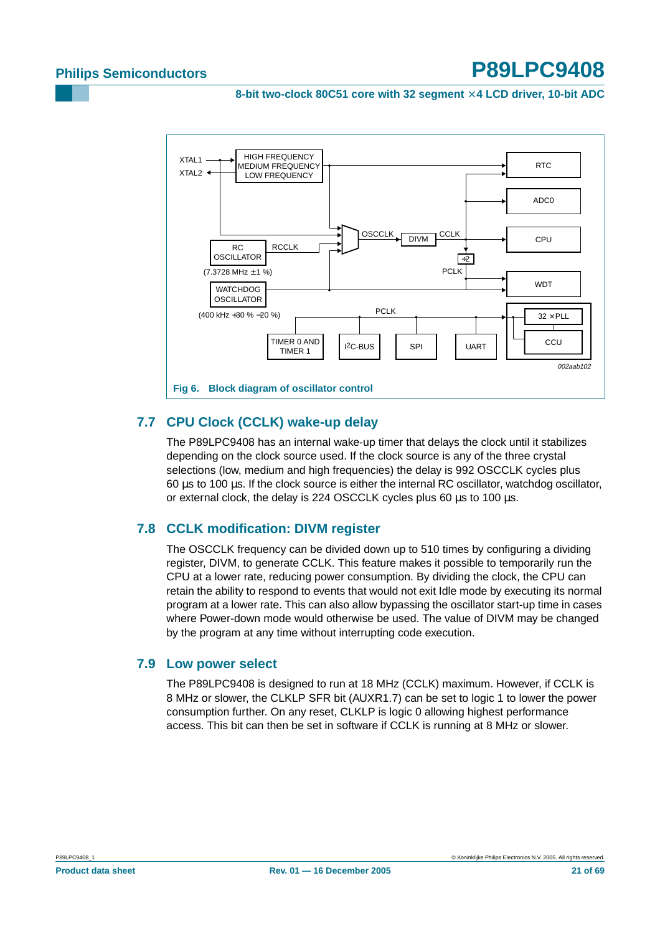**8-bit two-clock 80C51 core with 32 segment** × **4 LCD driver, 10-bit ADC**



## <span id="page-20-2"></span><span id="page-20-0"></span>**7.7 CPU Clock (CCLK) wake-up delay**

The P89LPC9408 has an internal wake-up timer that delays the clock until it stabilizes depending on the clock source used. If the clock source is any of the three crystal selections (low, medium and high frequencies) the delay is 992 OSCCLK cycles plus 60 µs to 100 µs. If the clock source is either the internal RC oscillator, watchdog oscillator, or external clock, the delay is 224 OSCCLK cycles plus 60 µs to 100 µs.

### <span id="page-20-1"></span>**7.8 CCLK modification: DIVM register**

The OSCCLK frequency can be divided down up to 510 times by configuring a dividing register, DIVM, to generate CCLK. This feature makes it possible to temporarily run the CPU at a lower rate, reducing power consumption. By dividing the clock, the CPU can retain the ability to respond to events that would not exit Idle mode by executing its normal program at a lower rate. This can also allow bypassing the oscillator start-up time in cases where Power-down mode would otherwise be used. The value of DIVM may be changed by the program at any time without interrupting code execution.

### <span id="page-20-3"></span>**7.9 Low power select**

The P89LPC9408 is designed to run at 18 MHz (CCLK) maximum. However, if CCLK is 8 MHz or slower, the CLKLP SFR bit (AUXR1.7) can be set to logic 1 to lower the power consumption further. On any reset, CLKLP is logic 0 allowing highest performance access. This bit can then be set in software if CCLK is running at 8 MHz or slower.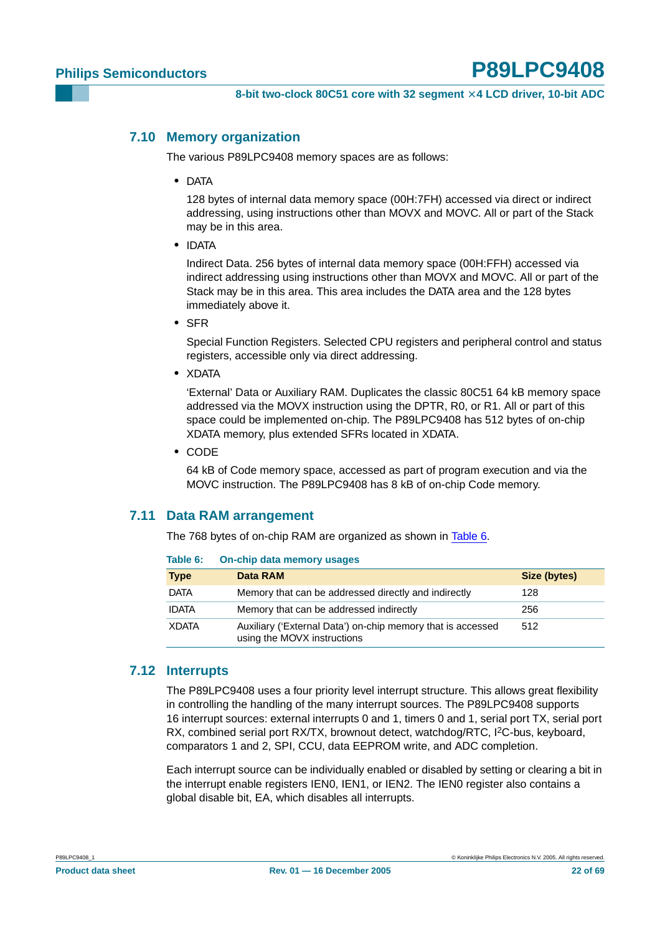#### <span id="page-21-1"></span>**7.10 Memory organization**

The various P89LPC9408 memory spaces are as follows:

**•** DATA

128 bytes of internal data memory space (00H:7FH) accessed via direct or indirect addressing, using instructions other than MOVX and MOVC. All or part of the Stack may be in this area.

**•** IDATA

Indirect Data. 256 bytes of internal data memory space (00H:FFH) accessed via indirect addressing using instructions other than MOVX and MOVC. All or part of the Stack may be in this area. This area includes the DATA area and the 128 bytes immediately above it.

**•** SFR

Special Function Registers. Selected CPU registers and peripheral control and status registers, accessible only via direct addressing.

**•** XDATA

'External' Data or Auxiliary RAM. Duplicates the classic 80C51 64 kB memory space addressed via the MOVX instruction using the DPTR, R0, or R1. All or part of this space could be implemented on-chip. The P89LPC9408 has 512 bytes of on-chip XDATA memory, plus extended SFRs located in XDATA.

**•** CODE

64 kB of Code memory space, accessed as part of program execution and via the MOVC instruction. The P89LPC9408 has 8 kB of on-chip Code memory.

### <span id="page-21-2"></span>**7.11 Data RAM arrangement**

The 768 bytes of on-chip RAM are organized as shown in [Table](#page-21-0) 6.

<span id="page-21-0"></span>

| Table 6:     | On-chip data memory usages                                                                 |              |
|--------------|--------------------------------------------------------------------------------------------|--------------|
| <b>Type</b>  | Data RAM                                                                                   | Size (bytes) |
| DATA         | Memory that can be addressed directly and indirectly                                       | 128          |
| <b>IDATA</b> | Memory that can be addressed indirectly                                                    | 256          |
| <b>XDATA</b> | Auxiliary ('External Data') on-chip memory that is accessed<br>using the MOVX instructions | 512          |

## <span id="page-21-3"></span>**7.12 Interrupts**

The P89LPC9408 uses a four priority level interrupt structure. This allows great flexibility in controlling the handling of the many interrupt sources. The P89LPC9408 supports 16 interrupt sources: external interrupts 0 and 1, timers 0 and 1, serial port TX, serial port RX, combined serial port RX/TX, brownout detect, watchdog/RTC, I<sup>2</sup>C-bus, keyboard, comparators 1 and 2, SPI, CCU, data EEPROM write, and ADC completion.

Each interrupt source can be individually enabled or disabled by setting or clearing a bit in the interrupt enable registers IEN0, IEN1, or IEN2. The IEN0 register also contains a global disable bit, EA, which disables all interrupts.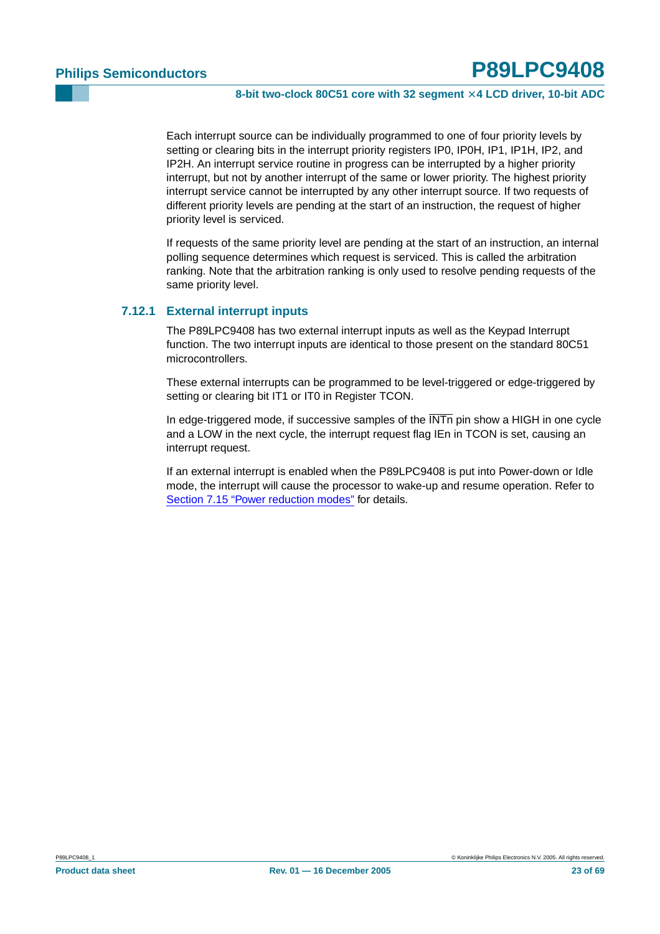Each interrupt source can be individually programmed to one of four priority levels by setting or clearing bits in the interrupt priority registers IP0, IP0H, IP1, IP1H, IP2, and IP2H. An interrupt service routine in progress can be interrupted by a higher priority interrupt, but not by another interrupt of the same or lower priority. The highest priority interrupt service cannot be interrupted by any other interrupt source. If two requests of different priority levels are pending at the start of an instruction, the request of higher priority level is serviced.

If requests of the same priority level are pending at the start of an instruction, an internal polling sequence determines which request is serviced. This is called the arbitration ranking. Note that the arbitration ranking is only used to resolve pending requests of the same priority level.

#### <span id="page-22-0"></span>**7.12.1 External interrupt inputs**

The P89LPC9408 has two external interrupt inputs as well as the Keypad Interrupt function. The two interrupt inputs are identical to those present on the standard 80C51 microcontrollers.

These external interrupts can be programmed to be level-triggered or edge-triggered by setting or clearing bit IT1 or IT0 in Register TCON.

In edge-triggered mode, if successive samples of the  $\overline{\text{INT}}$  pin show a HIGH in one cycle and a LOW in the next cycle, the interrupt request flag IEn in TCON is set, causing an interrupt request.

If an external interrupt is enabled when the P89LPC9408 is put into Power-down or Idle mode, the interrupt will cause the processor to wake-up and resume operation. Refer to [Section 7.15 "Power reduction modes"](#page-26-0) for details.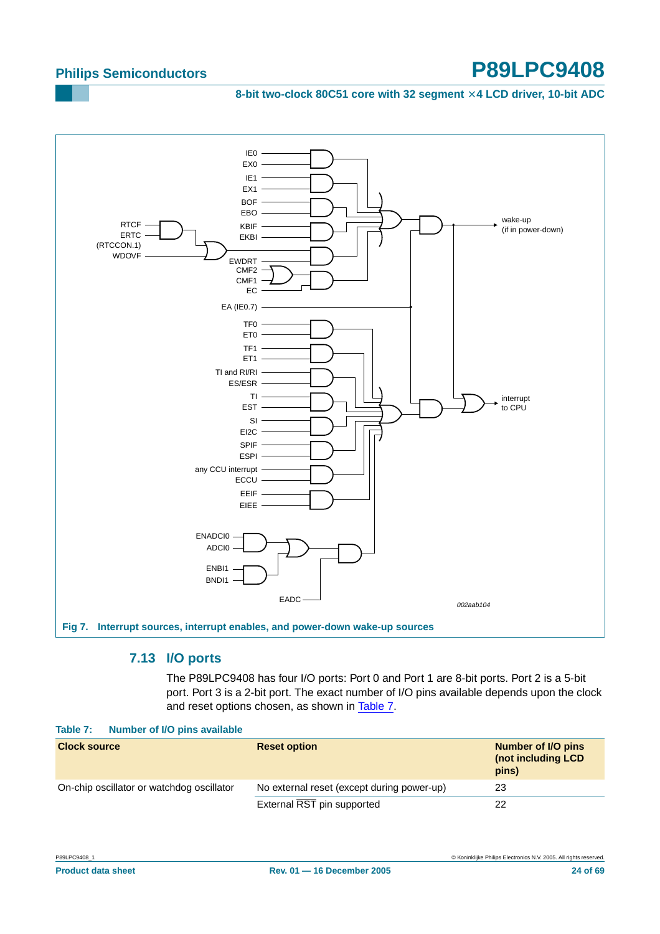8-bit two-clock 80C51 core with 32 segment  $\times$  4 LCD driver, 10-bit ADC



### **7.13 I/O ports**

The P89LPC9408 has four I/O ports: Port 0 and Port 1 are 8-bit ports. Port 2 is a 5-bit port. Port 3 is a 2-bit port. The exact number of I/O pins available depends upon the clock and reset options chosen, as shown in [Table](#page-23-0) 7.

|                     | Table 7: Number of I/O pins available     |                                            |                                                   |
|---------------------|-------------------------------------------|--------------------------------------------|---------------------------------------------------|
| <b>Clock source</b> |                                           | <b>Reset option</b>                        | Number of I/O pins<br>(not including LCD<br>pins) |
|                     | On-chip oscillator or watchdog oscillator | No external reset (except during power-up) | 23                                                |
|                     |                                           | External RST pin supported                 | 22                                                |
|                     |                                           |                                            |                                                   |

<span id="page-23-1"></span><span id="page-23-0"></span>**Table 7: Number of I/O pins available**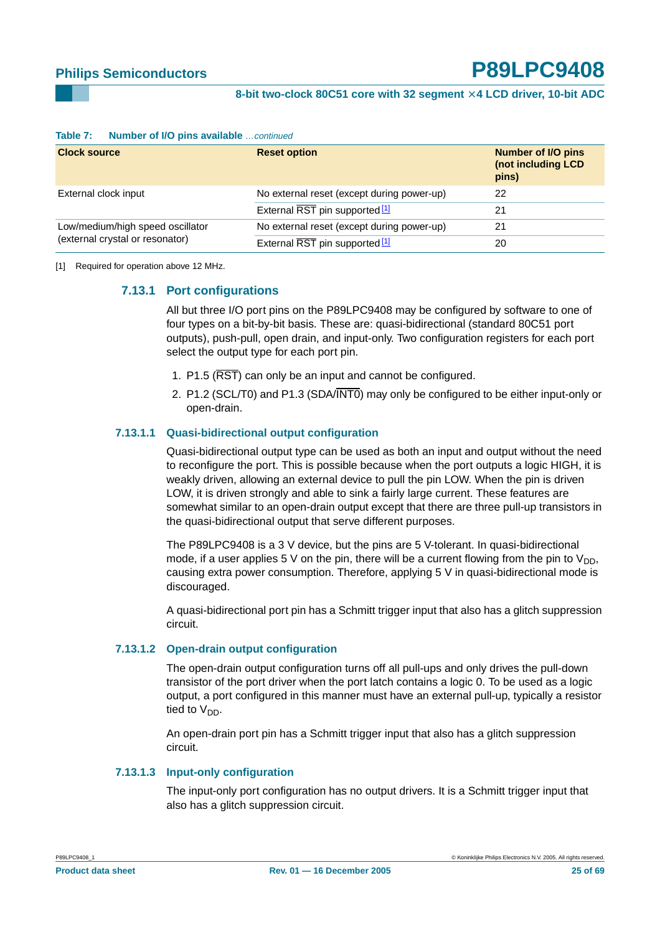| $\sim$                           |                                            |                                                          |  |  |  |  |  |
|----------------------------------|--------------------------------------------|----------------------------------------------------------|--|--|--|--|--|
| <b>Clock source</b>              | <b>Reset option</b>                        | <b>Number of I/O pins</b><br>(not including LCD<br>pins) |  |  |  |  |  |
| External clock input             | No external reset (except during power-up) | 22                                                       |  |  |  |  |  |
|                                  | External RST pin supported <sup>[1]</sup>  | 21                                                       |  |  |  |  |  |
| Low/medium/high speed oscillator | No external reset (except during power-up) | 21                                                       |  |  |  |  |  |
| (external crystal or resonator)  | External RST pin supported <sup>[1]</sup>  | 20                                                       |  |  |  |  |  |

#### **Table 7:** Number of I/O pins available continued

#### <span id="page-24-1"></span><span id="page-24-0"></span>[1] Required for operation above 12 MHz.

#### **7.13.1 Port configurations**

All but three I/O port pins on the P89LPC9408 may be configured by software to one of four types on a bit-by-bit basis. These are: quasi-bidirectional (standard 80C51 port outputs), push-pull, open drain, and input-only. Two configuration registers for each port select the output type for each port pin.

- 1. P1.5 (RST) can only be an input and cannot be configured.
- 2. P1.2 (SCL/T0) and P1.3 (SDA/INT0) may only be configured to be either input-only or open-drain.

#### <span id="page-24-2"></span>**7.13.1.1 Quasi-bidirectional output configuration**

Quasi-bidirectional output type can be used as both an input and output without the need to reconfigure the port. This is possible because when the port outputs a logic HIGH, it is weakly driven, allowing an external device to pull the pin LOW. When the pin is driven LOW, it is driven strongly and able to sink a fairly large current. These features are somewhat similar to an open-drain output except that there are three pull-up transistors in the quasi-bidirectional output that serve different purposes.

The P89LPC9408 is a 3 V device, but the pins are 5 V-tolerant. In quasi-bidirectional mode, if a user applies 5 V on the pin, there will be a current flowing from the pin to  $V_{DD}$ , causing extra power consumption. Therefore, applying 5 V in quasi-bidirectional mode is discouraged.

A quasi-bidirectional port pin has a Schmitt trigger input that also has a glitch suppression circuit.

#### <span id="page-24-3"></span>**7.13.1.2 Open-drain output configuration**

The open-drain output configuration turns off all pull-ups and only drives the pull-down transistor of the port driver when the port latch contains a logic 0. To be used as a logic output, a port configured in this manner must have an external pull-up, typically a resistor tied to  $V_{DD}$ .

An open-drain port pin has a Schmitt trigger input that also has a glitch suppression circuit.

#### <span id="page-24-4"></span>**7.13.1.3 Input-only configuration**

The input-only port configuration has no output drivers. It is a Schmitt trigger input that also has a glitch suppression circuit.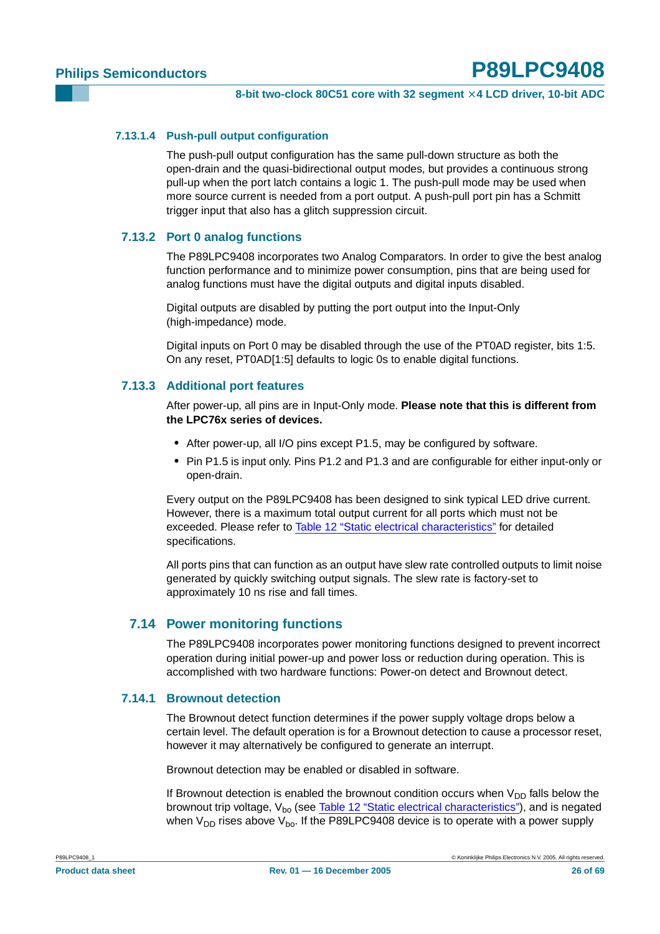#### <span id="page-25-0"></span>**7.13.1.4 Push-pull output configuration**

The push-pull output configuration has the same pull-down structure as both the open-drain and the quasi-bidirectional output modes, but provides a continuous strong pull-up when the port latch contains a logic 1. The push-pull mode may be used when more source current is needed from a port output. A push-pull port pin has a Schmitt trigger input that also has a glitch suppression circuit.

#### <span id="page-25-1"></span>**7.13.2 Port 0 analog functions**

The P89LPC9408 incorporates two Analog Comparators. In order to give the best analog function performance and to minimize power consumption, pins that are being used for analog functions must have the digital outputs and digital inputs disabled.

Digital outputs are disabled by putting the port output into the Input-Only (high-impedance) mode.

Digital inputs on Port 0 may be disabled through the use of the PT0AD register, bits 1:5. On any reset, PT0AD[1:5] defaults to logic 0s to enable digital functions.

### <span id="page-25-2"></span>**7.13.3 Additional port features**

After power-up, all pins are in Input-Only mode. **Please note that this is different from the LPC76x series of devices.**

- **•** After power-up, all I/O pins except P1.5, may be configured by software.
- **•** Pin P1.5 is input only. Pins P1.2 and P1.3 and are configurable for either input-only or open-drain.

Every output on the P89LPC9408 has been designed to sink typical LED drive current. However, there is a maximum total output current for all ports which must not be exceeded. Please refer to [Table 12 "Static electrical characteristics"](#page-52-0) for detailed specifications.

All ports pins that can function as an output have slew rate controlled outputs to limit noise generated by quickly switching output signals. The slew rate is factory-set to approximately 10 ns rise and fall times.

#### <span id="page-25-3"></span>**7.14 Power monitoring functions**

The P89LPC9408 incorporates power monitoring functions designed to prevent incorrect operation during initial power-up and power loss or reduction during operation. This is accomplished with two hardware functions: Power-on detect and Brownout detect.

### <span id="page-25-4"></span>**7.14.1 Brownout detection**

The Brownout detect function determines if the power supply voltage drops below a certain level. The default operation is for a Brownout detection to cause a processor reset, however it may alternatively be configured to generate an interrupt.

Brownout detection may be enabled or disabled in software.

If Brownout detection is enabled the brownout condition occurs when  $V_{DD}$  falls below the brownout trip voltage,  $V_{bo}$  (see Table 12 "Static electrical [characteristics"](#page-52-0)), and is negated when  $V_{DD}$  rises above  $V_{\text{bo}}$ . If the P89LPC9408 device is to operate with a power supply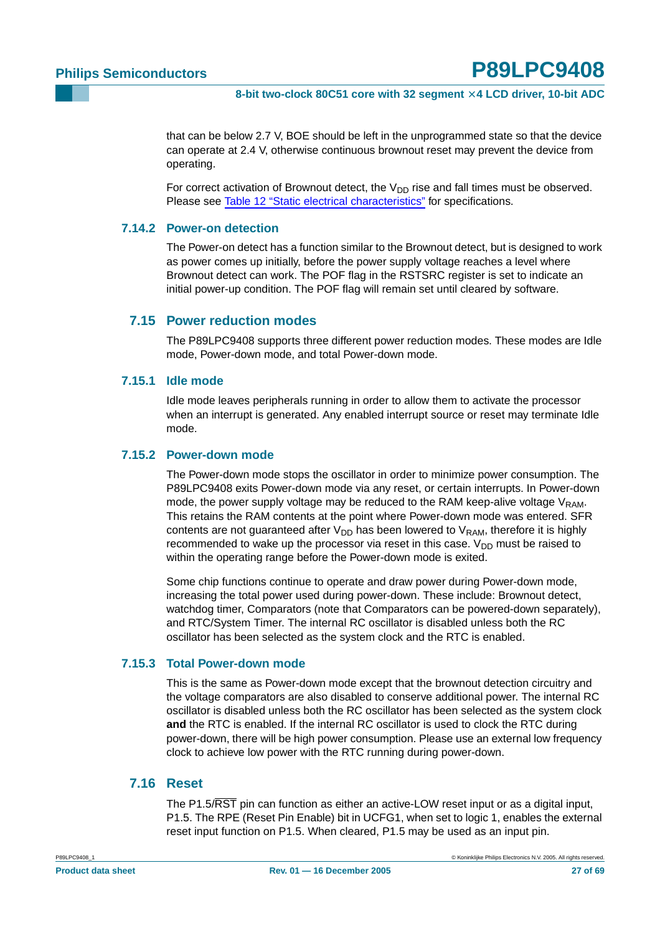that can be below 2.7 V, BOE should be left in the unprogrammed state so that the device can operate at 2.4 V, otherwise continuous brownout reset may prevent the device from operating.

For correct activation of Brownout detect, the  $V_{DD}$  rise and fall times must be observed. Please see [Table 12 "Static electrical characteristics"](#page-52-0) for specifications.

#### <span id="page-26-1"></span>**7.14.2 Power-on detection**

The Power-on detect has a function similar to the Brownout detect, but is designed to work as power comes up initially, before the power supply voltage reaches a level where Brownout detect can work. The POF flag in the RSTSRC register is set to indicate an initial power-up condition. The POF flag will remain set until cleared by software.

#### <span id="page-26-0"></span>**7.15 Power reduction modes**

The P89LPC9408 supports three different power reduction modes. These modes are Idle mode, Power-down mode, and total Power-down mode.

#### <span id="page-26-2"></span>**7.15.1 Idle mode**

Idle mode leaves peripherals running in order to allow them to activate the processor when an interrupt is generated. Any enabled interrupt source or reset may terminate Idle mode.

#### <span id="page-26-3"></span>**7.15.2 Power-down mode**

The Power-down mode stops the oscillator in order to minimize power consumption. The P89LPC9408 exits Power-down mode via any reset, or certain interrupts. In Power-down mode, the power supply voltage may be reduced to the RAM keep-alive voltage  $V_{RAM}$ . This retains the RAM contents at the point where Power-down mode was entered. SFR contents are not guaranteed after  $V_{DD}$  has been lowered to  $V_{RAM}$ , therefore it is highly recommended to wake up the processor via reset in this case.  $V_{DD}$  must be raised to within the operating range before the Power-down mode is exited.

Some chip functions continue to operate and draw power during Power-down mode, increasing the total power used during power-down. These include: Brownout detect, watchdog timer, Comparators (note that Comparators can be powered-down separately), and RTC/System Timer. The internal RC oscillator is disabled unless both the RC oscillator has been selected as the system clock and the RTC is enabled.

#### <span id="page-26-4"></span>**7.15.3 Total Power-down mode**

This is the same as Power-down mode except that the brownout detection circuitry and the voltage comparators are also disabled to conserve additional power. The internal RC oscillator is disabled unless both the RC oscillator has been selected as the system clock **and** the RTC is enabled. If the internal RC oscillator is used to clock the RTC during power-down, there will be high power consumption. Please use an external low frequency clock to achieve low power with the RTC running during power-down.

### <span id="page-26-5"></span>**7.16 Reset**

The P1.5/RST pin can function as either an active-LOW reset input or as a digital input, P1.5. The RPE (Reset Pin Enable) bit in UCFG1, when set to logic 1, enables the external reset input function on P1.5. When cleared, P1.5 may be used as an input pin.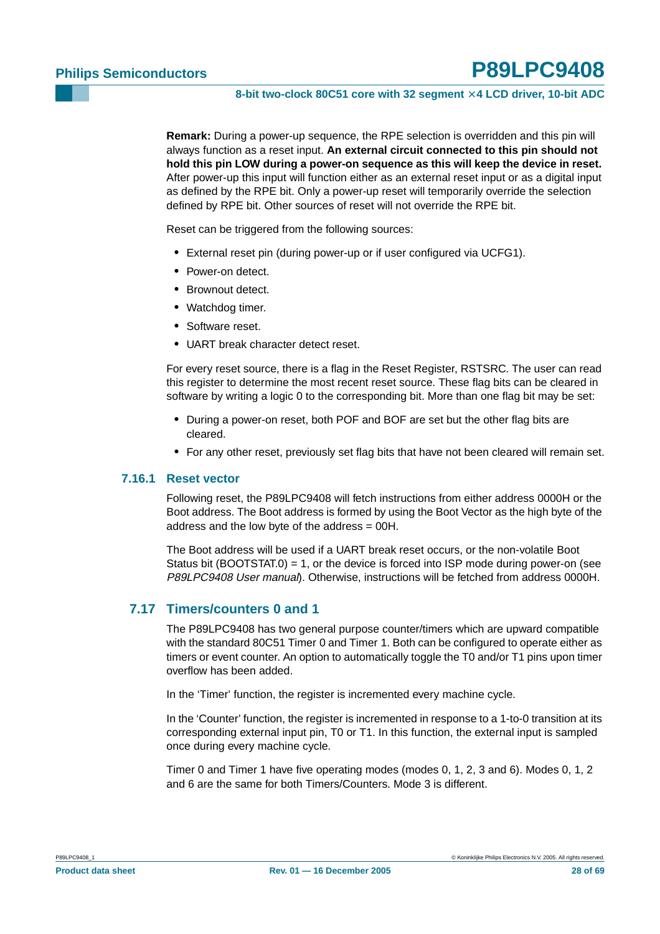**Remark:** During a power-up sequence, the RPE selection is overridden and this pin will always function as a reset input. **An external circuit connected to this pin should not hold this pin LOW during a power-on sequence as this will keep the device in reset.** After power-up this input will function either as an external reset input or as a digital input as defined by the RPE bit. Only a power-up reset will temporarily override the selection defined by RPE bit. Other sources of reset will not override the RPE bit.

Reset can be triggered from the following sources:

- **•** External reset pin (during power-up or if user configured via UCFG1).
- **•** Power-on detect.
- **•** Brownout detect.
- **•** Watchdog timer.
- **•** Software reset.
- **•** UART break character detect reset.

For every reset source, there is a flag in the Reset Register, RSTSRC. The user can read this register to determine the most recent reset source. These flag bits can be cleared in software by writing a logic 0 to the corresponding bit. More than one flag bit may be set:

- **•** During a power-on reset, both POF and BOF are set but the other flag bits are cleared.
- **•** For any other reset, previously set flag bits that have not been cleared will remain set.

#### <span id="page-27-0"></span>**7.16.1 Reset vector**

Following reset, the P89LPC9408 will fetch instructions from either address 0000H or the Boot address. The Boot address is formed by using the Boot Vector as the high byte of the address and the low byte of the address = 00H.

The Boot address will be used if a UART break reset occurs, or the non-volatile Boot Status bit (BOOTSTAT.0) = 1, or the device is forced into ISP mode during power-on (see P89LPC9408 User manual). Otherwise, instructions will be fetched from address 0000H.

#### <span id="page-27-1"></span>**7.17 Timers/counters 0 and 1**

The P89LPC9408 has two general purpose counter/timers which are upward compatible with the standard 80C51 Timer 0 and Timer 1. Both can be configured to operate either as timers or event counter. An option to automatically toggle the T0 and/or T1 pins upon timer overflow has been added.

In the 'Timer' function, the register is incremented every machine cycle.

In the 'Counter' function, the register is incremented in response to a 1-to-0 transition at its corresponding external input pin, T0 or T1. In this function, the external input is sampled once during every machine cycle.

Timer 0 and Timer 1 have five operating modes (modes 0, 1, 2, 3 and 6). Modes 0, 1, 2 and 6 are the same for both Timers/Counters. Mode 3 is different.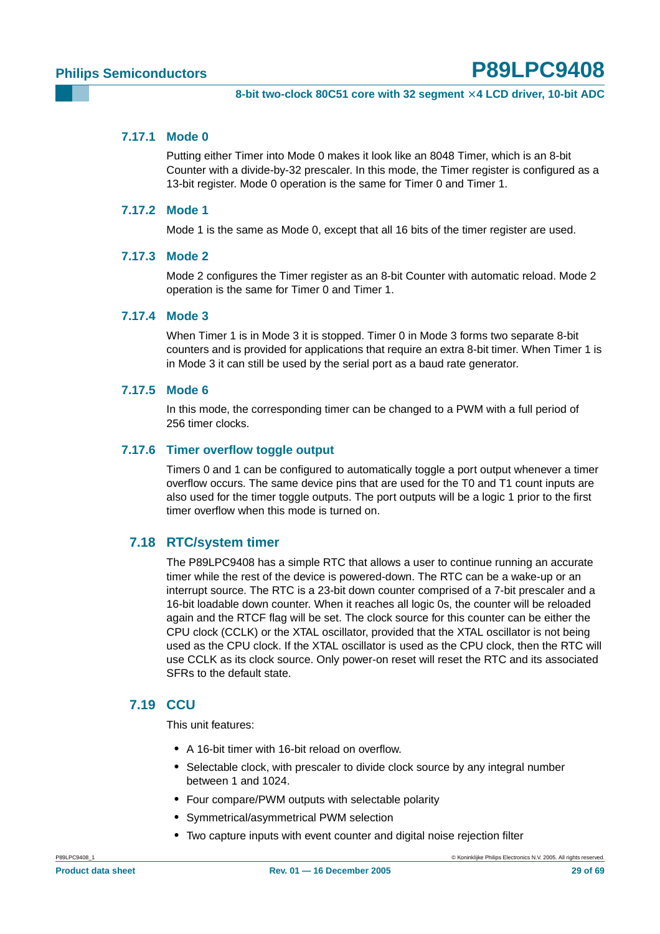#### <span id="page-28-0"></span>**7.17.1 Mode 0**

Putting either Timer into Mode 0 makes it look like an 8048 Timer, which is an 8-bit Counter with a divide-by-32 prescaler. In this mode, the Timer register is configured as a 13-bit register. Mode 0 operation is the same for Timer 0 and Timer 1.

#### <span id="page-28-1"></span>**7.17.2 Mode 1**

Mode 1 is the same as Mode 0, except that all 16 bits of the timer register are used.

#### <span id="page-28-2"></span>**7.17.3 Mode 2**

Mode 2 configures the Timer register as an 8-bit Counter with automatic reload. Mode 2 operation is the same for Timer 0 and Timer 1.

#### <span id="page-28-3"></span>**7.17.4 Mode 3**

When Timer 1 is in Mode 3 it is stopped. Timer 0 in Mode 3 forms two separate 8-bit counters and is provided for applications that require an extra 8-bit timer. When Timer 1 is in Mode 3 it can still be used by the serial port as a baud rate generator.

#### <span id="page-28-4"></span>**7.17.5 Mode 6**

In this mode, the corresponding timer can be changed to a PWM with a full period of 256 timer clocks.

#### <span id="page-28-5"></span>**7.17.6 Timer overflow toggle output**

Timers 0 and 1 can be configured to automatically toggle a port output whenever a timer overflow occurs. The same device pins that are used for the T0 and T1 count inputs are also used for the timer toggle outputs. The port outputs will be a logic 1 prior to the first timer overflow when this mode is turned on.

#### <span id="page-28-6"></span>**7.18 RTC/system timer**

The P89LPC9408 has a simple RTC that allows a user to continue running an accurate timer while the rest of the device is powered-down. The RTC can be a wake-up or an interrupt source. The RTC is a 23-bit down counter comprised of a 7-bit prescaler and a 16-bit loadable down counter. When it reaches all logic 0s, the counter will be reloaded again and the RTCF flag will be set. The clock source for this counter can be either the CPU clock (CCLK) or the XTAL oscillator, provided that the XTAL oscillator is not being used as the CPU clock. If the XTAL oscillator is used as the CPU clock, then the RTC will use CCLK as its clock source. Only power-on reset will reset the RTC and its associated SFRs to the default state.

### <span id="page-28-7"></span>**7.19 CCU**

This unit features:

- **•** A 16-bit timer with 16-bit reload on overflow.
- **•** Selectable clock, with prescaler to divide clock source by any integral number between 1 and 1024.
- **•** Four compare/PWM outputs with selectable polarity
- **•** Symmetrical/asymmetrical PWM selection
- **•** Two capture inputs with event counter and digital noise rejection filter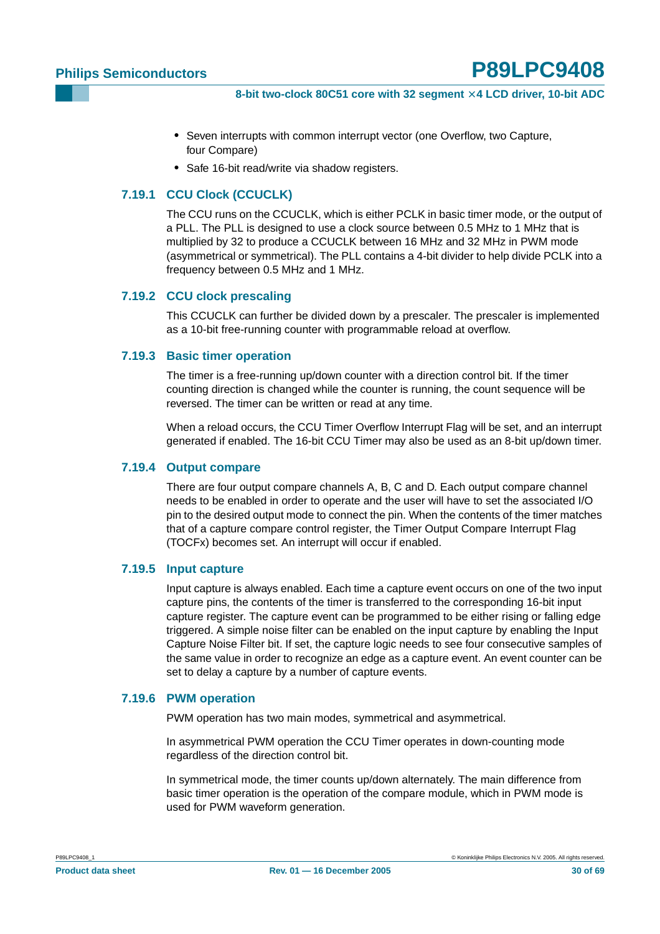- **•** Seven interrupts with common interrupt vector (one Overflow, two Capture, four Compare)
- **•** Safe 16-bit read/write via shadow registers.

#### <span id="page-29-0"></span>**7.19.1 CCU Clock (CCUCLK)**

The CCU runs on the CCUCLK, which is either PCLK in basic timer mode, or the output of a PLL. The PLL is designed to use a clock source between 0.5 MHz to 1 MHz that is multiplied by 32 to produce a CCUCLK between 16 MHz and 32 MHz in PWM mode (asymmetrical or symmetrical). The PLL contains a 4-bit divider to help divide PCLK into a frequency between 0.5 MHz and 1 MHz.

#### <span id="page-29-1"></span>**7.19.2 CCU clock prescaling**

This CCUCLK can further be divided down by a prescaler. The prescaler is implemented as a 10-bit free-running counter with programmable reload at overflow.

#### <span id="page-29-2"></span>**7.19.3 Basic timer operation**

The timer is a free-running up/down counter with a direction control bit. If the timer counting direction is changed while the counter is running, the count sequence will be reversed. The timer can be written or read at any time.

When a reload occurs, the CCU Timer Overflow Interrupt Flag will be set, and an interrupt generated if enabled. The 16-bit CCU Timer may also be used as an 8-bit up/down timer.

#### <span id="page-29-3"></span>**7.19.4 Output compare**

There are four output compare channels A, B, C and D. Each output compare channel needs to be enabled in order to operate and the user will have to set the associated I/O pin to the desired output mode to connect the pin. When the contents of the timer matches that of a capture compare control register, the Timer Output Compare Interrupt Flag (TOCFx) becomes set. An interrupt will occur if enabled.

#### <span id="page-29-4"></span>**7.19.5 Input capture**

Input capture is always enabled. Each time a capture event occurs on one of the two input capture pins, the contents of the timer is transferred to the corresponding 16-bit input capture register. The capture event can be programmed to be either rising or falling edge triggered. A simple noise filter can be enabled on the input capture by enabling the Input Capture Noise Filter bit. If set, the capture logic needs to see four consecutive samples of the same value in order to recognize an edge as a capture event. An event counter can be set to delay a capture by a number of capture events.

#### <span id="page-29-5"></span>**7.19.6 PWM operation**

PWM operation has two main modes, symmetrical and asymmetrical.

In asymmetrical PWM operation the CCU Timer operates in down-counting mode regardless of the direction control bit.

In symmetrical mode, the timer counts up/down alternately. The main difference from basic timer operation is the operation of the compare module, which in PWM mode is used for PWM waveform generation.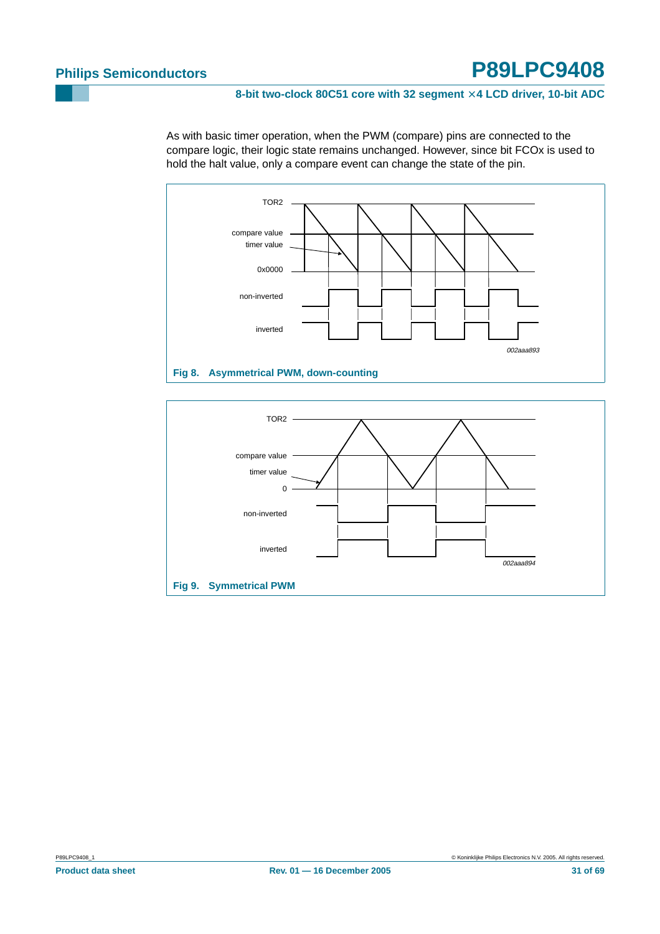#### 8-bit two-clock 80C51 core with 32 segment  $\times$  4 LCD driver, 10-bit ADC

As with basic timer operation, when the PWM (compare) pins are connected to the compare logic, their logic state remains unchanged. However, since bit FCOx is used to hold the halt value, only a compare event can change the state of the pin.



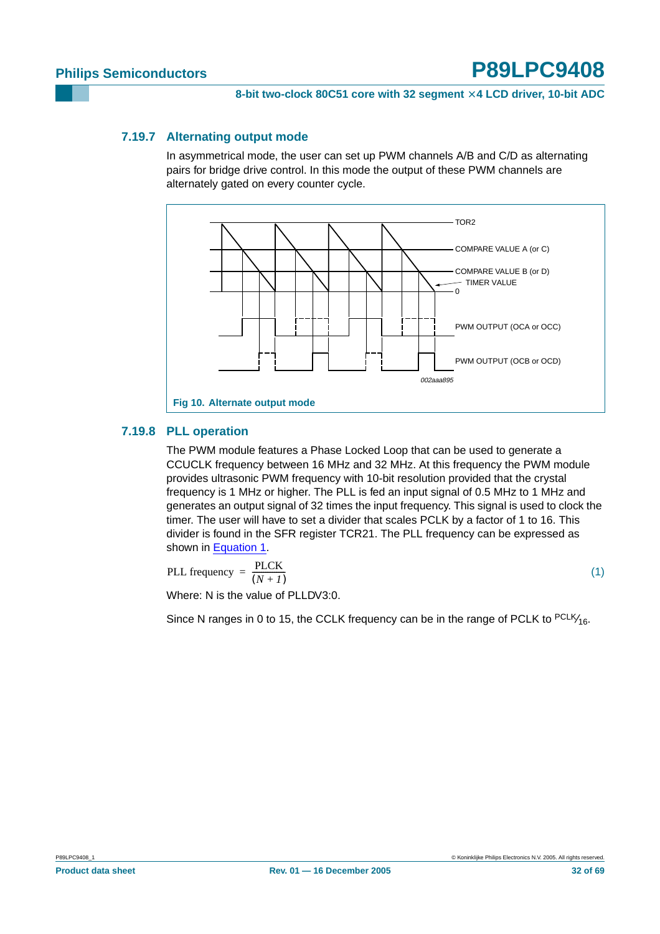#### <span id="page-31-1"></span>**7.19.7 Alternating output mode**

In asymmetrical mode, the user can set up PWM channels A/B and C/D as alternating pairs for bridge drive control. In this mode the output of these PWM channels are alternately gated on every counter cycle.



### <span id="page-31-2"></span>**7.19.8 PLL operation**

The PWM module features a Phase Locked Loop that can be used to generate a CCUCLK frequency between 16 MHz and 32 MHz. At this frequency the PWM module provides ultrasonic PWM frequency with 10-bit resolution provided that the crystal frequency is 1 MHz or higher. The PLL is fed an input signal of 0.5 MHz to 1 MHz and generates an output signal of 32 times the input frequency. This signal is used to clock the timer. The user will have to set a divider that scales PCLK by a factor of 1 to 16. This divider is found in the SFR register TCR21. The PLL frequency can be expressed as shown in [Equation](#page-31-0) 1.

<span id="page-31-0"></span>
$$
PLL frequency = \frac{PLCK}{(N+I)}
$$

(1)

Where: N is the value of PLLDV3:0.

Since N ranges in 0 to 15, the CCLK frequency can be in the range of PCLK to <sup>PCLK</sup>/<sub>16</sub>.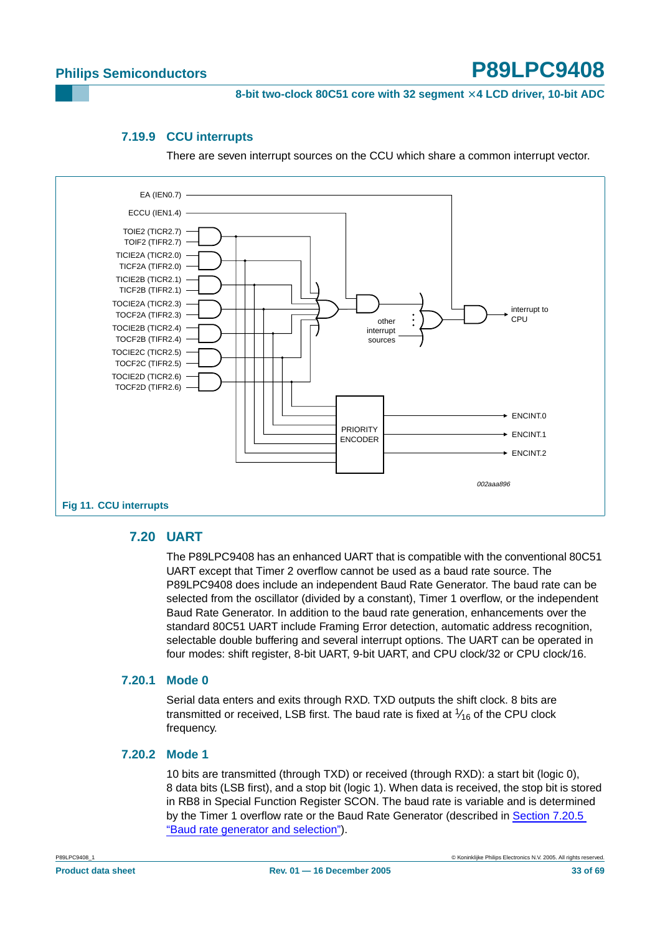**8-bit two-clock 80C51 core with 32 segment** × **4 LCD driver, 10-bit ADC**

#### **7.19.9 CCU interrupts**

There are seven interrupt sources on the CCU which share a common interrupt vector.

<span id="page-32-0"></span>

#### <span id="page-32-1"></span>**7.20 UART**

The P89LPC9408 has an enhanced UART that is compatible with the conventional 80C51 UART except that Timer 2 overflow cannot be used as a baud rate source. The P89LPC9408 does include an independent Baud Rate Generator. The baud rate can be selected from the oscillator (divided by a constant), Timer 1 overflow, or the independent Baud Rate Generator. In addition to the baud rate generation, enhancements over the standard 80C51 UART include Framing Error detection, automatic address recognition, selectable double buffering and several interrupt options. The UART can be operated in four modes: shift register, 8-bit UART, 9-bit UART, and CPU clock/32 or CPU clock/16.

#### <span id="page-32-2"></span>**7.20.1 Mode 0**

Serial data enters and exits through RXD. TXD outputs the shift clock. 8 bits are transmitted or received, LSB first. The baud rate is fixed at  $\frac{1}{16}$  of the CPU clock frequency.

#### <span id="page-32-3"></span>**7.20.2 Mode 1**

10 bits are transmitted (through TXD) or received (through RXD): a start bit (logic 0), 8 data bits (LSB first), and a stop bit (logic 1). When data is received, the stop bit is stored in RB8 in Special Function Register SCON. The baud rate is variable and is determined by the Timer 1 overflow rate or the Baud Rate Generator (described in [Section 7.20.5](#page-33-0) ["Baud rate generator and selection"](#page-33-0)).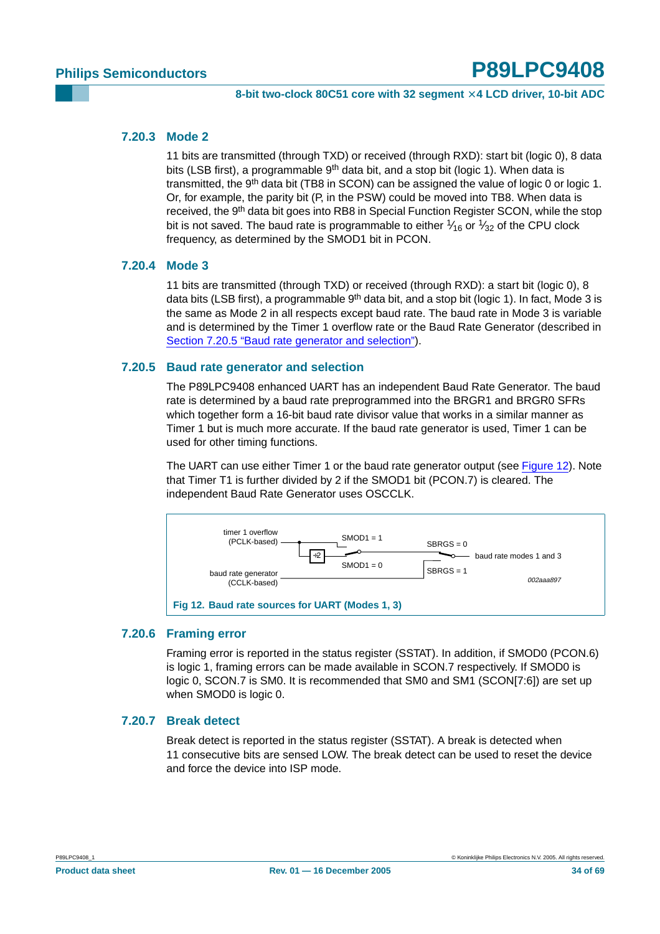#### <span id="page-33-2"></span>**7.20.3 Mode 2**

11 bits are transmitted (through TXD) or received (through RXD): start bit (logic 0), 8 data bits (LSB first), a programmable 9<sup>th</sup> data bit, and a stop bit (logic 1). When data is transmitted, the 9<sup>th</sup> data bit (TB8 in SCON) can be assigned the value of logic 0 or logic 1. Or, for example, the parity bit (P, in the PSW) could be moved into TB8. When data is received, the 9<sup>th</sup> data bit goes into RB8 in Special Function Register SCON, while the stop bit is not saved. The baud rate is programmable to either  $\frac{1}{16}$  or  $\frac{1}{32}$  of the CPU clock frequency, as determined by the SMOD1 bit in PCON.

#### <span id="page-33-3"></span>**7.20.4 Mode 3**

11 bits are transmitted (through TXD) or received (through RXD): a start bit (logic 0), 8 data bits (LSB first), a programmable  $9<sup>th</sup>$  data bit, and a stop bit (logic 1). In fact, Mode 3 is the same as Mode 2 in all respects except baud rate. The baud rate in Mode 3 is variable and is determined by the Timer 1 overflow rate or the Baud Rate Generator (described in [Section 7.20.5 "Baud rate generator and selection"\)](#page-33-0).

#### <span id="page-33-0"></span>**7.20.5 Baud rate generator and selection**

The P89LPC9408 enhanced UART has an independent Baud Rate Generator. The baud rate is determined by a baud rate preprogrammed into the BRGR1 and BRGR0 SFRs which together form a 16-bit baud rate divisor value that works in a similar manner as Timer 1 but is much more accurate. If the baud rate generator is used, Timer 1 can be used for other timing functions.

The UART can use either Timer 1 or the baud rate generator output (see [Figure](#page-33-1) 12). Note that Timer T1 is further divided by 2 if the SMOD1 bit (PCON.7) is cleared. The independent Baud Rate Generator uses OSCCLK.



#### <span id="page-33-4"></span><span id="page-33-1"></span>**7.20.6 Framing error**

Framing error is reported in the status register (SSTAT). In addition, if SMOD0 (PCON.6) is logic 1, framing errors can be made available in SCON.7 respectively. If SMOD0 is logic 0, SCON.7 is SM0. It is recommended that SM0 and SM1 (SCON[7:6]) are set up when SMOD0 is logic 0.

#### <span id="page-33-5"></span>**7.20.7 Break detect**

Break detect is reported in the status register (SSTAT). A break is detected when 11 consecutive bits are sensed LOW. The break detect can be used to reset the device and force the device into ISP mode.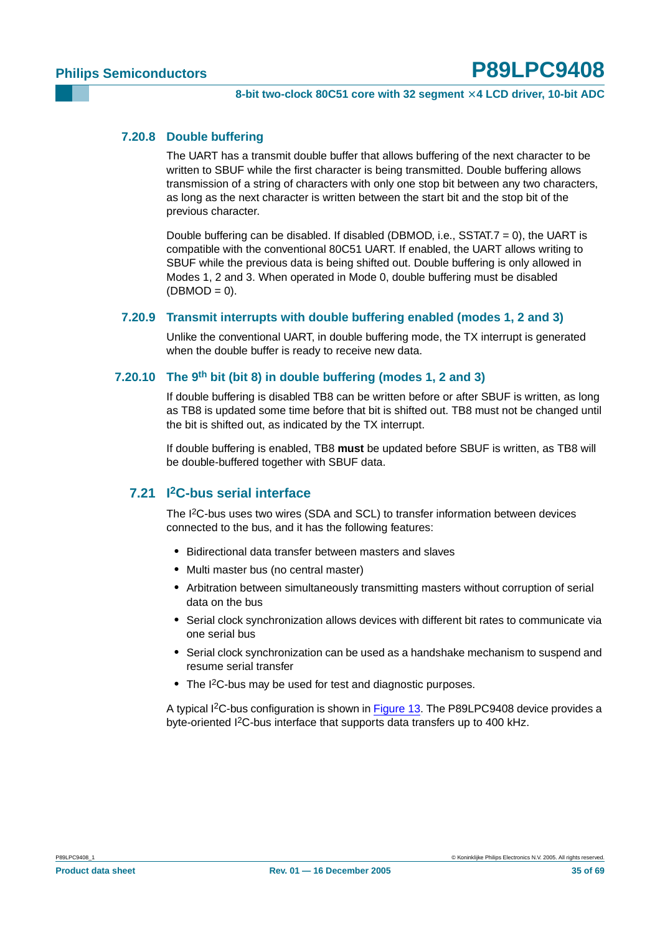#### <span id="page-34-0"></span>**7.20.8 Double buffering**

The UART has a transmit double buffer that allows buffering of the next character to be written to SBUF while the first character is being transmitted. Double buffering allows transmission of a string of characters with only one stop bit between any two characters, as long as the next character is written between the start bit and the stop bit of the previous character.

Double buffering can be disabled. If disabled (DBMOD, i.e., SSTAT.7 = 0), the UART is compatible with the conventional 80C51 UART. If enabled, the UART allows writing to SBUF while the previous data is being shifted out. Double buffering is only allowed in Modes 1, 2 and 3. When operated in Mode 0, double buffering must be disabled  $(DBMOD = 0)$ .

#### <span id="page-34-1"></span>**7.20.9 Transmit interrupts with double buffering enabled (modes 1, 2 and 3)**

Unlike the conventional UART, in double buffering mode, the TX interrupt is generated when the double buffer is ready to receive new data.

#### <span id="page-34-2"></span>**7.20.10 The 9th bit (bit 8) in double buffering (modes 1, 2 and 3)**

If double buffering is disabled TB8 can be written before or after SBUF is written, as long as TB8 is updated some time before that bit is shifted out. TB8 must not be changed until the bit is shifted out, as indicated by the TX interrupt.

If double buffering is enabled, TB8 **must** be updated before SBUF is written, as TB8 will be double-buffered together with SBUF data.

### <span id="page-34-3"></span>**7.21 I2C-bus serial interface**

The I2C-bus uses two wires (SDA and SCL) to transfer information between devices connected to the bus, and it has the following features:

- **•** Bidirectional data transfer between masters and slaves
- **•** Multi master bus (no central master)
- **•** Arbitration between simultaneously transmitting masters without corruption of serial data on the bus
- **•** Serial clock synchronization allows devices with different bit rates to communicate via one serial bus
- **•** Serial clock synchronization can be used as a handshake mechanism to suspend and resume serial transfer
- **•** The I2C-bus may be used for test and diagnostic purposes.

A typical I<sup>2</sup>C-bus configuration is shown in [Figure](#page-35-0) 13. The P89LPC9408 device provides a byte-oriented I2C-bus interface that supports data transfers up to 400 kHz.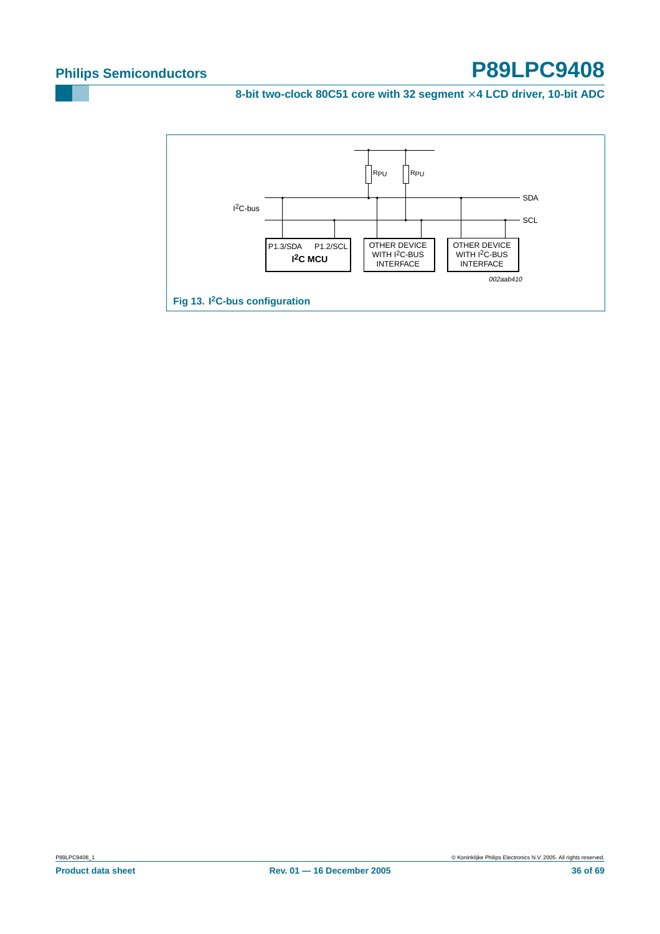8-bit two-clock 80C51 core with 32 segment  $\times$  4 LCD driver, 10-bit ADC

<span id="page-35-0"></span>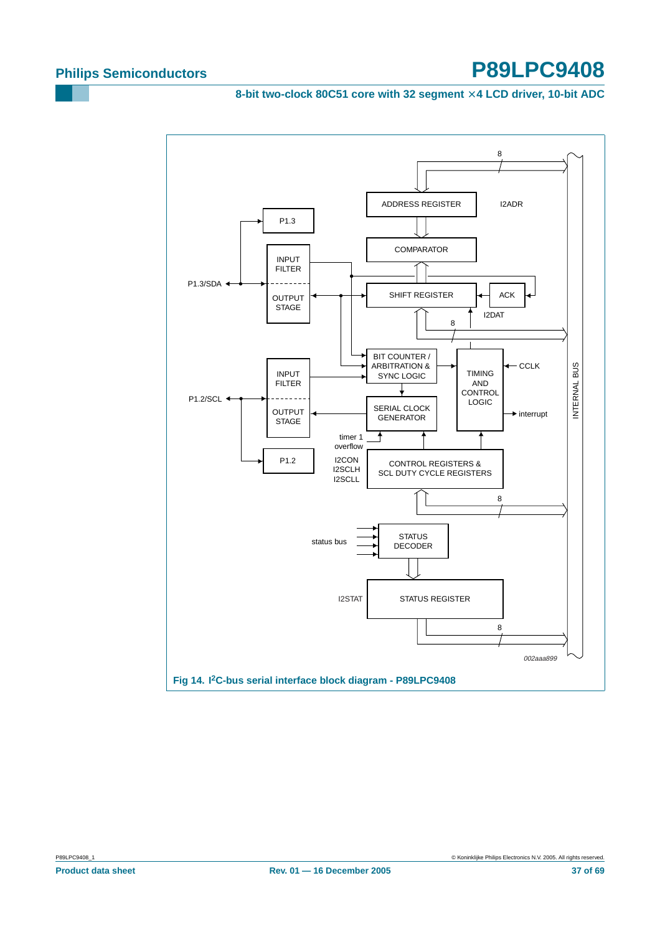8-bit two-clock 80C51 core with 32 segment  $\times$  4 LCD driver, 10-bit ADC

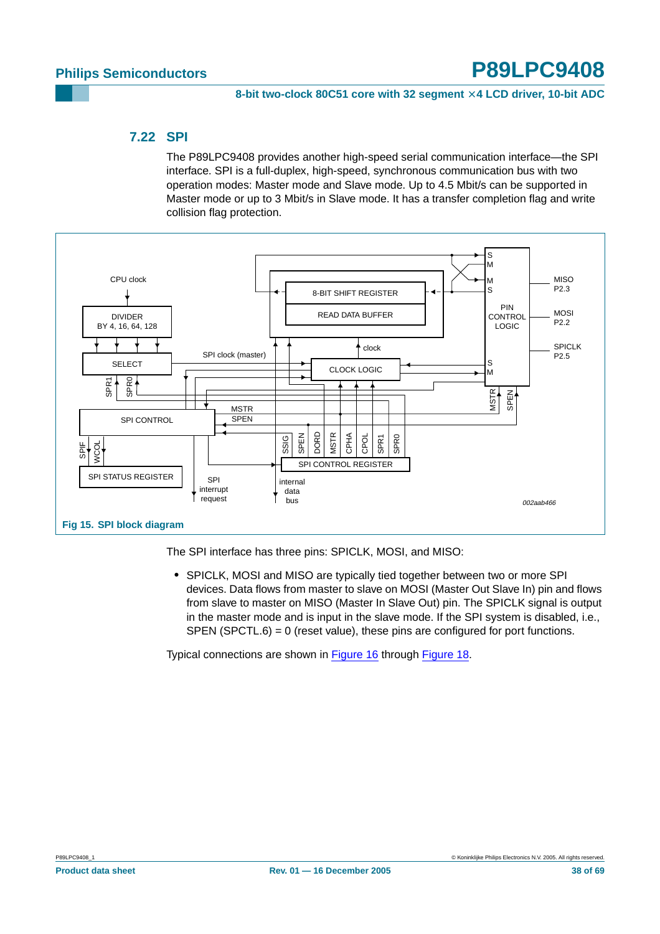#### <span id="page-37-0"></span>**7.22 SPI**

The P89LPC9408 provides another high-speed serial communication interface—the SPI interface. SPI is a full-duplex, high-speed, synchronous communication bus with two operation modes: Master mode and Slave mode. Up to 4.5 Mbit/s can be supported in Master mode or up to 3 Mbit/s in Slave mode. It has a transfer completion flag and write collision flag protection.



The SPI interface has three pins: SPICLK, MOSI, and MISO:

**•** SPICLK, MOSI and MISO are typically tied together between two or more SPI devices. Data flows from master to slave on MOSI (Master Out Slave In) pin and flows from slave to master on MISO (Master In Slave Out) pin. The SPICLK signal is output in the master mode and is input in the slave mode. If the SPI system is disabled, i.e., SPEN (SPCTL.6) = 0 (reset value), these pins are configured for port functions.

Typical connections are shown in [Figure](#page-38-0) 16 through [Figure](#page-39-0) 18.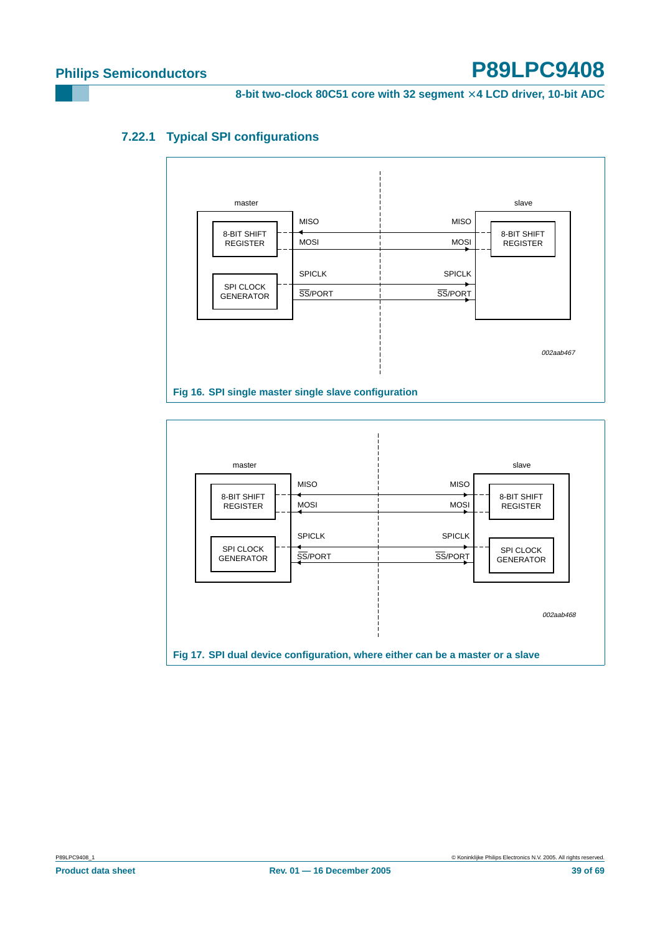8-bit two-clock 80C51 core with 32 segment  $\times$  4 LCD driver, 10-bit ADC

### <span id="page-38-1"></span>**7.22.1 Typical SPI configurations**



<span id="page-38-0"></span>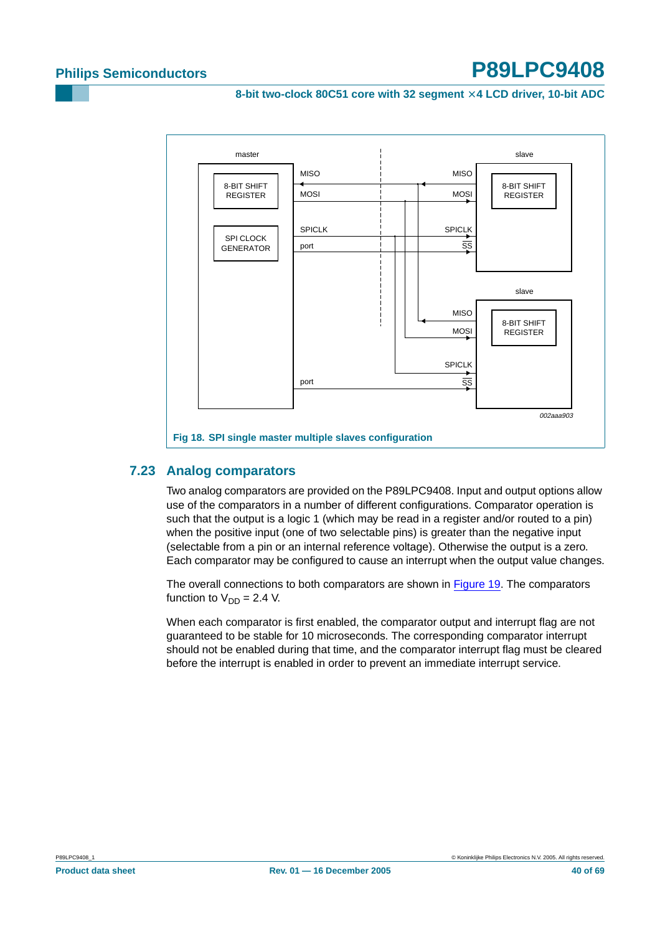**8-bit two-clock 80C51 core with 32 segment** × **4 LCD driver, 10-bit ADC**



### <span id="page-39-1"></span><span id="page-39-0"></span>**7.23 Analog comparators**

Two analog comparators are provided on the P89LPC9408. Input and output options allow use of the comparators in a number of different configurations. Comparator operation is such that the output is a logic 1 (which may be read in a register and/or routed to a pin) when the positive input (one of two selectable pins) is greater than the negative input (selectable from a pin or an internal reference voltage). Otherwise the output is a zero. Each comparator may be configured to cause an interrupt when the output value changes.

The overall connections to both comparators are shown in [Figure](#page-40-0) 19. The comparators function to  $V_{DD} = 2.4$  V.

When each comparator is first enabled, the comparator output and interrupt flag are not guaranteed to be stable for 10 microseconds. The corresponding comparator interrupt should not be enabled during that time, and the comparator interrupt flag must be cleared before the interrupt is enabled in order to prevent an immediate interrupt service.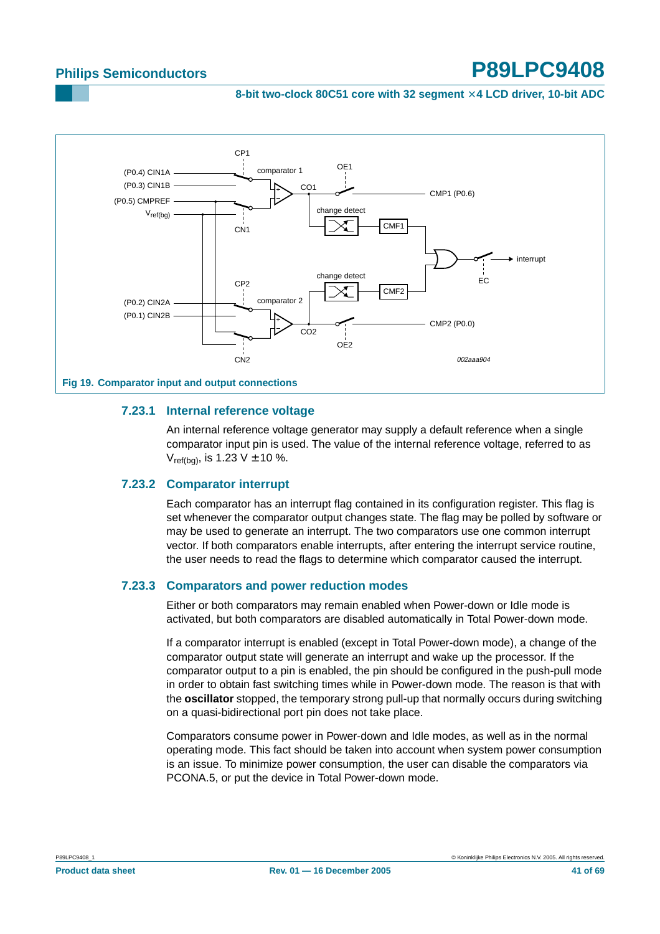**8-bit two-clock 80C51 core with 32 segment** × **4 LCD driver, 10-bit ADC**



#### <span id="page-40-1"></span><span id="page-40-0"></span>**7.23.1 Internal reference voltage**

An internal reference voltage generator may supply a default reference when a single comparator input pin is used. The value of the internal reference voltage, referred to as  $V_{ref(bq)}$ , is 1.23 V  $\pm$  10 %.

#### <span id="page-40-2"></span>**7.23.2 Comparator interrupt**

Each comparator has an interrupt flag contained in its configuration register. This flag is set whenever the comparator output changes state. The flag may be polled by software or may be used to generate an interrupt. The two comparators use one common interrupt vector. If both comparators enable interrupts, after entering the interrupt service routine, the user needs to read the flags to determine which comparator caused the interrupt.

#### <span id="page-40-3"></span>**7.23.3 Comparators and power reduction modes**

Either or both comparators may remain enabled when Power-down or Idle mode is activated, but both comparators are disabled automatically in Total Power-down mode.

If a comparator interrupt is enabled (except in Total Power-down mode), a change of the comparator output state will generate an interrupt and wake up the processor. If the comparator output to a pin is enabled, the pin should be configured in the push-pull mode in order to obtain fast switching times while in Power-down mode. The reason is that with the **oscillator** stopped, the temporary strong pull-up that normally occurs during switching on a quasi-bidirectional port pin does not take place.

Comparators consume power in Power-down and Idle modes, as well as in the normal operating mode. This fact should be taken into account when system power consumption is an issue. To minimize power consumption, the user can disable the comparators via PCONA.5, or put the device in Total Power-down mode.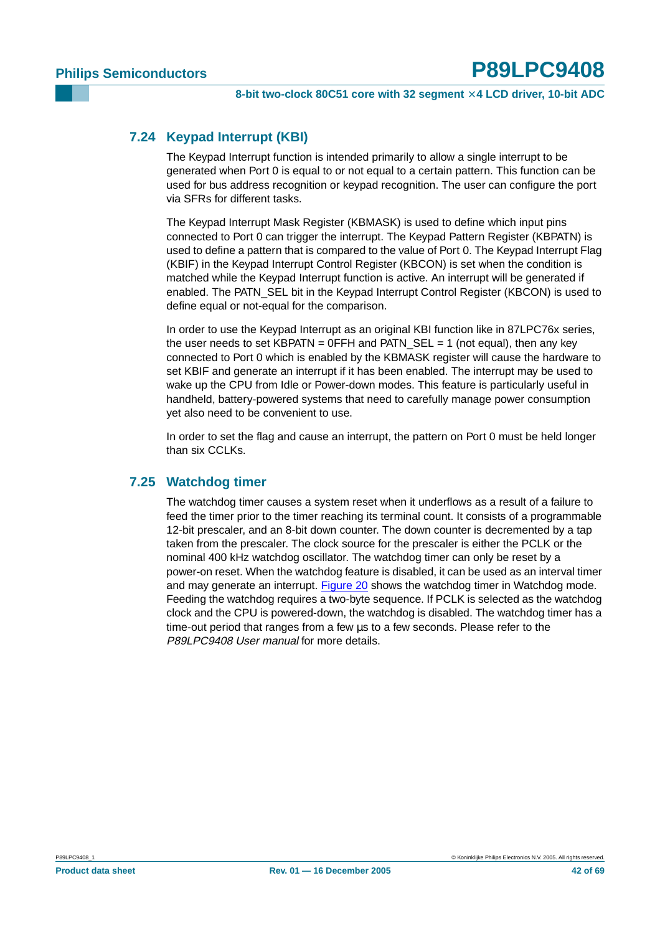### <span id="page-41-0"></span>**7.24 Keypad Interrupt (KBI)**

The Keypad Interrupt function is intended primarily to allow a single interrupt to be generated when Port 0 is equal to or not equal to a certain pattern. This function can be used for bus address recognition or keypad recognition. The user can configure the port via SFRs for different tasks.

The Keypad Interrupt Mask Register (KBMASK) is used to define which input pins connected to Port 0 can trigger the interrupt. The Keypad Pattern Register (KBPATN) is used to define a pattern that is compared to the value of Port 0. The Keypad Interrupt Flag (KBIF) in the Keypad Interrupt Control Register (KBCON) is set when the condition is matched while the Keypad Interrupt function is active. An interrupt will be generated if enabled. The PATN SEL bit in the Keypad Interrupt Control Register (KBCON) is used to define equal or not-equal for the comparison.

In order to use the Keypad Interrupt as an original KBI function like in 87LPC76x series, the user needs to set KBPATN =  $0$ FFH and PATN SEL = 1 (not equal), then any key connected to Port 0 which is enabled by the KBMASK register will cause the hardware to set KBIF and generate an interrupt if it has been enabled. The interrupt may be used to wake up the CPU from Idle or Power-down modes. This feature is particularly useful in handheld, battery-powered systems that need to carefully manage power consumption yet also need to be convenient to use.

In order to set the flag and cause an interrupt, the pattern on Port 0 must be held longer than six CCLKs.

#### <span id="page-41-1"></span>**7.25 Watchdog timer**

The watchdog timer causes a system reset when it underflows as a result of a failure to feed the timer prior to the timer reaching its terminal count. It consists of a programmable 12-bit prescaler, and an 8-bit down counter. The down counter is decremented by a tap taken from the prescaler. The clock source for the prescaler is either the PCLK or the nominal 400 kHz watchdog oscillator. The watchdog timer can only be reset by a power-on reset. When the watchdog feature is disabled, it can be used as an interval timer and may generate an interrupt. [Figure](#page-42-0) 20 shows the watchdog timer in Watchdog mode. Feeding the watchdog requires a two-byte sequence. If PCLK is selected as the watchdog clock and the CPU is powered-down, the watchdog is disabled. The watchdog timer has a time-out period that ranges from a few µs to a few seconds. Please refer to the P89LPC9408 User manual for more details.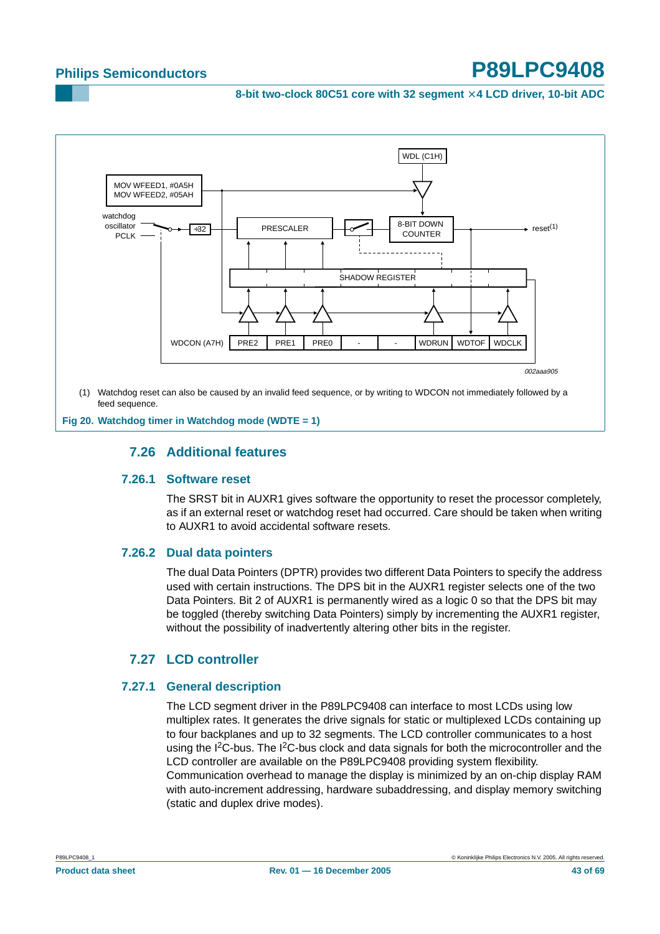**8-bit two-clock 80C51 core with 32 segment** × **4 LCD driver, 10-bit ADC**



(1) Watchdog reset can also be caused by an invalid feed sequence, or by writing to WDCON not immediately followed by a feed sequence.

<span id="page-42-2"></span><span id="page-42-1"></span><span id="page-42-0"></span>**Fig 20. Watchdog timer in Watchdog mode (WDTE = 1)**

### **7.26 Additional features**

#### **7.26.1 Software reset**

The SRST bit in AUXR1 gives software the opportunity to reset the processor completely, as if an external reset or watchdog reset had occurred. Care should be taken when writing to AUXR1 to avoid accidental software resets.

#### <span id="page-42-3"></span>**7.26.2 Dual data pointers**

The dual Data Pointers (DPTR) provides two different Data Pointers to specify the address used with certain instructions. The DPS bit in the AUXR1 register selects one of the two Data Pointers. Bit 2 of AUXR1 is permanently wired as a logic 0 so that the DPS bit may be toggled (thereby switching Data Pointers) simply by incrementing the AUXR1 register, without the possibility of inadvertently altering other bits in the register.

### **7.27 LCD controller**

#### <span id="page-42-5"></span><span id="page-42-4"></span>**7.27.1 General description**

The LCD segment driver in the P89LPC9408 can interface to most LCDs using low multiplex rates. It generates the drive signals for static or multiplexed LCDs containing up to four backplanes and up to 32 segments. The LCD controller communicates to a host using the I<sup>2</sup>C-bus. The I<sup>2</sup>C-bus clock and data signals for both the microcontroller and the LCD controller are available on the P89LPC9408 providing system flexibility. Communication overhead to manage the display is minimized by an on-chip display RAM with auto-increment addressing, hardware subaddressing, and display memory switching (static and duplex drive modes).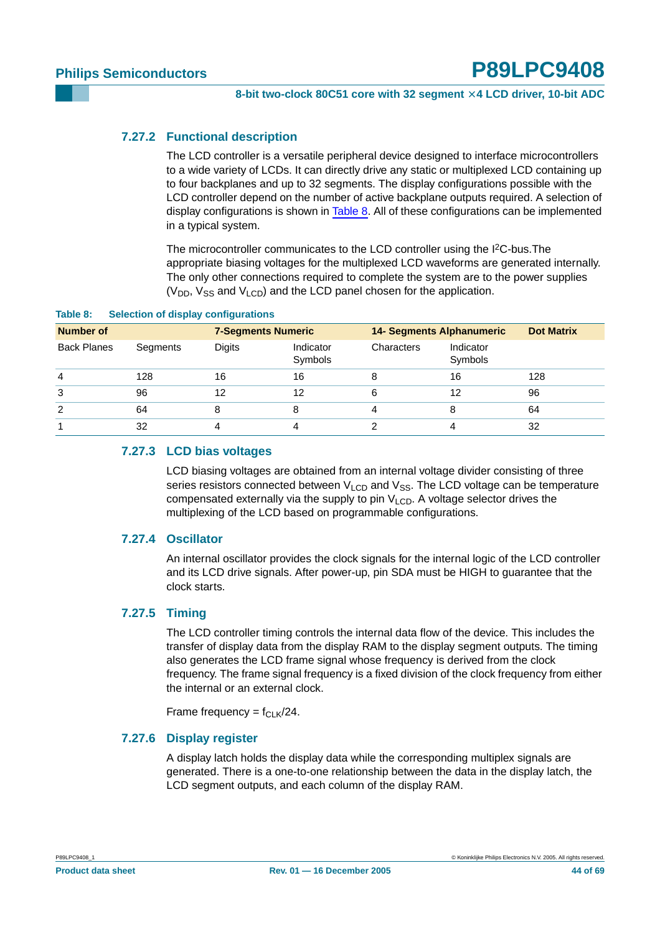#### <span id="page-43-1"></span>**7.27.2 Functional description**

The LCD controller is a versatile peripheral device designed to interface microcontrollers to a wide variety of LCDs. It can directly drive any static or multiplexed LCD containing up to four backplanes and up to 32 segments. The display configurations possible with the LCD controller depend on the number of active backplane outputs required. A selection of display configurations is shown in [Table](#page-43-0) 8. All of these configurations can be implemented in a typical system.

The microcontroller communicates to the LCD controller using the I<sup>2</sup>C-bus. The appropriate biasing voltages for the multiplexed LCD waveforms are generated internally. The only other connections required to complete the system are to the power supplies  $(V_{DD}$ ,  $V_{SS}$  and  $V_{LCD}$ ) and the LCD panel chosen for the application.

| <b>Number of</b>   |          | <b>7-Segments Numeric</b> |                      | <b>14- Segments Alphanumeric</b> | <b>Dot Matrix</b>    |     |
|--------------------|----------|---------------------------|----------------------|----------------------------------|----------------------|-----|
| <b>Back Planes</b> | Segments | <b>Digits</b>             | Indicator<br>Symbols | Characters                       | Indicator<br>Symbols |     |
| $\overline{4}$     | 128      | 16                        | 16                   |                                  | 16                   | 128 |
| 3                  | 96       | 12                        | 12                   | 6                                | 12                   | 96  |
| $\overline{2}$     | 64       | 8                         | 8                    |                                  | 8                    | 64  |
|                    | 32       | 4                         | 4                    |                                  | 4                    | 32  |

#### <span id="page-43-0"></span>**Table 8: Selection of display configurations**

#### <span id="page-43-2"></span>**7.27.3 LCD bias voltages**

LCD biasing voltages are obtained from an internal voltage divider consisting of three series resistors connected between  $V_{\text{LCD}}$  and  $V_{\text{SS}}$ . The LCD voltage can be temperature compensated externally via the supply to pin  $V_{LCD}$ . A voltage selector drives the multiplexing of the LCD based on programmable configurations.

#### <span id="page-43-3"></span>**7.27.4 Oscillator**

An internal oscillator provides the clock signals for the internal logic of the LCD controller and its LCD drive signals. After power-up, pin SDA must be HIGH to guarantee that the clock starts.

#### <span id="page-43-4"></span>**7.27.5 Timing**

The LCD controller timing controls the internal data flow of the device. This includes the transfer of display data from the display RAM to the display segment outputs. The timing also generates the LCD frame signal whose frequency is derived from the clock frequency. The frame signal frequency is a fixed division of the clock frequency from either the internal or an external clock.

Frame frequency =  $f_{\text{CI K}}/24$ .

#### <span id="page-43-5"></span>**7.27.6 Display register**

A display latch holds the display data while the corresponding multiplex signals are generated. There is a one-to-one relationship between the data in the display latch, the LCD segment outputs, and each column of the display RAM.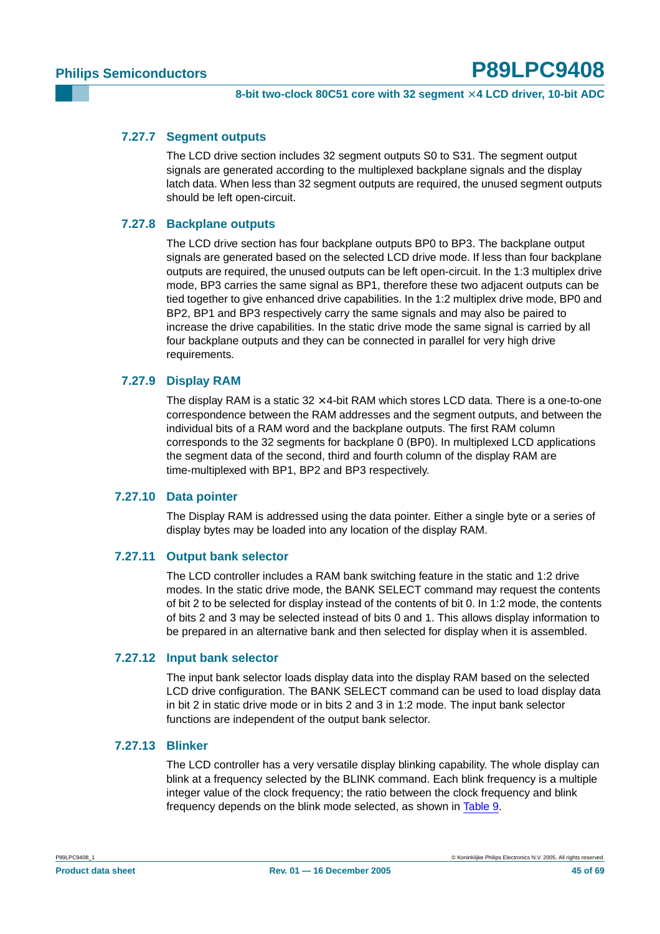#### <span id="page-44-0"></span>**7.27.7 Segment outputs**

The LCD drive section includes 32 segment outputs S0 to S31. The segment output signals are generated according to the multiplexed backplane signals and the display latch data. When less than 32 segment outputs are required, the unused segment outputs should be left open-circuit.

#### <span id="page-44-1"></span>**7.27.8 Backplane outputs**

The LCD drive section has four backplane outputs BP0 to BP3. The backplane output signals are generated based on the selected LCD drive mode. If less than four backplane outputs are required, the unused outputs can be left open-circuit. In the 1:3 multiplex drive mode, BP3 carries the same signal as BP1, therefore these two adjacent outputs can be tied together to give enhanced drive capabilities. In the 1:2 multiplex drive mode, BP0 and BP2, BP1 and BP3 respectively carry the same signals and may also be paired to increase the drive capabilities. In the static drive mode the same signal is carried by all four backplane outputs and they can be connected in parallel for very high drive requirements.

#### <span id="page-44-2"></span>**7.27.9 Display RAM**

The display RAM is a static  $32 \times 4$ -bit RAM which stores LCD data. There is a one-to-one correspondence between the RAM addresses and the segment outputs, and between the individual bits of a RAM word and the backplane outputs. The first RAM column corresponds to the 32 segments for backplane 0 (BP0). In multiplexed LCD applications the segment data of the second, third and fourth column of the display RAM are time-multiplexed with BP1, BP2 and BP3 respectively.

#### <span id="page-44-3"></span>**7.27.10 Data pointer**

The Display RAM is addressed using the data pointer. Either a single byte or a series of display bytes may be loaded into any location of the display RAM.

#### <span id="page-44-4"></span>**7.27.11 Output bank selector**

The LCD controller includes a RAM bank switching feature in the static and 1:2 drive modes. In the static drive mode, the BANK SELECT command may request the contents of bit 2 to be selected for display instead of the contents of bit 0. In 1:2 mode, the contents of bits 2 and 3 may be selected instead of bits 0 and 1. This allows display information to be prepared in an alternative bank and then selected for display when it is assembled.

#### <span id="page-44-5"></span>**7.27.12 Input bank selector**

The input bank selector loads display data into the display RAM based on the selected LCD drive configuration. The BANK SELECT command can be used to load display data in bit 2 in static drive mode or in bits 2 and 3 in 1:2 mode. The input bank selector functions are independent of the output bank selector.

#### <span id="page-44-6"></span>**7.27.13 Blinker**

The LCD controller has a very versatile display blinking capability. The whole display can blink at a frequency selected by the BLINK command. Each blink frequency is a multiple integer value of the clock frequency; the ratio between the clock frequency and blink frequency depends on the blink mode selected, as shown in [Table](#page-45-0) 9.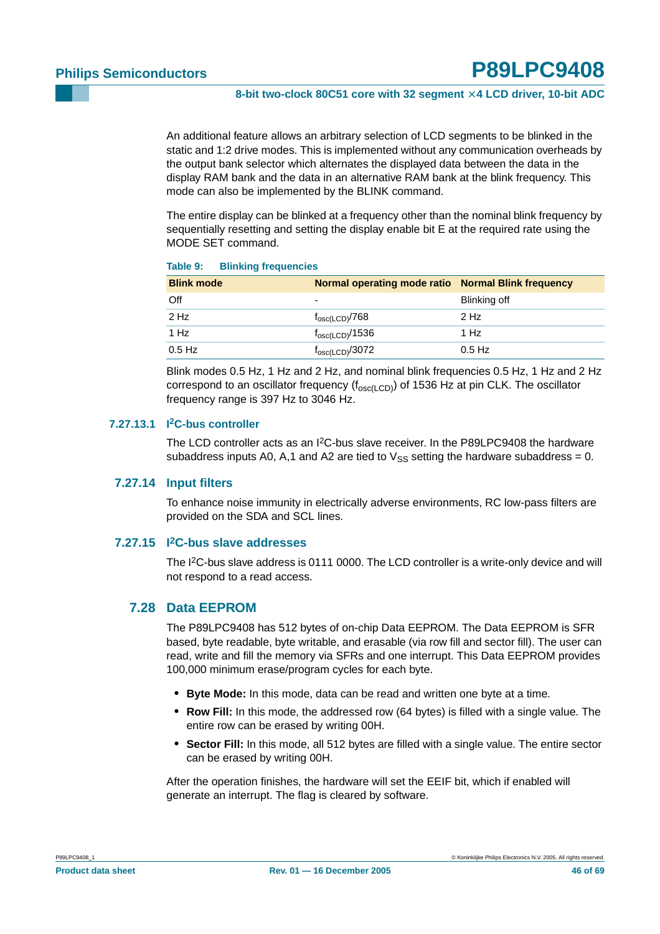An additional feature allows an arbitrary selection of LCD segments to be blinked in the static and 1:2 drive modes. This is implemented without any communication overheads by the output bank selector which alternates the displayed data between the data in the display RAM bank and the data in an alternative RAM bank at the blink frequency. This mode can also be implemented by the BLINK command.

The entire display can be blinked at a frequency other than the nominal blink frequency by sequentially resetting and setting the display enable bit E at the required rate using the MODE SET command.

#### <span id="page-45-0"></span>**Table 9: Blinking frequencies**

| <b>Blink mode</b> | Normal operating mode ratio Normal Blink frequency |              |
|-------------------|----------------------------------------------------|--------------|
| Off               | -                                                  | Blinking off |
| 2 Hz              | $f_{\rm osc(LCD)}$ /768                            | 2 Hz         |
| 1 Hz              | $f_{\rm osc(LCD)}$ /1536                           | 1 Hz         |
| $0.5$ Hz          | $f_{\rm osc(LCD)}$ /3072                           | $0.5$ Hz     |

Blink modes 0.5 Hz, 1 Hz and 2 Hz, and nominal blink frequencies 0.5 Hz, 1 Hz and 2 Hz correspond to an oscillator frequency ( $f_{osc(LCD)}$ ) of 1536 Hz at pin CLK. The oscillator frequency range is 397 Hz to 3046 Hz.

#### <span id="page-45-1"></span>**7.27.13.1 I2C-bus controller**

The LCD controller acts as an I<sup>2</sup>C-bus slave receiver. In the P89LPC9408 the hardware subaddress inputs A0, A,1 and A2 are tied to  $V_{SS}$  setting the hardware subaddress = 0.

#### <span id="page-45-2"></span>**7.27.14 Input filters**

To enhance noise immunity in electrically adverse environments, RC low-pass filters are provided on the SDA and SCL lines.

#### <span id="page-45-3"></span>**7.27.15 I2C-bus slave addresses**

The I<sup>2</sup>C-bus slave address is 0111 0000. The LCD controller is a write-only device and will not respond to a read access.

#### <span id="page-45-4"></span>**7.28 Data EEPROM**

The P89LPC9408 has 512 bytes of on-chip Data EEPROM. The Data EEPROM is SFR based, byte readable, byte writable, and erasable (via row fill and sector fill). The user can read, write and fill the memory via SFRs and one interrupt. This Data EEPROM provides 100,000 minimum erase/program cycles for each byte.

- **• Byte Mode:** In this mode, data can be read and written one byte at a time.
- **• Row Fill:** In this mode, the addressed row (64 bytes) is filled with a single value. The entire row can be erased by writing 00H.
- **• Sector Fill:** In this mode, all 512 bytes are filled with a single value. The entire sector can be erased by writing 00H.

After the operation finishes, the hardware will set the EEIF bit, which if enabled will generate an interrupt. The flag is cleared by software.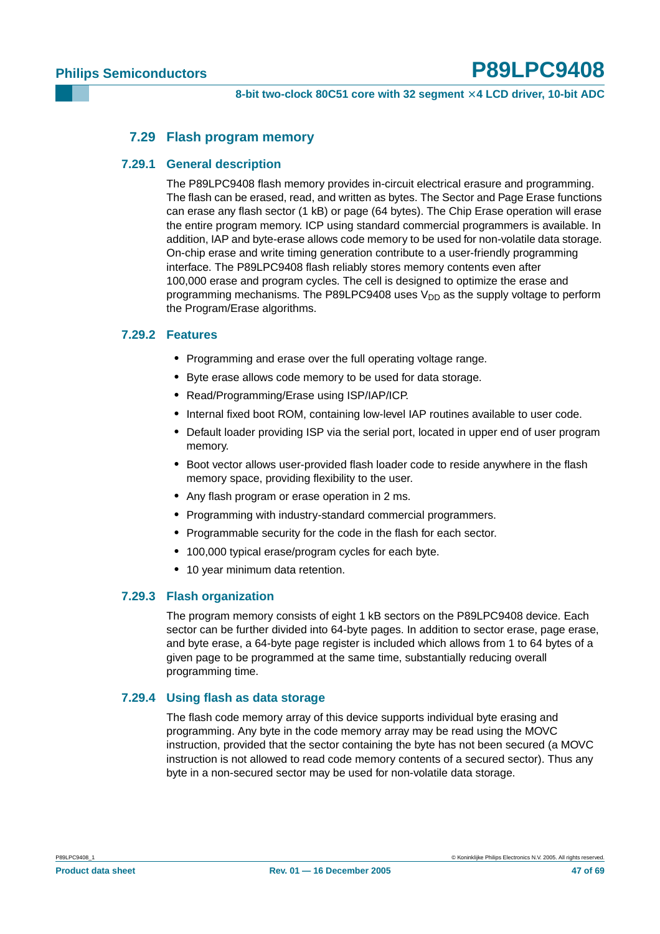#### **7.29 Flash program memory**

#### <span id="page-46-1"></span><span id="page-46-0"></span>**7.29.1 General description**

The P89LPC9408 flash memory provides in-circuit electrical erasure and programming. The flash can be erased, read, and written as bytes. The Sector and Page Erase functions can erase any flash sector (1 kB) or page (64 bytes). The Chip Erase operation will erase the entire program memory. ICP using standard commercial programmers is available. In addition, IAP and byte-erase allows code memory to be used for non-volatile data storage. On-chip erase and write timing generation contribute to a user-friendly programming interface. The P89LPC9408 flash reliably stores memory contents even after 100,000 erase and program cycles. The cell is designed to optimize the erase and programming mechanisms. The P89LPC9408 uses  $V_{DD}$  as the supply voltage to perform the Program/Erase algorithms.

#### <span id="page-46-2"></span>**7.29.2 Features**

- **•** Programming and erase over the full operating voltage range.
- **•** Byte erase allows code memory to be used for data storage.
- **•** Read/Programming/Erase using ISP/IAP/ICP.
- **•** Internal fixed boot ROM, containing low-level IAP routines available to user code.
- **•** Default loader providing ISP via the serial port, located in upper end of user program memory.
- **•** Boot vector allows user-provided flash loader code to reside anywhere in the flash memory space, providing flexibility to the user.
- **•** Any flash program or erase operation in 2 ms.
- **•** Programming with industry-standard commercial programmers.
- **•** Programmable security for the code in the flash for each sector.
- **•** 100,000 typical erase/program cycles for each byte.
- **•** 10 year minimum data retention.

#### <span id="page-46-3"></span>**7.29.3 Flash organization**

The program memory consists of eight 1 kB sectors on the P89LPC9408 device. Each sector can be further divided into 64-byte pages. In addition to sector erase, page erase, and byte erase, a 64-byte page register is included which allows from 1 to 64 bytes of a given page to be programmed at the same time, substantially reducing overall programming time.

#### <span id="page-46-4"></span>**7.29.4 Using flash as data storage**

The flash code memory array of this device supports individual byte erasing and programming. Any byte in the code memory array may be read using the MOVC instruction, provided that the sector containing the byte has not been secured (a MOVC instruction is not allowed to read code memory contents of a secured sector). Thus any byte in a non-secured sector may be used for non-volatile data storage.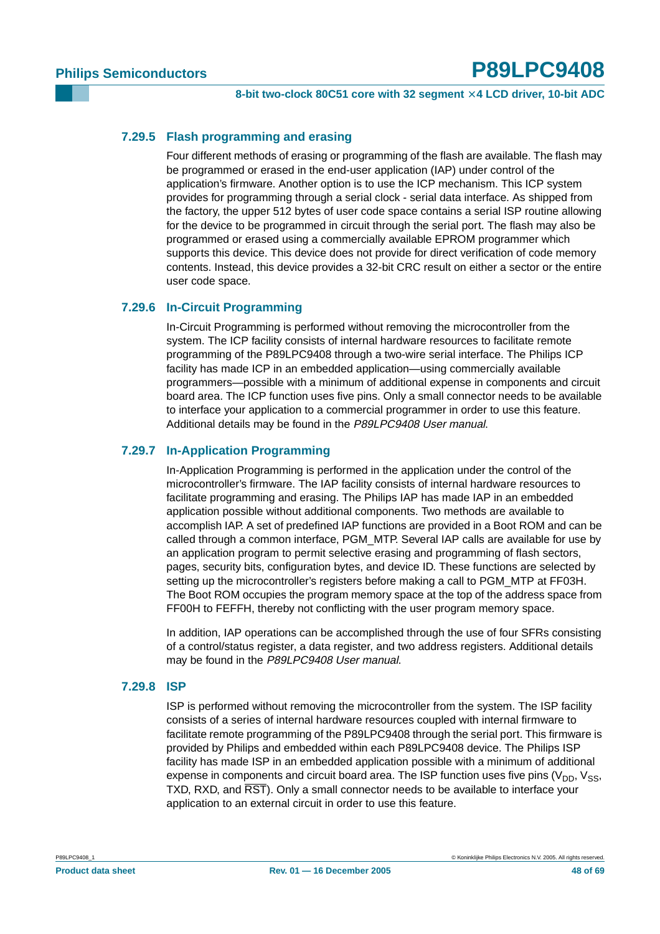**8-bit two-clock 80C51 core with 32 segment** × **4 LCD driver, 10-bit ADC**

#### <span id="page-47-0"></span>**7.29.5 Flash programming and erasing**

Four different methods of erasing or programming of the flash are available. The flash may be programmed or erased in the end-user application (IAP) under control of the application's firmware. Another option is to use the ICP mechanism. This ICP system provides for programming through a serial clock - serial data interface. As shipped from the factory, the upper 512 bytes of user code space contains a serial ISP routine allowing for the device to be programmed in circuit through the serial port. The flash may also be programmed or erased using a commercially available EPROM programmer which supports this device. This device does not provide for direct verification of code memory contents. Instead, this device provides a 32-bit CRC result on either a sector or the entire user code space.

#### <span id="page-47-1"></span>**7.29.6 In-Circuit Programming**

In-Circuit Programming is performed without removing the microcontroller from the system. The ICP facility consists of internal hardware resources to facilitate remote programming of the P89LPC9408 through a two-wire serial interface. The Philips ICP facility has made ICP in an embedded application—using commercially available programmers—possible with a minimum of additional expense in components and circuit board area. The ICP function uses five pins. Only a small connector needs to be available to interface your application to a commercial programmer in order to use this feature. Additional details may be found in the P89LPC9408 User manual.

#### <span id="page-47-2"></span>**7.29.7 In-Application Programming**

In-Application Programming is performed in the application under the control of the microcontroller's firmware. The IAP facility consists of internal hardware resources to facilitate programming and erasing. The Philips IAP has made IAP in an embedded application possible without additional components. Two methods are available to accomplish IAP. A set of predefined IAP functions are provided in a Boot ROM and can be called through a common interface, PGM\_MTP. Several IAP calls are available for use by an application program to permit selective erasing and programming of flash sectors, pages, security bits, configuration bytes, and device ID. These functions are selected by setting up the microcontroller's registers before making a call to PGM\_MTP at FF03H. The Boot ROM occupies the program memory space at the top of the address space from FF00H to FEFFH, thereby not conflicting with the user program memory space.

In addition, IAP operations can be accomplished through the use of four SFRs consisting of a control/status register, a data register, and two address registers. Additional details may be found in the P89LPC9408 User manual.

#### <span id="page-47-3"></span>**7.29.8 ISP**

ISP is performed without removing the microcontroller from the system. The ISP facility consists of a series of internal hardware resources coupled with internal firmware to facilitate remote programming of the P89LPC9408 through the serial port. This firmware is provided by Philips and embedded within each P89LPC9408 device. The Philips ISP facility has made ISP in an embedded application possible with a minimum of additional expense in components and circuit board area. The ISP function uses five pins  $(V_{DD}, V_{SS},$ TXD, RXD, and RST). Only a small connector needs to be available to interface your application to an external circuit in order to use this feature.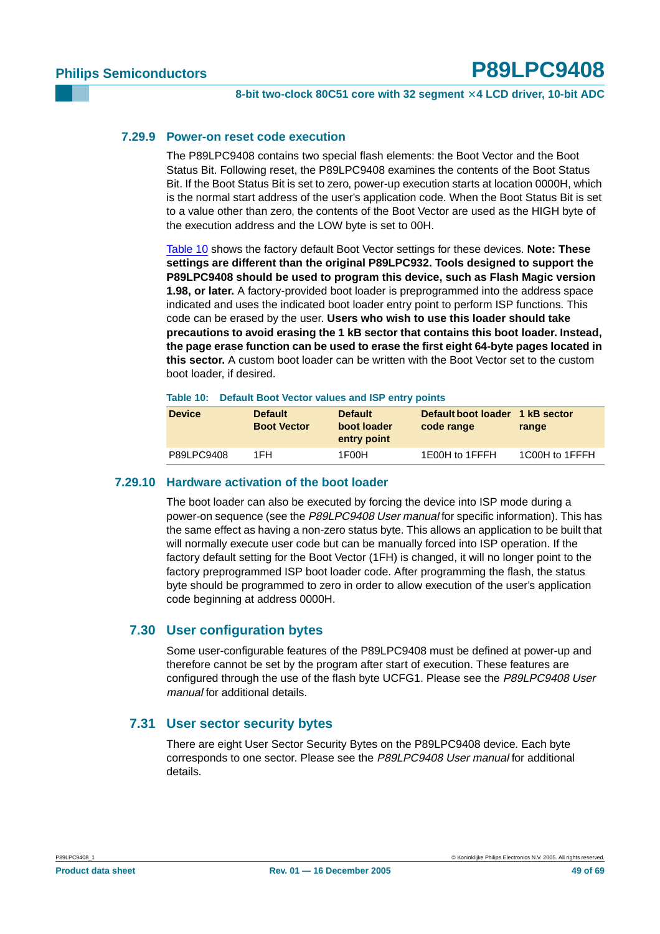#### <span id="page-48-1"></span>**7.29.9 Power-on reset code execution**

The P89LPC9408 contains two special flash elements: the Boot Vector and the Boot Status Bit. Following reset, the P89LPC9408 examines the contents of the Boot Status Bit. If the Boot Status Bit is set to zero, power-up execution starts at location 0000H, which is the normal start address of the user's application code. When the Boot Status Bit is set to a value other than zero, the contents of the Boot Vector are used as the HIGH byte of the execution address and the LOW byte is set to 00H.

[Table](#page-48-0) 10 shows the factory default Boot Vector settings for these devices. **Note: These settings are different than the original P89LPC932. Tools designed to support the P89LPC9408 should be used to program this device, such as Flash Magic version 1.98, or later.** A factory-provided boot loader is preprogrammed into the address space indicated and uses the indicated boot loader entry point to perform ISP functions. This code can be erased by the user. **Users who wish to use this loader should take precautions to avoid erasing the 1 kB sector that contains this boot loader. Instead, the page erase function can be used to erase the first eight 64-byte pages located in this sector.** A custom boot loader can be written with the Boot Vector set to the custom boot loader, if desired.

#### <span id="page-48-0"></span>**Table 10: Default Boot Vector values and ISP entry points**

| <b>Device</b> | <b>Default</b><br><b>Boot Vector</b> | <b>Default</b><br>boot loader<br>entry point | Default boot loader 1 kB sector<br>code range | range          |
|---------------|--------------------------------------|----------------------------------------------|-----------------------------------------------|----------------|
| P89LPC9408    | 1FH                                  | 1F00H                                        | 1E00H to 1FFFH                                | 1C00H to 1FFFH |

#### <span id="page-48-2"></span>**7.29.10 Hardware activation of the boot loader**

The boot loader can also be executed by forcing the device into ISP mode during a power-on sequence (see the P89LPC9408 User manual for specific information). This has the same effect as having a non-zero status byte. This allows an application to be built that will normally execute user code but can be manually forced into ISP operation. If the factory default setting for the Boot Vector (1FH) is changed, it will no longer point to the factory preprogrammed ISP boot loader code. After programming the flash, the status byte should be programmed to zero in order to allow execution of the user's application code beginning at address 0000H.

#### <span id="page-48-3"></span>**7.30 User configuration bytes**

Some user-configurable features of the P89LPC9408 must be defined at power-up and therefore cannot be set by the program after start of execution. These features are configured through the use of the flash byte UCFG1. Please see the P89LPC9408 User manual for additional details.

#### <span id="page-48-4"></span>**7.31 User sector security bytes**

There are eight User Sector Security Bytes on the P89LPC9408 device. Each byte corresponds to one sector. Please see the P89LPC9408 User manual for additional details.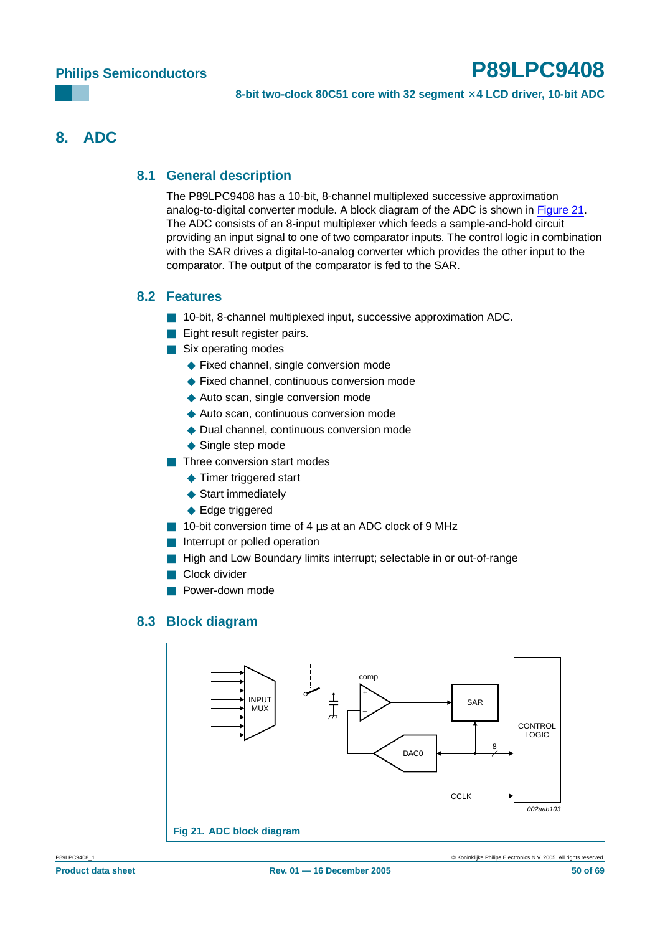## <span id="page-49-2"></span><span id="page-49-1"></span>**8. ADC**

### **8.1 General description**

The P89LPC9408 has a 10-bit, 8-channel multiplexed successive approximation analog-to-digital converter module. A block diagram of the ADC is shown in [Figure](#page-49-0) 21. The ADC consists of an 8-input multiplexer which feeds a sample-and-hold circuit providing an input signal to one of two comparator inputs. The control logic in combination with the SAR drives a digital-to-analog converter which provides the other input to the comparator. The output of the comparator is fed to the SAR.

#### <span id="page-49-3"></span>**8.2 Features**

- 10-bit, 8-channel multiplexed input, successive approximation ADC.
- Eight result register pairs.
- Six operating modes
	- ◆ Fixed channel, single conversion mode
	- ◆ Fixed channel, continuous conversion mode
	- ◆ Auto scan, single conversion mode
	- ◆ Auto scan, continuous conversion mode
	- ◆ Dual channel, continuous conversion mode
	- ◆ Single step mode
- Three conversion start modes
	- ◆ Timer triggered start
	- ◆ Start immediately
	- ◆ Edge triggered
- 10-bit conversion time of 4 us at an ADC clock of 9 MHz
- Interrupt or polled operation
- High and Low Boundary limits interrupt; selectable in or out-of-range
- Clock divider
- Power-down mode

#### <span id="page-49-0"></span>**8.3 Block diagram**

<span id="page-49-4"></span>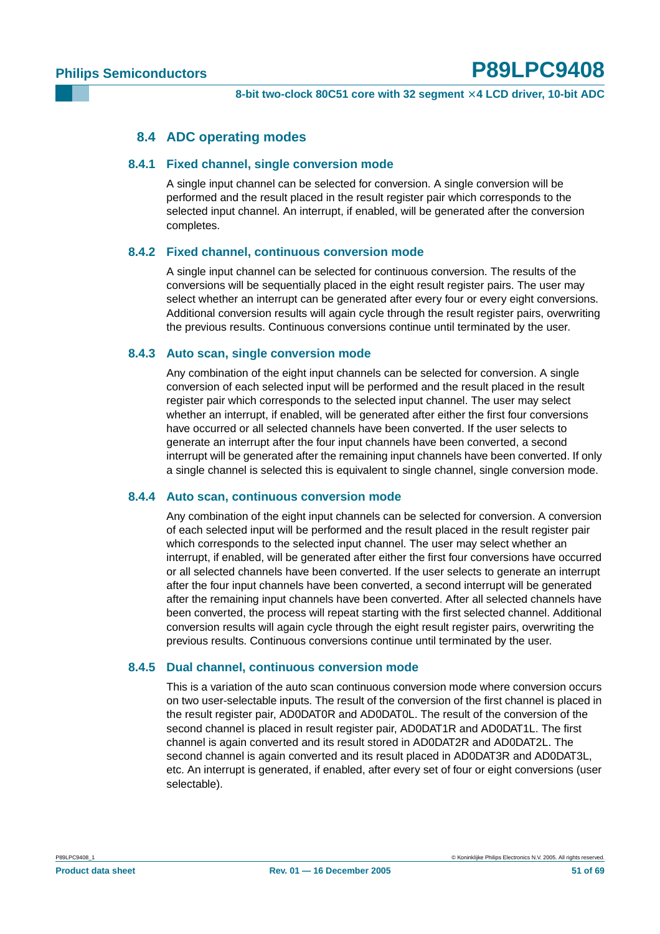#### **8.4 ADC operating modes**

#### <span id="page-50-1"></span><span id="page-50-0"></span>**8.4.1 Fixed channel, single conversion mode**

A single input channel can be selected for conversion. A single conversion will be performed and the result placed in the result register pair which corresponds to the selected input channel. An interrupt, if enabled, will be generated after the conversion completes.

#### <span id="page-50-2"></span>**8.4.2 Fixed channel, continuous conversion mode**

A single input channel can be selected for continuous conversion. The results of the conversions will be sequentially placed in the eight result register pairs. The user may select whether an interrupt can be generated after every four or every eight conversions. Additional conversion results will again cycle through the result register pairs, overwriting the previous results. Continuous conversions continue until terminated by the user.

#### <span id="page-50-3"></span>**8.4.3 Auto scan, single conversion mode**

Any combination of the eight input channels can be selected for conversion. A single conversion of each selected input will be performed and the result placed in the result register pair which corresponds to the selected input channel. The user may select whether an interrupt, if enabled, will be generated after either the first four conversions have occurred or all selected channels have been converted. If the user selects to generate an interrupt after the four input channels have been converted, a second interrupt will be generated after the remaining input channels have been converted. If only a single channel is selected this is equivalent to single channel, single conversion mode.

#### <span id="page-50-4"></span>**8.4.4 Auto scan, continuous conversion mode**

Any combination of the eight input channels can be selected for conversion. A conversion of each selected input will be performed and the result placed in the result register pair which corresponds to the selected input channel. The user may select whether an interrupt, if enabled, will be generated after either the first four conversions have occurred or all selected channels have been converted. If the user selects to generate an interrupt after the four input channels have been converted, a second interrupt will be generated after the remaining input channels have been converted. After all selected channels have been converted, the process will repeat starting with the first selected channel. Additional conversion results will again cycle through the eight result register pairs, overwriting the previous results. Continuous conversions continue until terminated by the user.

#### <span id="page-50-5"></span>**8.4.5 Dual channel, continuous conversion mode**

This is a variation of the auto scan continuous conversion mode where conversion occurs on two user-selectable inputs. The result of the conversion of the first channel is placed in the result register pair, AD0DAT0R and AD0DAT0L. The result of the conversion of the second channel is placed in result register pair, AD0DAT1R and AD0DAT1L. The first channel is again converted and its result stored in AD0DAT2R and AD0DAT2L. The second channel is again converted and its result placed in AD0DAT3R and AD0DAT3L, etc. An interrupt is generated, if enabled, after every set of four or eight conversions (user selectable).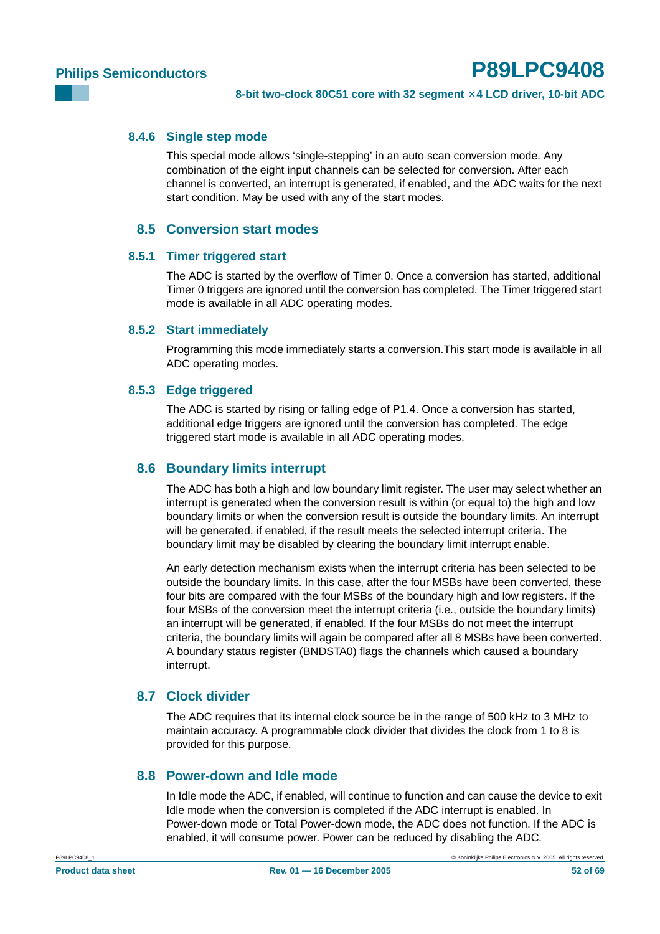#### <span id="page-51-0"></span>**8.4.6 Single step mode**

This special mode allows 'single-stepping' in an auto scan conversion mode. Any combination of the eight input channels can be selected for conversion. After each channel is converted, an interrupt is generated, if enabled, and the ADC waits for the next start condition. May be used with any of the start modes.

#### **8.5 Conversion start modes**

#### <span id="page-51-2"></span><span id="page-51-1"></span>**8.5.1 Timer triggered start**

The ADC is started by the overflow of Timer 0. Once a conversion has started, additional Timer 0 triggers are ignored until the conversion has completed. The Timer triggered start mode is available in all ADC operating modes.

#### <span id="page-51-3"></span>**8.5.2 Start immediately**

Programming this mode immediately starts a conversion.This start mode is available in all ADC operating modes.

#### <span id="page-51-4"></span>**8.5.3 Edge triggered**

The ADC is started by rising or falling edge of P1.4. Once a conversion has started, additional edge triggers are ignored until the conversion has completed. The edge triggered start mode is available in all ADC operating modes.

#### <span id="page-51-5"></span>**8.6 Boundary limits interrupt**

The ADC has both a high and low boundary limit register. The user may select whether an interrupt is generated when the conversion result is within (or equal to) the high and low boundary limits or when the conversion result is outside the boundary limits. An interrupt will be generated, if enabled, if the result meets the selected interrupt criteria. The boundary limit may be disabled by clearing the boundary limit interrupt enable.

An early detection mechanism exists when the interrupt criteria has been selected to be outside the boundary limits. In this case, after the four MSBs have been converted, these four bits are compared with the four MSBs of the boundary high and low registers. If the four MSBs of the conversion meet the interrupt criteria (i.e., outside the boundary limits) an interrupt will be generated, if enabled. If the four MSBs do not meet the interrupt criteria, the boundary limits will again be compared after all 8 MSBs have been converted. A boundary status register (BNDSTA0) flags the channels which caused a boundary interrupt.

#### <span id="page-51-6"></span>**8.7 Clock divider**

The ADC requires that its internal clock source be in the range of 500 kHz to 3 MHz to maintain accuracy. A programmable clock divider that divides the clock from 1 to 8 is provided for this purpose.

#### <span id="page-51-7"></span>**8.8 Power-down and Idle mode**

In Idle mode the ADC, if enabled, will continue to function and can cause the device to exit Idle mode when the conversion is completed if the ADC interrupt is enabled. In Power-down mode or Total Power-down mode, the ADC does not function. If the ADC is enabled, it will consume power. Power can be reduced by disabling the ADC.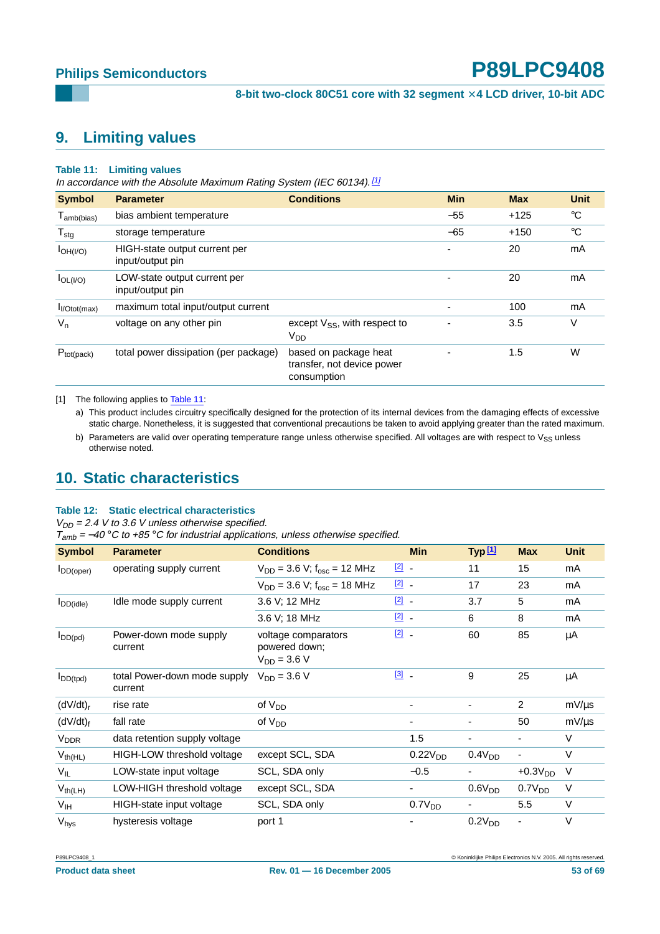## <span id="page-52-3"></span>**9. Limiting values**

#### <span id="page-52-2"></span>**Table 11: Limiting values**

In accordance with the Absolute Maximum Rating System (IEC 60134).<sup>[\[1\]](#page-52-1)</sup>

| <b>Symbol</b>             | <b>Parameter</b>                                  | <b>Conditions</b>                                                  | <b>Min</b>     | <b>Max</b> | <b>Unit</b> |
|---------------------------|---------------------------------------------------|--------------------------------------------------------------------|----------------|------------|-------------|
| $T_{\sf amb(bias)}$       | bias ambient temperature                          |                                                                    | $-55$          | $+125$     | $^{\circ}C$ |
| $T_{\text{stg}}$          | storage temperature                               |                                                                    | $-65$          | $+150$     | $^{\circ}C$ |
| $I_{OH( I/O)}$            | HIGH-state output current per<br>input/output pin |                                                                    | ٠              | 20         | mA          |
| $I_{OL( I/O)}$            | LOW-state output current per<br>input/output pin  |                                                                    | -              | 20         | mA          |
| I <sub>I</sub> /Otot(max) | maximum total input/output current                |                                                                    | ٠              | 100        | mA          |
| $V_{n}$                   | voltage on any other pin                          | except $V_{SS}$ , with respect to<br>V <sub>DD</sub>               | $\blacksquare$ | 3.5        | ٧           |
| $P_{tot(pack)}$           | total power dissipation (per package)             | based on package heat<br>transfer, not device power<br>consumption |                | 1.5        | W           |

<span id="page-52-1"></span>[1] The following applies to [Table](#page-52-2) 11:

a) This product includes circuitry specifically designed for the protection of its internal devices from the damaging effects of excessive static charge. Nonetheless, it is suggested that conventional precautions be taken to avoid applying greater than the rated maximum.

b) Parameters are valid over operating temperature range unless otherwise specified. All voltages are with respect to  $V_{SS}$  unless otherwise noted.

## <span id="page-52-4"></span>**10. Static characteristics**

#### <span id="page-52-0"></span>**Table 12: Static electrical characteristics**

 $V_{DD}$  = 2.4 V to 3.6 V unless otherwise specified.

 $T_{amb} = -40$  °C to +85 °C for industrial applications, unless otherwise specified.

| <b>Symbol</b>          | <b>Parameter</b>                        | <b>Conditions</b>                                        |               | <b>Min</b>          | Type 11            | <b>Max</b>         | <b>Unit</b> |
|------------------------|-----------------------------------------|----------------------------------------------------------|---------------|---------------------|--------------------|--------------------|-------------|
| $I_{DD(open)}$         | operating supply current                | $V_{DD}$ = 3.6 V; $f_{osc}$ = 12 MHz                     | $\boxed{2}$ . |                     | 11                 | 15                 | mA          |
|                        |                                         | $V_{DD}$ = 3.6 V; $f_{osc}$ = 18 MHz                     | $\boxed{2}$ . |                     | 17                 | 23                 | mA          |
| $I_{DD(idle)}$         | Idle mode supply current                | 3.6 V; 12 MHz                                            | $\boxed{2}$ . |                     | 3.7                | 5                  | mA          |
|                        |                                         | 3.6 V; 18 MHz                                            | $\boxed{2}$ . |                     | 6                  | 8                  | mA          |
| $I_{DD(pd)}$           | Power-down mode supply<br>current       | voltage comparators<br>powered down;<br>$V_{DD} = 3.6 V$ | $\boxed{2}$ . |                     | 60                 | 85                 | μA          |
| $I_{DD(tpd)}$          | total Power-down mode supply<br>current | $V_{DD} = 3.6 V$                                         | $[3]$ .       |                     | 9                  | 25                 | μA          |
| (dV/dt) <sub>r</sub>   | rise rate                               | of V <sub>DD</sub>                                       |               | ٠                   | ۰                  | $\overline{2}$     | $mV/\mu s$  |
| (dV/dt) <sub>f</sub>   | fall rate                               | of $V_{DD}$                                              |               | ۰                   | ۰                  | 50                 | $mV/\mu s$  |
| <b>V<sub>DDR</sub></b> | data retention supply voltage           |                                                          |               | 1.5                 |                    |                    | $\vee$      |
| $V_{th(HL)}$           | HIGH-LOW threshold voltage              | except SCL, SDA                                          |               | 0.22V <sub>DD</sub> | 0.4V <sub>DD</sub> |                    | $\vee$      |
| $V_{IL}$               | LOW-state input voltage                 | SCL, SDA only                                            |               | $-0.5$              |                    | $+0.3VDD$          | V           |
| $V_{th(LH)}$           | LOW-HIGH threshold voltage              | except SCL, SDA                                          |               | ۰.                  | 0.6V <sub>DD</sub> | 0.7V <sub>DD</sub> | V           |
| $V_{IH}$               | HIGH-state input voltage                | SCL, SDA only                                            |               | 0.7V <sub>DD</sub>  |                    | 5.5                | $\vee$      |
| $V_{\text{hys}}$       | hysteresis voltage                      | port 1                                                   |               |                     | 0.2V <sub>DD</sub> |                    | V           |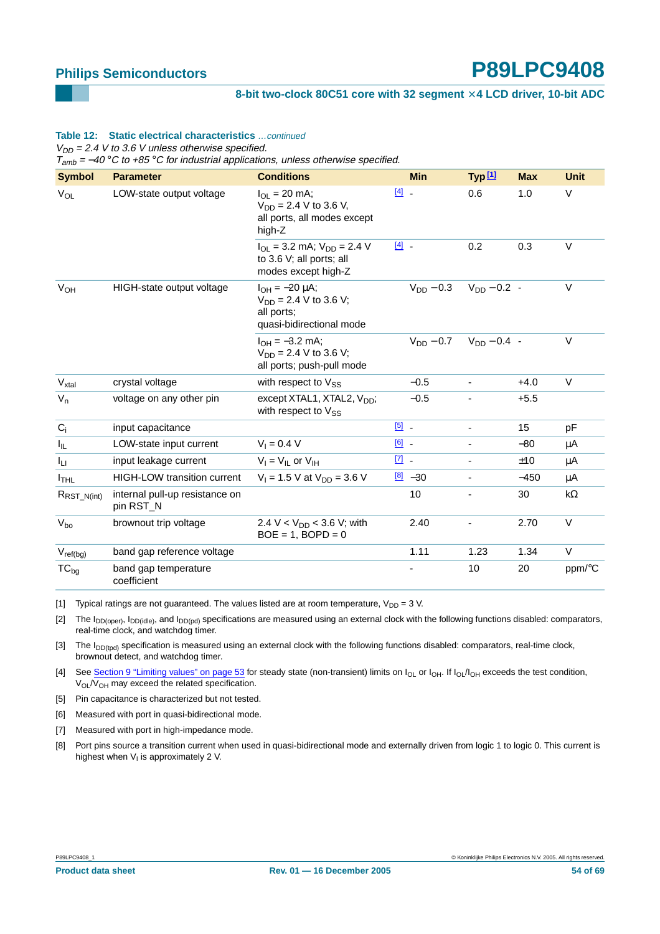#### **8-bit two-clock 80C51 core with 32 segment** × **4 LCD driver, 10-bit ADC**

#### **Table 12: Static electrical characteristics** …continued

 $V_{DD}$  = 2.4 V to 3.6 V unless otherwise specified.

 $T_{amb}$  = -40 °C to +85 °C for industrial applications, unless otherwise specified.

| <b>Symbol</b>            | <b>Parameter</b>                            | <b>Conditions</b>                                                                              |               | <b>Min</b>          | Typ <sup>[1]</sup>       | <b>Max</b> | <b>Unit</b> |
|--------------------------|---------------------------------------------|------------------------------------------------------------------------------------------------|---------------|---------------------|--------------------------|------------|-------------|
| $V_{OL}$                 | LOW-state output voltage                    | $I_{OL} = 20$ mA;<br>$V_{DD} = 2.4 V$ to 3.6 V,<br>all ports, all modes except<br>high-Z       | $[4]$ $-$     |                     | 0.6                      | 1.0        | $\vee$      |
|                          |                                             | $I_{OL}$ = 3.2 mA; $V_{DD}$ = 2.4 V<br>to 3.6 V; all ports; all<br>modes except high-Z         | $[4]$ $-$     |                     | 0.2                      | 0.3        | $\vee$      |
| $V_{OH}$                 | HIGH-state output voltage                   | $I_{OH} = -20 \mu A$ ;<br>$V_{DD} = 2.4 V$ to 3.6 V;<br>all ports;<br>quasi-bidirectional mode |               | $V_{DD} - 0.3$      | $V_{DD} - 0.2$ -         |            | $\vee$      |
|                          |                                             | $I_{OH} = -3.2$ mA;<br>$V_{DD} = 2.4 V$ to 3.6 V;<br>all ports; push-pull mode                 |               | $V_{DD}$ – 0.7      | $V_{DD} - 0.4$ -         |            | $\vee$      |
| $V_{xtal}$               | crystal voltage                             | with respect to $V_{SS}$                                                                       |               | $-0.5$              |                          | $+4.0$     | $\vee$      |
| $V_n$                    | voltage on any other pin                    | except $XTAL1$ , $XTAL2$ , $VDD$ ;<br>with respect to Vss                                      |               | $-0.5$              |                          | $+5.5$     |             |
| $C_i$                    | input capacitance                           |                                                                                                | $\boxed{5}$ . |                     | $\overline{\phantom{0}}$ | 15         | рF          |
| I <sub>IL</sub>          | LOW-state input current                     | $V_1 = 0.4 V$                                                                                  | $\boxed{6}$ . |                     |                          | $-80$      | μA          |
| Īц                       | input leakage current                       | $V_1 = V_{II}$ or $V_{IH}$                                                                     | $\boxed{7}$ - |                     | $\overline{\phantom{a}}$ | ±10        | μA          |
| <sup>I</sup> THL         | <b>HIGH-LOW transition current</b>          | $V_1 = 1.5$ V at $V_{DD} = 3.6$ V                                                              |               | $\frac{[8]}{2}$ -30 | ٠                        | $-450$     | μA          |
| $R_{\text{RST\_N(int)}}$ | internal pull-up resistance on<br>pin RST_N |                                                                                                |               | 10                  |                          | 30         | $k\Omega$   |
| $V_{bo}$                 | brownout trip voltage                       | 2.4 V < $V_{DD}$ < 3.6 V; with<br>$BOE = 1$ , $BOPD = 0$                                       |               | 2.40                |                          | 2.70       | $\vee$      |
| $V_{\text{ref}(bg)}$     | band gap reference voltage                  |                                                                                                |               | 1.11                | 1.23                     | 1.34       | $\vee$      |
| $TC_{bg}$                | band gap temperature<br>coefficient         |                                                                                                |               |                     | 10                       | 20         | ppm/°C      |

<span id="page-53-0"></span>[1] Typical ratings are not guaranteed. The values listed are at room temperature,  $V_{DD} = 3$  V.

<span id="page-53-1"></span>[2] The  $I_{DD(open)}$ ,  $I_{DD(idle)}$ , and  $I_{DD(pd)}$  specifications are measured using an external clock with the following functions disabled: comparators, real-time clock, and watchdog timer.

<span id="page-53-2"></span>[3] The  $I_{DD(tpd)}$  specification is measured using an external clock with the following functions disabled: comparators, real-time clock, brownout detect, and watchdog timer.

<span id="page-53-3"></span>[4] See [Section 9 "Limiting values" on page 53](#page-52-3) for steady state (non-transient) limits on  $I_{OL}$  or  $I_{OH}$ . If  $I_{OL}/I_{OH}$  exceeds the test condition, V<sub>OL</sub>/V<sub>OH</sub> may exceed the related specification.

<span id="page-53-4"></span>[5] Pin capacitance is characterized but not tested.

<span id="page-53-5"></span>[6] Measured with port in quasi-bidirectional mode.

<span id="page-53-6"></span>[7] Measured with port in high-impedance mode.

<span id="page-53-7"></span>[8] Port pins source a transition current when used in quasi-bidirectional mode and externally driven from logic 1 to logic 0. This current is highest when  $V<sub>1</sub>$  is approximately 2 V.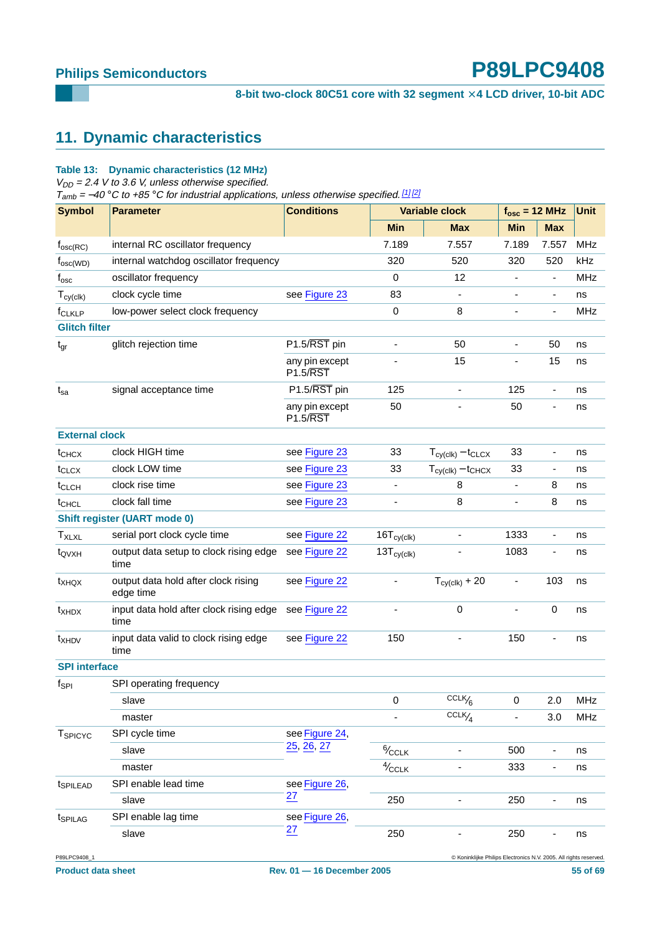## <span id="page-54-0"></span>**11. Dynamic characteristics**

#### **Table 13: Dynamic characteristics (12 MHz)**

 $V_{DD}$  = 2.4 V to 3.6 V, unless otherwise specified.

 $T<sub>amb</sub> = -40 °C$  to +85 °C for industrial applications, unless otherwise specified. [\[1\]](#page-55-0) [\[2\]](#page-55-1)

| <b>Symbol</b>              | <b>Parameter</b>                                 | <b>Conditions</b>                       |                               | <b>Variable clock</b>                                            | $f_{\text{osc}} = 12 \text{ MHz}$ |                          | <b>Unit</b> |
|----------------------------|--------------------------------------------------|-----------------------------------------|-------------------------------|------------------------------------------------------------------|-----------------------------------|--------------------------|-------------|
|                            |                                                  |                                         | <b>Min</b>                    | <b>Max</b>                                                       | <b>Min</b>                        | <b>Max</b>               |             |
| $f_{\rm osc(RC)}$          | internal RC oscillator frequency                 |                                         | 7.189                         | 7.557                                                            | 7.189                             | 7.557                    | <b>MHz</b>  |
| $f_{\rm osc(WD)}$          | internal watchdog oscillator frequency           |                                         | 320                           | 520                                                              | 320                               | 520                      | kHz         |
| $f_{\rm osc}$              | oscillator frequency                             |                                         | 0                             | 12                                                               | $\qquad \qquad \blacksquare$      | $\blacksquare$           | <b>MHz</b>  |
| $T_{cy(clk)}$              | clock cycle time                                 | see Figure 23                           | 83                            |                                                                  |                                   | $\blacksquare$           | ns          |
| f <sub>CLKLP</sub>         | low-power select clock frequency                 |                                         | 0                             | 8                                                                | ٠                                 |                          | <b>MHz</b>  |
| <b>Glitch filter</b>       |                                                  |                                         |                               |                                                                  |                                   |                          |             |
| $t_{gr}$                   | glitch rejection time                            | P1.5/RST pin                            | $\blacksquare$                | 50                                                               | ٠                                 | 50                       | ns          |
|                            |                                                  | any pin except<br>$P1.5/\overline{RST}$ |                               | 15                                                               | ٠                                 | 15                       | ns          |
| $t_{sa}$                   | signal acceptance time                           | P1.5/RST pin                            | 125                           | $\overline{\phantom{a}}$                                         | 125                               | $\overline{\phantom{a}}$ | ns          |
|                            |                                                  | any pin except<br><b>P1.5/RST</b>       | 50                            | ä,                                                               | 50                                | $\overline{\phantom{a}}$ | ns          |
| <b>External clock</b>      |                                                  |                                         |                               |                                                                  |                                   |                          |             |
| t <sub>CHCX</sub>          | clock HIGH time                                  | see Figure 23                           | 33                            | $T_{cy(clk)} - t_{CLCX}$                                         | 33                                | $\overline{\phantom{a}}$ | ns          |
| t <sub>CLCX</sub>          | clock LOW time                                   | see Figure 23                           | 33                            | $T_{cy(clk)} - t_{CHCX}$                                         | 33                                | $\blacksquare$           | ns          |
| t <sub>CLCH</sub>          | clock rise time                                  | see Figure 23                           | $\overline{\phantom{a}}$      | 8                                                                | $\qquad \qquad \blacksquare$      | 8                        | ns          |
| t <sub>CHCL</sub>          | clock fall time                                  | see Figure 23                           |                               | 8                                                                | ä,                                | 8                        | ns          |
|                            | <b>Shift register (UART mode 0)</b>              |                                         |                               |                                                                  |                                   |                          |             |
| $T_{XLXL}$                 | serial port clock cycle time                     | see Figure 22                           | $16T_{\text{c}y}(\text{clk})$ |                                                                  | 1333                              | $\overline{\phantom{a}}$ | ns          |
| t <sub>QVXH</sub>          | output data setup to clock rising edge<br>time   | see Figure 22                           | $13T_{cy(clk)}$               |                                                                  | 1083                              | $\overline{\phantom{a}}$ | ns          |
| t <sub>XHQX</sub>          | output data hold after clock rising<br>edge time | see Figure 22                           | $\qquad \qquad \blacksquare$  | $T_{\text{c}y(\text{clk})}$ + 20                                 | $\qquad \qquad \blacksquare$      | 103                      | ns          |
| t <sub>XHDX</sub>          | input data hold after clock rising edge<br>time  | see Figure 22                           |                               | $\pmb{0}$                                                        |                                   | 0                        | ns          |
| t <sub>XHDV</sub>          | input data valid to clock rising edge<br>time    | see Figure 22                           | 150                           |                                                                  | 150                               | ÷,                       | ns          |
| <b>SPI</b> interface       |                                                  |                                         |                               |                                                                  |                                   |                          |             |
| $f_{\sf SPI}$              | SPI operating frequency                          |                                         |                               |                                                                  |                                   |                          |             |
|                            | slave                                            |                                         | 0                             | $CCLK$ <sup>6</sup>                                              | 0                                 | 2.0                      | MHz         |
|                            | master                                           |                                         |                               | $CCLK$ / <sub>4</sub>                                            |                                   | 3.0                      | MHz         |
| <b>T</b> <sub>SPICYC</sub> | SPI cycle time                                   | see Figure 24,                          |                               |                                                                  |                                   |                          |             |
|                            | slave                                            | 25, 26, 27                              | $\frac{6}{2}$ CCLK            |                                                                  | 500                               |                          | ns          |
|                            | master                                           |                                         | $4/$ CCLK                     |                                                                  | 333                               | $\overline{\phantom{a}}$ | ns          |
| t <sub>SPILEAD</sub>       | SPI enable lead time                             | see Figure 26,                          |                               |                                                                  |                                   |                          |             |
|                            | slave                                            | $\overline{27}$                         | 250                           |                                                                  | 250                               | $\overline{\phantom{a}}$ | ns          |
| t <sub>SPILAG</sub>        | SPI enable lag time                              | see Figure 26,                          |                               |                                                                  |                                   |                          |             |
|                            | slave                                            | $\overline{27}$                         | 250                           |                                                                  | 250                               |                          | ns          |
| P89LPC9408_1               |                                                  |                                         |                               | C Koninklijke Philips Electronics N.V. 2005. All rights reserved |                                   |                          |             |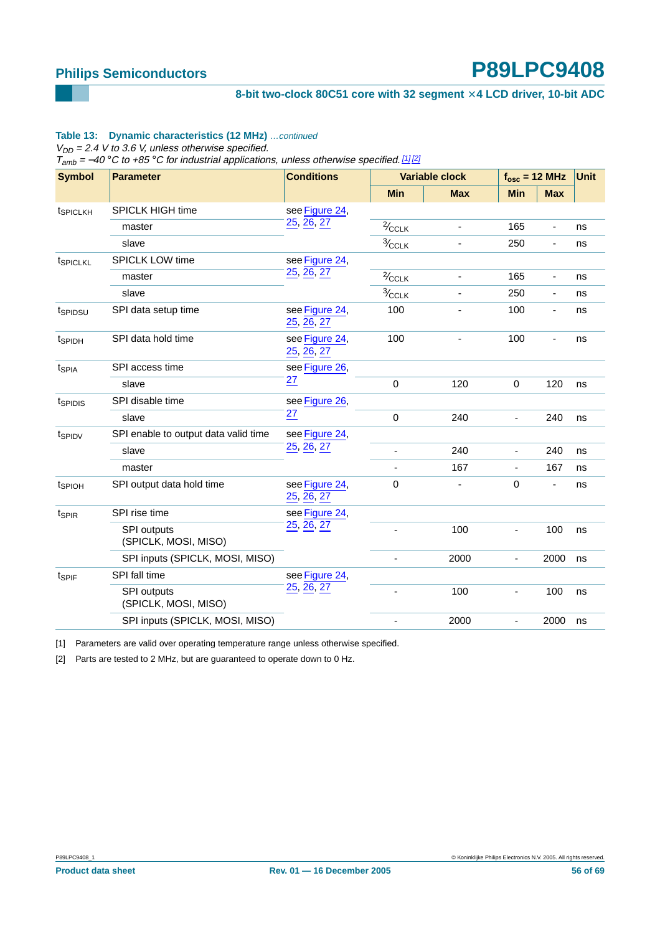#### 8-bit two-clock 80C51 core with 32 segment  $\times$  4 LCD driver, 10-bit ADC

#### **Table 13: Dynamic characteristics (12 MHz)** …continued

 $V_{DD}$  = 2.4 V to 3.6 V, unless otherwise specified.

 $T<sub>amb</sub> = -40 °C$  to +85 °C for industrial applications, unless otherwise specified. [1] [2]

| <b>Symbol</b><br><b>Parameter</b> |                                            | <b>Conditions</b>            |                         | <b>Variable clock</b>        |                          | $f_{osc}$ = 12 MHz       |    |
|-----------------------------------|--------------------------------------------|------------------------------|-------------------------|------------------------------|--------------------------|--------------------------|----|
|                                   |                                            |                              | <b>Min</b>              | <b>Max</b>                   | <b>Min</b>               | <b>Max</b>               |    |
| t <sub>SPICLKH</sub>              | SPICLK HIGH time                           | see Figure 24,               |                         |                              |                          |                          |    |
|                                   | master                                     | 25, 26, 27                   | $\frac{2}{CCLK}$        |                              | 165                      | $\blacksquare$           | ns |
|                                   | slave                                      |                              | $\frac{3}{2}$ CCLK      | $\qquad \qquad \blacksquare$ | 250                      | $\overline{\phantom{a}}$ | ns |
| t <sub>SPICLKL</sub>              | <b>SPICLK LOW time</b>                     | see Figure 24,               |                         |                              |                          |                          |    |
|                                   | master                                     | 25, 26, 27                   | $\frac{2}{\sqrt{CCLK}}$ |                              | 165                      | $\blacksquare$           | ns |
|                                   | slave                                      |                              | $\frac{3}{2}$ CCLK      |                              | 250                      | ÷,                       | ns |
| tspipsu                           | SPI data setup time                        | see Figure 24,<br>25, 26, 27 | 100                     |                              | 100                      | $\blacksquare$           | ns |
| t <sub>SPIDH</sub>                | SPI data hold time                         | see Figure 24,<br>25, 26, 27 | 100                     |                              | 100                      |                          | ns |
| t <sub>SPIA</sub>                 | SPI access time                            | see Figure 26,               |                         |                              |                          |                          |    |
|                                   | slave                                      | 27                           | 0                       | 120                          | 0                        | 120                      | ns |
| t <sub>SPIDIS</sub>               | SPI disable time                           | see Figure 26,               |                         |                              |                          |                          |    |
|                                   | slave                                      | $\overline{27}$              | 0                       | 240                          | ä,                       | 240                      | ns |
| t <sub>SPIDV</sub>                | SPI enable to output data valid time       | see Figure 24,               |                         |                              |                          |                          |    |
|                                   | slave                                      | 25, 26, 27                   |                         | 240                          | $\overline{\phantom{a}}$ | 240                      | ns |
|                                   | master                                     |                              |                         | 167                          | $\overline{\phantom{a}}$ | 167                      | ns |
| t <sub>SPIOH</sub>                | SPI output data hold time                  | see Figure 24,<br>25, 26, 27 | 0                       |                              | 0                        | $\overline{\phantom{a}}$ | ns |
| t <sub>SPIR</sub>                 | SPI rise time                              | see Figure 24,               |                         |                              |                          |                          |    |
|                                   | <b>SPI</b> outputs<br>(SPICLK, MOSI, MISO) | 25, 26, 27                   |                         | 100                          | ٠                        | 100                      | ns |
|                                   | SPI inputs (SPICLK, MOSI, MISO)            |                              |                         | 2000                         | ÷,                       | 2000                     | ns |
| t <sub>SPIF</sub>                 | SPI fall time                              | see Figure 24,               |                         |                              |                          |                          |    |
|                                   | SPI outputs<br>(SPICLK, MOSI, MISO)        | 25, 26, 27                   |                         | 100                          | -                        | 100                      | ns |
|                                   | SPI inputs (SPICLK, MOSI, MISO)            |                              |                         | 2000                         | $\overline{\phantom{a}}$ | 2000                     | ns |

<span id="page-55-0"></span>[1] Parameters are valid over operating temperature range unless otherwise specified.

<span id="page-55-1"></span>[2] Parts are tested to 2 MHz, but are guaranteed to operate down to 0 Hz.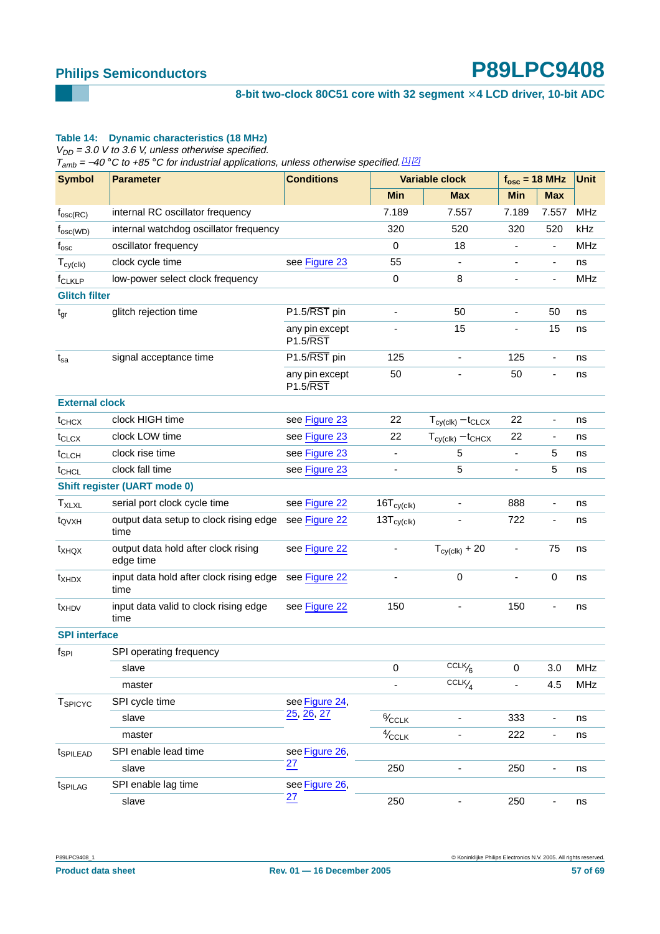#### 8-bit two-clock 80C51 core with 32 segment  $\times$  4 LCD driver, 10-bit ADC

#### **Table 14: Dynamic characteristics (18 MHz)**

 $V_{DD}$  = 3.0 V to 3.6 V, unless otherwise specified.

 $T_{amb}$  = -40 °C to +85 °C for industrial applications, unless otherwise specified. [\[1\]](#page-57-0) [\[2\]](#page-57-1)

| <b>Symbol</b>         | <b>Parameter</b>                                              | <b>Conditions</b>                 | <b>Variable clock</b>    |                                  | $f_{\text{osc}} = 18 \text{ MHz}$ |                          | <b>Unit</b> |
|-----------------------|---------------------------------------------------------------|-----------------------------------|--------------------------|----------------------------------|-----------------------------------|--------------------------|-------------|
|                       |                                                               |                                   | <b>Min</b>               | <b>Max</b>                       | <b>Min</b>                        | <b>Max</b>               |             |
| $f_{\rm osc(RC)}$     | internal RC oscillator frequency                              |                                   | 7.189                    | 7.557                            | 7.189                             | 7.557                    | MHz         |
| $f_{\rm osc(WD)}$     | internal watchdog oscillator frequency                        |                                   | 320                      | 520                              | 320                               | 520                      | kHz         |
| $f_{\rm osc}$         | oscillator frequency                                          |                                   | 0                        | 18                               |                                   | $\blacksquare$           | <b>MHz</b>  |
| $T_{cy(clk)}$         | clock cycle time                                              | see Figure 23                     | 55                       | $\overline{\phantom{a}}$         | ٠                                 | $\overline{\phantom{a}}$ | ns          |
| f <sub>CLKLP</sub>    | low-power select clock frequency                              |                                   | 0                        | 8                                |                                   |                          | <b>MHz</b>  |
| <b>Glitch filter</b>  |                                                               |                                   |                          |                                  |                                   |                          |             |
| $t_{gr}$              | glitch rejection time                                         | $P1.5/\overline{RST}$ pin         |                          | 50                               | ä,                                | 50                       | ns          |
|                       |                                                               | any pin except<br><b>P1.5/RST</b> |                          | 15                               | ٠                                 | 15                       | ns          |
| $t_{sa}$              | signal acceptance time                                        | P1.5/RST pin                      | 125                      | $\overline{\phantom{a}}$         | 125                               | $\overline{\phantom{a}}$ | ns          |
|                       |                                                               | any pin except<br><b>P1.5/RST</b> | 50                       |                                  | 50                                | ٠                        | ns          |
| <b>External clock</b> |                                                               |                                   |                          |                                  |                                   |                          |             |
| t <sub>CHCX</sub>     | clock HIGH time                                               | see Figure 23                     | 22                       | $T_{cy(clk)} - t_{CLCX}$         | 22                                |                          | ns          |
| t <sub>CLCX</sub>     | clock LOW time                                                | see Figure 23                     | 22                       | $T_{cy(clk)} - t_{CHCX}$         | 22                                | $\overline{\phantom{a}}$ | ns          |
| t <sub>CLCH</sub>     | clock rise time                                               | see Figure 23                     | $\overline{\phantom{a}}$ | 5                                | -                                 | 5                        | ns          |
| t <sub>CHCL</sub>     | clock fall time                                               | see Figure 23                     | ٠                        | 5                                | -                                 | 5                        | ns          |
|                       | <b>Shift register (UART mode 0)</b>                           |                                   |                          |                                  |                                   |                          |             |
| <b>TxLxL</b>          | serial port clock cycle time                                  | see Figure 22                     | $16T_{cy(clk)}$          | $\qquad \qquad \blacksquare$     | 888                               | $\overline{\phantom{a}}$ | ns          |
| t <sub>QVXH</sub>     | output data setup to clock rising edge<br>time                | see Figure 22                     | $13T_{cy(clk)}$          |                                  | 722                               | ٠                        | ns          |
| $t_{XHQX}$            | output data hold after clock rising<br>edge time              | see Figure 22                     |                          | $T_{\text{cy}(\text{clk})}$ + 20 | $\qquad \qquad \blacksquare$      | 75                       | ns          |
| t <sub>XHDX</sub>     | input data hold after clock rising edge see Figure 22<br>time |                                   |                          | 0                                | L,                                | 0                        | ns          |
| t <sub>XHDV</sub>     | input data valid to clock rising edge<br>time                 | see Figure 22                     | 150                      |                                  | 150                               |                          | ns          |
| <b>SPI</b> interface  |                                                               |                                   |                          |                                  |                                   |                          |             |
| $f_{\mathsf{SPI}}$    | SPI operating frequency                                       |                                   |                          |                                  |                                   |                          |             |
|                       | slave                                                         |                                   | 0                        | $\overline{\text{CCLK}}_{6}$     | 0                                 | 3.0                      | <b>MHz</b>  |
|                       | master                                                        |                                   |                          | $CCLK$ / $\mathcal{A}$           |                                   | 4.5                      | MHz         |
| T <sub>SPICYC</sub>   | SPI cycle time                                                | see Figure 24,                    |                          |                                  |                                   |                          |             |
|                       | slave                                                         | 25, 26, 27                        | $\frac{6}{2}$ CCLK       |                                  | 333                               | $\blacksquare$           | ns          |
|                       | master                                                        |                                   | $4/$ CCLK                |                                  | 222                               | $\overline{\phantom{a}}$ | ns          |
| t <sub>SPILEAD</sub>  | SPI enable lead time                                          | see Figure 26,                    |                          |                                  |                                   |                          |             |
|                       | slave                                                         | 27                                | 250                      | $\qquad \qquad \blacksquare$     | 250                               | ۰                        | ns          |
| t <sub>SPILAG</sub>   | SPI enable lag time                                           | see Figure 26,                    |                          |                                  |                                   |                          |             |
|                       | slave                                                         | $\overline{27}$                   | 250                      | $\qquad \qquad \blacksquare$     | 250                               | $\overline{\phantom{a}}$ | ns          |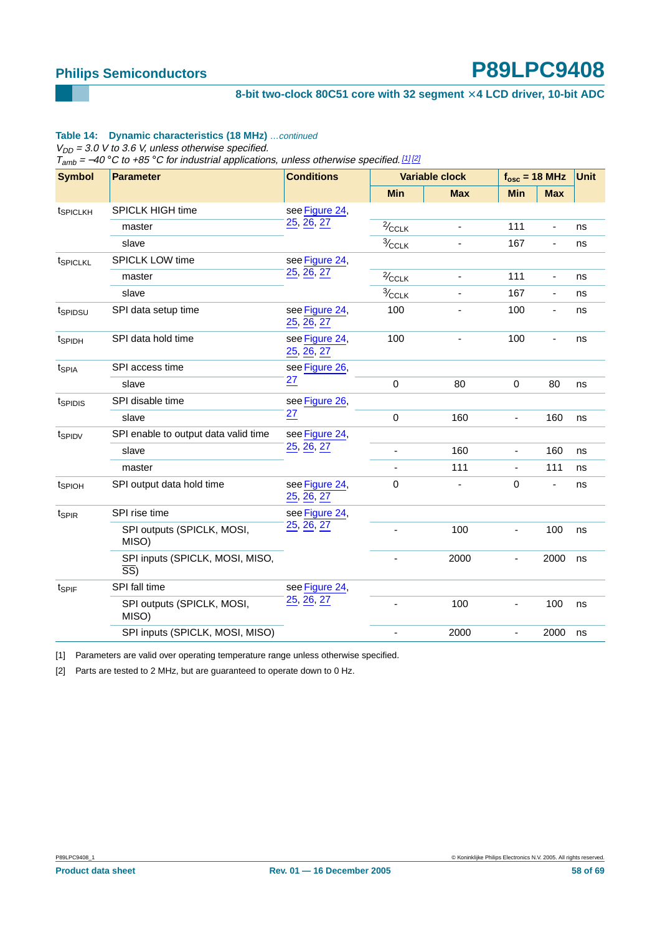#### 8-bit two-clock 80C51 core with 32 segment  $\times$  4 LCD driver, 10-bit ADC

#### Table 14: Dynamic characteristics (18 MHz) ... continued

 $V_{DD}$  = 3.0 V to 3.6 V, unless otherwise specified.

 $T<sub>amb</sub> = -40 °C$  to +85 °C for industrial applications, unless otherwise specified. [1] [2]

| <b>Symbol</b><br><b>Parameter</b> |                                                    | <b>Conditions</b>            | <b>Variable clock</b>   |                          | $f_{\rm osc}$ = 18 MHz       |                          | <b>Unit</b> |
|-----------------------------------|----------------------------------------------------|------------------------------|-------------------------|--------------------------|------------------------------|--------------------------|-------------|
|                                   |                                                    |                              | <b>Min</b>              | <b>Max</b>               | <b>Min</b>                   | <b>Max</b>               |             |
| t <sub>SPICLKH</sub>              | SPICLK HIGH time                                   | see Figure 24,               |                         |                          |                              |                          |             |
|                                   | master                                             | 25, 26, 27                   | $\frac{2}{\sqrt{CCLK}}$ | $\overline{\phantom{a}}$ | 111                          | $\overline{\phantom{a}}$ | ns          |
|                                   | slave                                              |                              | $\frac{3}{2}$ CCLK      |                          | 167                          | $\blacksquare$           | ns          |
| t <sub>SPICLKL</sub>              | <b>SPICLK LOW time</b>                             | see Figure 24,               |                         |                          |                              |                          |             |
|                                   | master                                             | 25, 26, 27                   | $\frac{2}{\sqrt{CCLK}}$ | ٠                        | 111                          | $\blacksquare$           | ns          |
|                                   | slave                                              |                              | $\frac{3}{2}$ CCLK      |                          | 167                          | $\blacksquare$           | ns          |
| tspipsu                           | SPI data setup time                                | see Figure 24,<br>25, 26, 27 | 100                     |                          | 100                          | ÷,                       | ns          |
| t <sub>SPIDH</sub>                | SPI data hold time                                 | see Figure 24,<br>25, 26, 27 | 100                     |                          | 100                          | $\blacksquare$           | ns          |
| t <sub>SPIA</sub>                 | SPI access time                                    | see Figure 26,               |                         |                          |                              |                          |             |
|                                   | slave                                              | 27                           | 0                       | 80                       | $\mathbf 0$                  | 80                       | ns          |
| t <sub>SPIDIS</sub>               | SPI disable time                                   | see Figure 26,               |                         |                          |                              |                          |             |
|                                   | slave                                              | $\overline{27}$              | 0                       | 160                      | ÷,                           | 160                      | ns          |
| t <sub>SPIDV</sub>                | SPI enable to output data valid time               | see Figure 24,               |                         |                          |                              |                          |             |
|                                   | slave                                              | 25, 26, 27                   |                         | 160                      | $\overline{\phantom{m}}$     | 160                      | ns          |
|                                   | master                                             |                              |                         | 111                      | $\frac{1}{2}$                | 111                      | ns          |
| t <sub>SPIOH</sub>                | SPI output data hold time                          | see Figure 24,<br>25, 26, 27 | 0                       |                          | 0                            | $\blacksquare$           | ns          |
| t <sub>SPIR</sub>                 | SPI rise time                                      | see Figure 24,               |                         |                          |                              |                          |             |
|                                   | SPI outputs (SPICLK, MOSI,<br>MISO)                | 25, 26, 27                   |                         | 100                      | $\blacksquare$               | 100                      | ns          |
|                                   | SPI inputs (SPICLK, MOSI, MISO,<br>$\overline{SS}$ |                              |                         | 2000                     | $\qquad \qquad \blacksquare$ | 2000                     | ns          |
| tspiF                             | SPI fall time                                      | see Figure 24,               |                         |                          |                              |                          |             |
|                                   | SPI outputs (SPICLK, MOSI,<br>MISO)                | 25, 26, 27                   |                         | 100                      | $\qquad \qquad \blacksquare$ | 100                      | ns          |
|                                   | SPI inputs (SPICLK, MOSI, MISO)                    |                              |                         | 2000                     | $\overline{\phantom{a}}$     | 2000                     | ns          |

<span id="page-57-0"></span>[1] Parameters are valid over operating temperature range unless otherwise specified.

<span id="page-57-1"></span>[2] Parts are tested to 2 MHz, but are guaranteed to operate down to 0 Hz.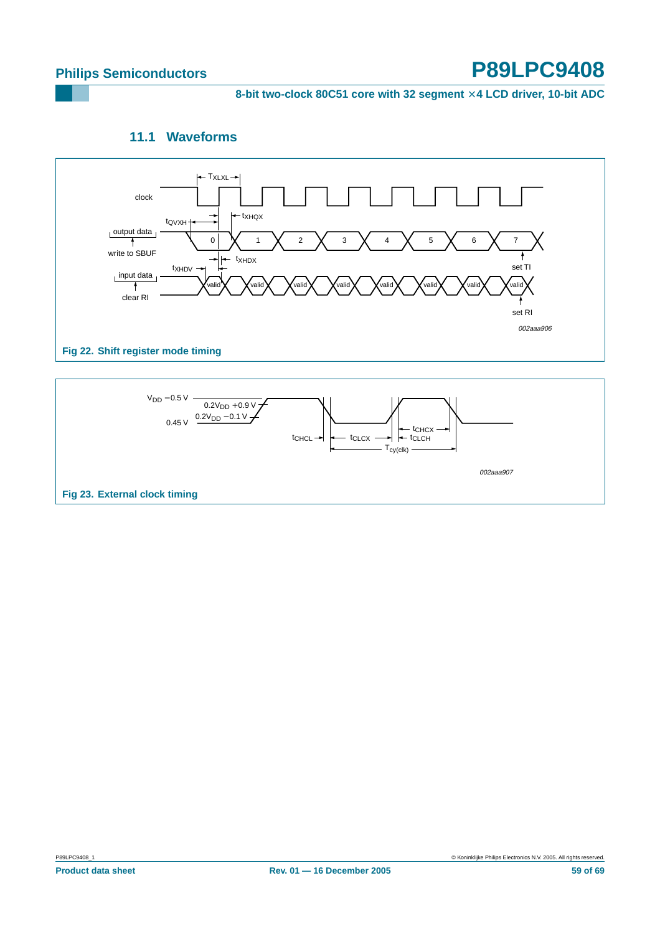8-bit two-clock 80C51 core with 32 segment  $\times$  4 LCD driver, 10-bit ADC

## **11.1 Waveforms**

<span id="page-58-2"></span>

<span id="page-58-1"></span><span id="page-58-0"></span>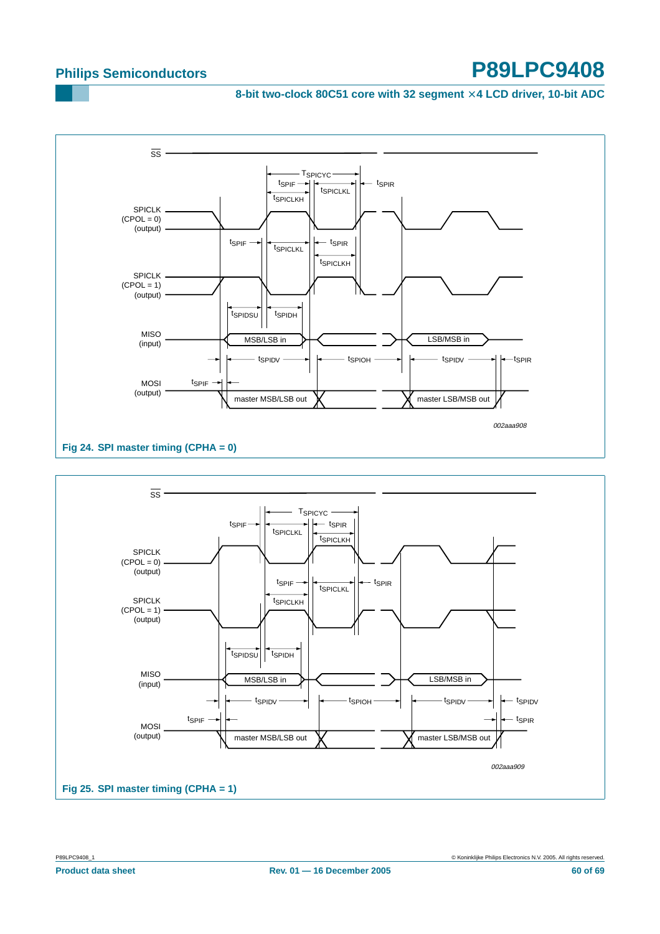8-bit two-clock 80C51 core with 32 segment  $\times$  4 LCD driver, 10-bit ADC



<span id="page-59-1"></span><span id="page-59-0"></span>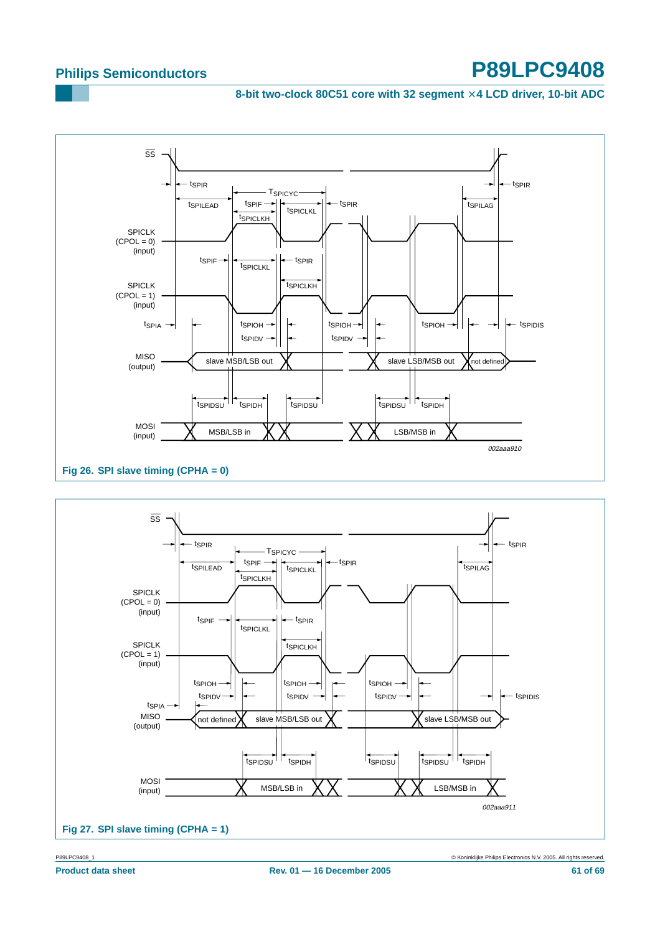8-bit two-clock 80C51 core with 32 segment  $\times$  4 LCD driver, 10-bit ADC



<span id="page-60-0"></span>

<span id="page-60-1"></span>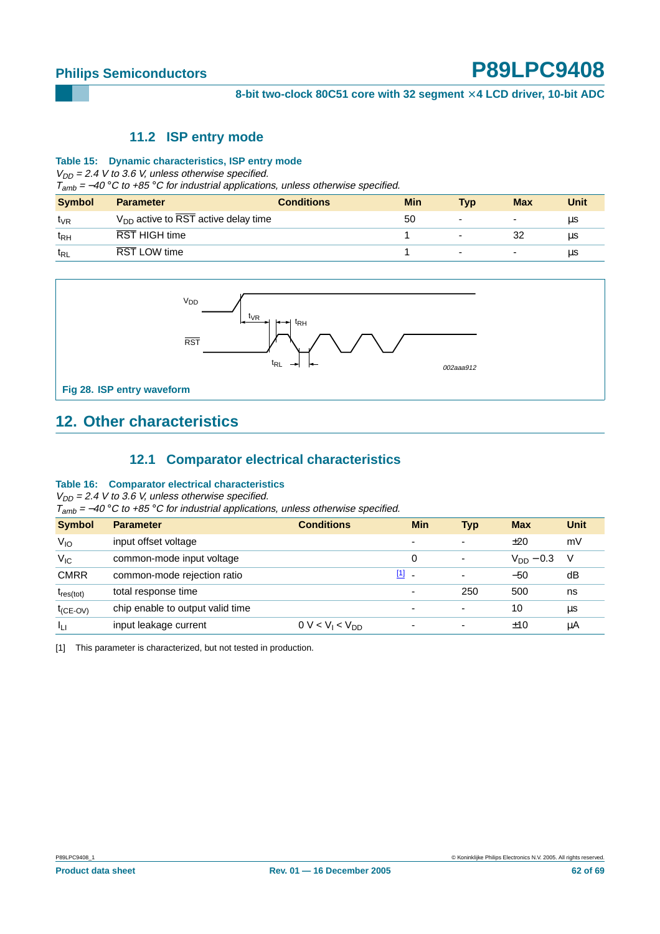#### **11.2 ISP entry mode**

#### <span id="page-61-1"></span>**Table 15: Dynamic characteristics, ISP entry mode**

 $V_{DD}$  = 2.4 V to 3.6 V, unless otherwise specified.

 $T<sub>amb</sub> = -40 °C$  to +85 °C for industrial applications, unless otherwise specified.

| <b>Symbol</b>   | <b>Parameter</b>                                      | <b>Conditions</b> | <b>Min</b> | Tvp                      | <b>Max</b>               | Unit |
|-----------------|-------------------------------------------------------|-------------------|------------|--------------------------|--------------------------|------|
| t <sub>VR</sub> | $V_{DD}$ active to $\overline{RST}$ active delay time |                   | 50         | $\overline{\phantom{a}}$ | ٠                        | μs   |
| t <sub>RH</sub> | <b>RST HIGH time</b>                                  |                   |            | $\overline{\phantom{0}}$ |                          | μs   |
| t <sub>RL</sub> | RST LOW time                                          |                   |            | $\overline{\phantom{a}}$ | $\overline{\phantom{0}}$ | μs   |



## <span id="page-61-2"></span>**12. Other characteristics**

### **12.1 Comparator electrical characteristics**

#### <span id="page-61-3"></span>**Table 16: Comparator electrical characteristics**

 $V_{DD}$  = 2.4 V to 3.6 V, unless otherwise specified.

 $T_{amb}$  = −40 °C to +85 °C for industrial applications, unless otherwise specified.

| <b>Symbol</b>  | <b>Parameter</b>                 | <b>Conditions</b>                      | <b>Min</b>               | <b>Typ</b>               | <b>Max</b>     | <b>Unit</b> |
|----------------|----------------------------------|----------------------------------------|--------------------------|--------------------------|----------------|-------------|
| $V_{IO}$       | input offset voltage             |                                        |                          | $\overline{\phantom{0}}$ | ±20            | mV          |
| $V_{IC}$       | common-mode input voltage        |                                        | $\Omega$                 | $\overline{\phantom{a}}$ | $V_{DD}$ – 0.3 | -V          |
| <b>CMRR</b>    | common-mode rejection ratio      |                                        | $[1]$ .                  | $\overline{\phantom{0}}$ | $-50$          | dB          |
| $t_{res(tot)}$ | total response time              |                                        | $\overline{\phantom{0}}$ | 250                      | 500            | ns          |
| $t_{(CE-OV)}$  | chip enable to output valid time |                                        | $\overline{\phantom{a}}$ | $\overline{\phantom{0}}$ | 10             | μs          |
| Ιų             | input leakage current            | 0 V < V <sub>1</sub> < V <sub>DD</sub> |                          | ۰                        | ±10            | μA          |

<span id="page-61-0"></span>[1] This parameter is characterized, but not tested in production.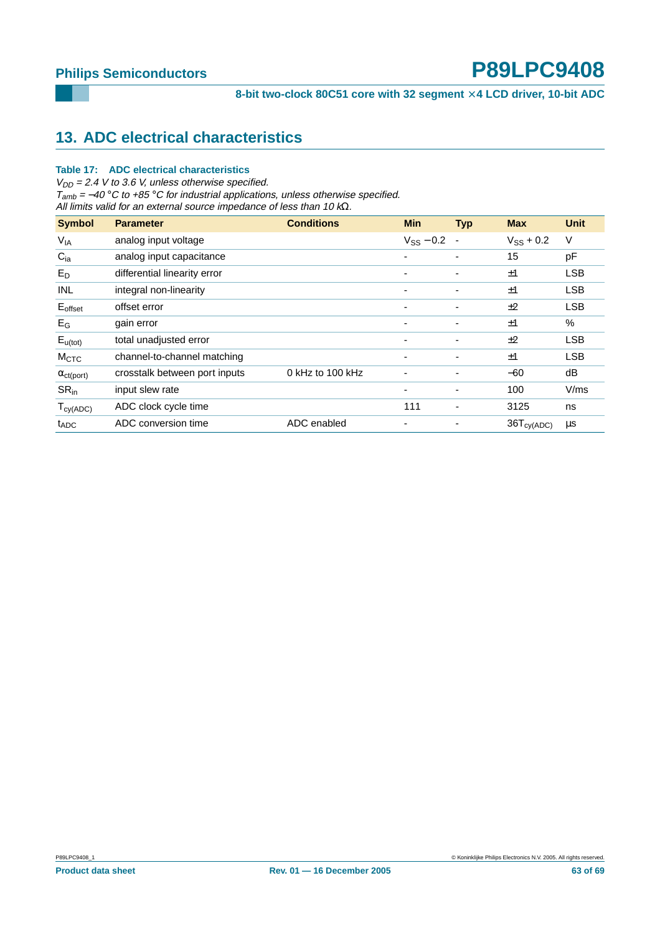## <span id="page-62-0"></span>**13. ADC electrical characteristics**

#### **Table 17: ADC electrical characteristics**

 $V_{DD}$  = 2.4 V to 3.6 V, unless otherwise specified.  $T<sub>amb</sub> = -40 °C$  to +85 °C for industrial applications, unless otherwise specified. All limits valid for an external source impedance of less than 10  $k\Omega$ .

| <b>Symbol</b>         | <b>Parameter</b>              | <b>Conditions</b>  | <b>Min</b>               | <b>Typ</b>               | <b>Max</b>      | Unit       |
|-----------------------|-------------------------------|--------------------|--------------------------|--------------------------|-----------------|------------|
| <b>V<sub>IA</sub></b> | analog input voltage          |                    | $V_{SS}$ – 0.2           | $\blacksquare$           | $V_{SS}$ + 0.2  | V          |
| $C_{ia}$              | analog input capacitance      |                    |                          | $\overline{\phantom{0}}$ | 15              | pF         |
| $E_D$                 | differential linearity error  |                    | $\overline{\phantom{0}}$ | ٠                        | ±1              | <b>LSB</b> |
| <b>INL</b>            | integral non-linearity        |                    | ٠                        | ٠                        | ±1              | <b>LSB</b> |
| $E_{offset}$          | offset error                  |                    | -                        | ٠                        | ±2              | <b>LSB</b> |
| $E_G$                 | gain error                    |                    |                          |                          | ±1              | $\%$       |
| $E_{u(tot)}$          | total unadjusted error        |                    | $\overline{\phantom{0}}$ | ٠                        | ±2              | <b>LSB</b> |
| M <sub>CTC</sub>      | channel-to-channel matching   |                    | $\overline{\phantom{0}}$ | ٠                        | ±1              | <b>LSB</b> |
| $\alpha_{ct(port)}$   | crosstalk between port inputs | $0$ kHz to 100 kHz | ٠                        | ٠                        | $-60$           | dB         |
| $SR_{in}$             | input slew rate               |                    | ٠                        | ٠                        | 100             | V/ms       |
| $T_{cy(ADC)}$         | ADC clock cycle time          |                    | 111                      | -                        | 3125            | ns         |
| $t_{ADC}$             | ADC conversion time           | ADC enabled        | $\overline{\phantom{0}}$ |                          | $36T_{cy(ADC)}$ | μs         |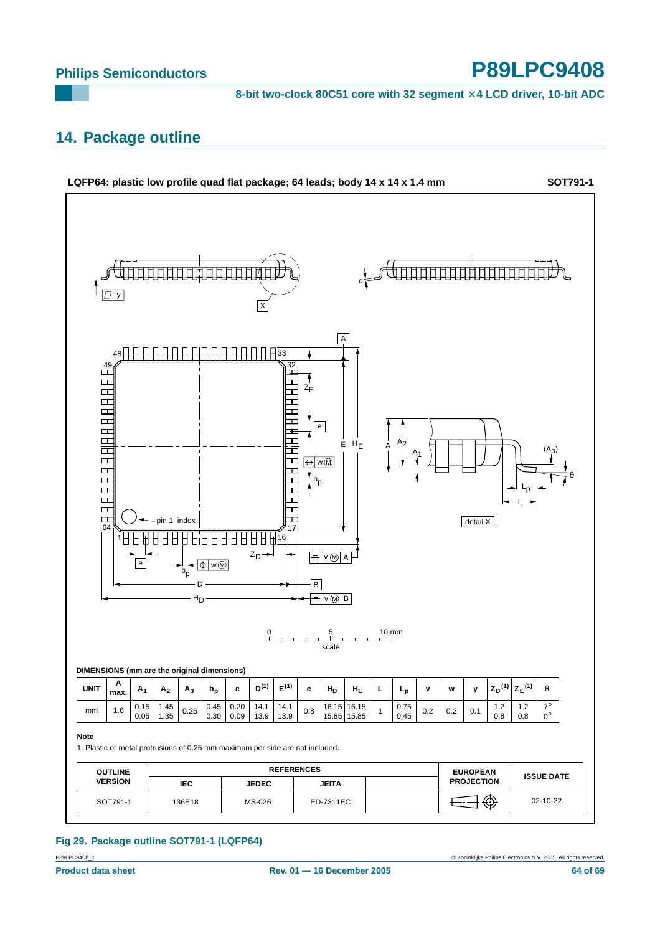8-bit two-clock 80C51 core with 32 segment  $\times$  4 LCD driver, 10-bit ADC

## <span id="page-63-0"></span>**14. Package outline**



### **Fig 29. Package outline SOT791-1 (LQFP64)**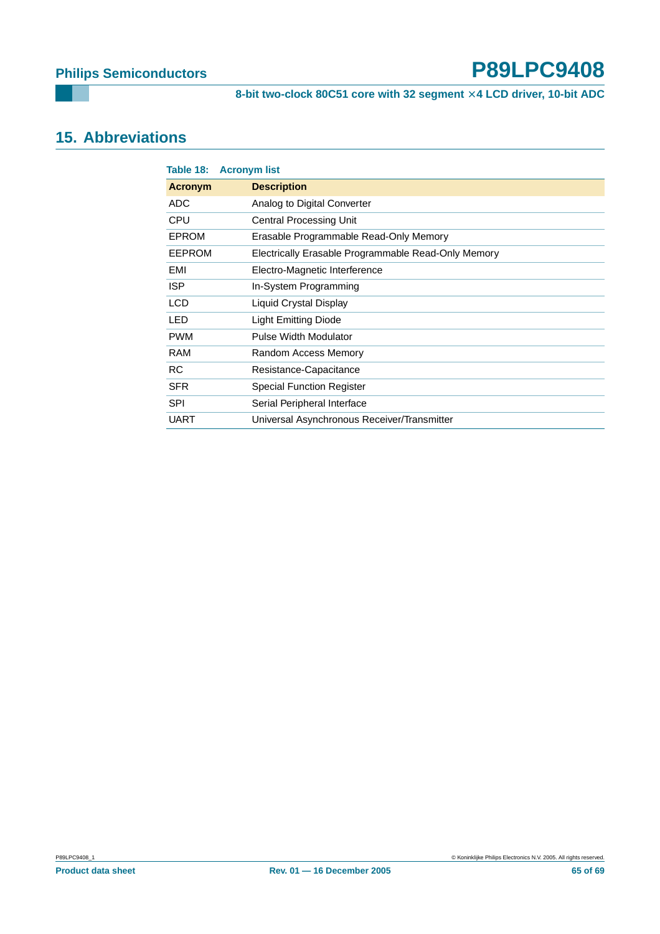## <span id="page-64-0"></span>**15. Abbreviations**

|               | Table 18: Acronym list                              |
|---------------|-----------------------------------------------------|
| Acronym       | <b>Description</b>                                  |
| <b>ADC</b>    | Analog to Digital Converter                         |
| <b>CPU</b>    | <b>Central Processing Unit</b>                      |
| <b>EPROM</b>  | Erasable Programmable Read-Only Memory              |
| <b>EEPROM</b> | Electrically Erasable Programmable Read-Only Memory |
| EMI           | Electro-Magnetic Interference                       |
| ISP.          | In-System Programming                               |
| <b>LCD</b>    | Liquid Crystal Display                              |
| <b>LED</b>    | Light Emitting Diode                                |
| <b>PWM</b>    | Pulse Width Modulator                               |
| <b>RAM</b>    | Random Access Memory                                |
| <b>RC</b>     | Resistance-Capacitance                              |
| <b>SFR</b>    | <b>Special Function Register</b>                    |
| <b>SPI</b>    | Serial Peripheral Interface                         |
| <b>UART</b>   | Universal Asynchronous Receiver/Transmitter         |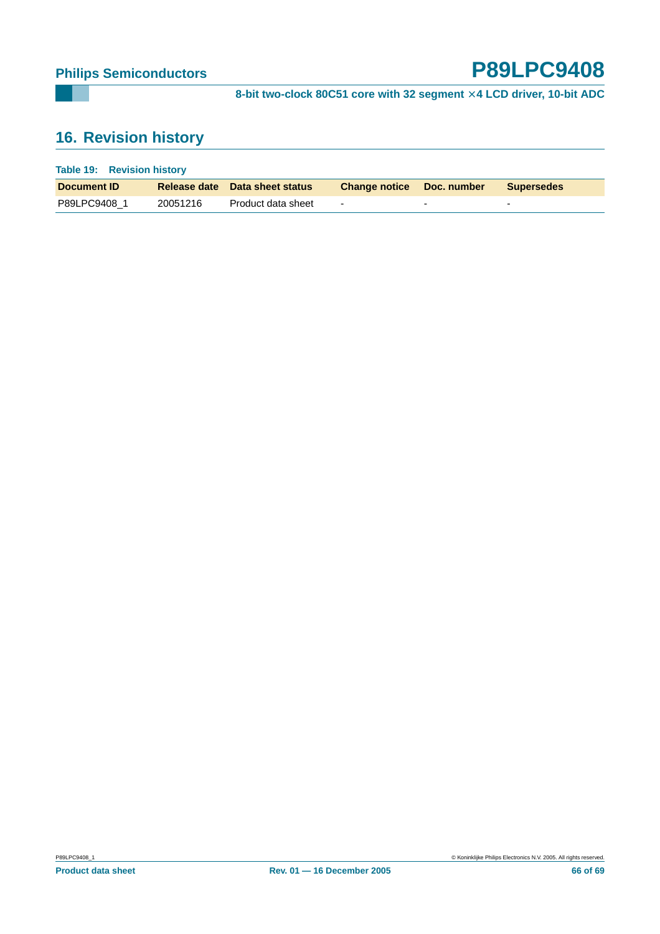# <span id="page-65-0"></span>**16. Revision history**

| <b>Table 19: Revision history</b> |          |                                       |                           |  |                   |
|-----------------------------------|----------|---------------------------------------|---------------------------|--|-------------------|
| Document <b>ID</b>                |          | <b>Release date</b> Data sheet status | Change notice Doc. number |  | <b>Supersedes</b> |
| P89LPC9408 1                      | 20051216 | Product data sheet                    | $\overline{\phantom{0}}$  |  |                   |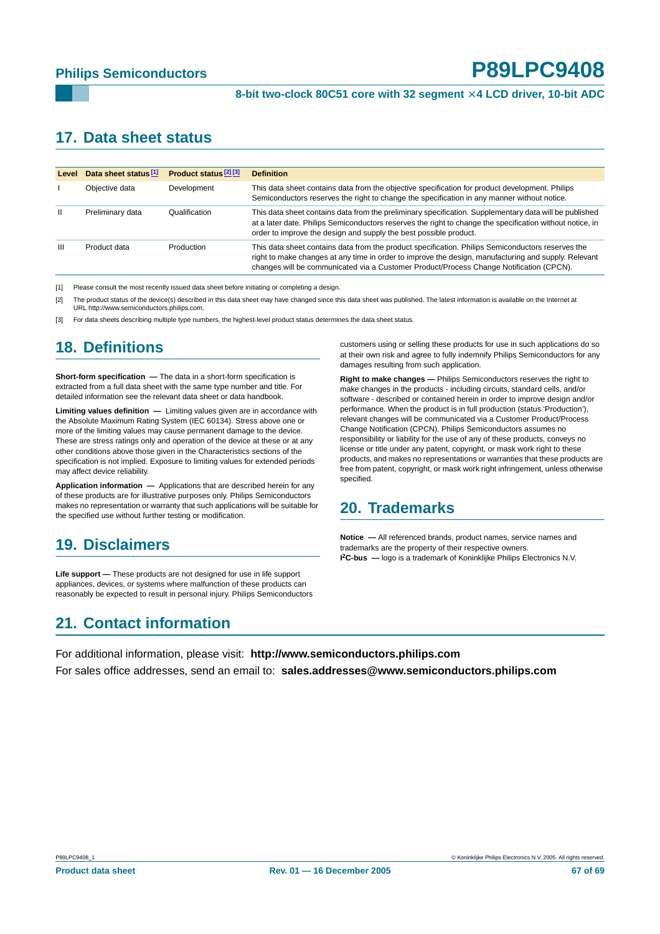## <span id="page-66-0"></span>**17. Data sheet status**

| Level         | Data sheet status <sup>[1]</sup> | Product status <sup>[2][3]</sup> | <b>Definition</b>                                                                                                                                                                                                                                                                                    |
|---------------|----------------------------------|----------------------------------|------------------------------------------------------------------------------------------------------------------------------------------------------------------------------------------------------------------------------------------------------------------------------------------------------|
|               | Objective data                   | Development                      | This data sheet contains data from the objective specification for product development. Philips<br>Semiconductors reserves the right to change the specification in any manner without notice.                                                                                                       |
| $\mathbf{II}$ | Preliminary data                 | Qualification                    | This data sheet contains data from the preliminary specification. Supplementary data will be published<br>at a later date. Philips Semiconductors reserves the right to change the specification without notice, in<br>order to improve the design and supply the best possible product.             |
| Ш             | Product data                     | Production                       | This data sheet contains data from the product specification. Philips Semiconductors reserves the<br>right to make changes at any time in order to improve the design, manufacturing and supply. Relevant<br>changes will be communicated via a Customer Product/Process Change Notification (CPCN). |

[1] Please consult the most recently issued data sheet before initiating or completing a design.

[2] The product status of the device(s) described in this data sheet may have changed since this data sheet was published. The latest information is available on the Internet at URL http://www.semiconductors.philips.com.

For data sheets describing multiple type numbers, the highest-level product status determines the data sheet status.

## <span id="page-66-1"></span>**18. Definitions**

**Short-form specification —** The data in a short-form specification is extracted from a full data sheet with the same type number and title. For detailed information see the relevant data sheet or data handbook.

**Limiting values definition —** Limiting values given are in accordance with the Absolute Maximum Rating System (IEC 60134). Stress above one or more of the limiting values may cause permanent damage to the device. These are stress ratings only and operation of the device at these or at any other conditions above those given in the Characteristics sections of the specification is not implied. Exposure to limiting values for extended periods may affect device reliability.

**Application information —** Applications that are described herein for any of these products are for illustrative purposes only. Philips Semiconductors makes no representation or warranty that such applications will be suitable for the specified use without further testing or modification.

## <span id="page-66-2"></span>**19. Disclaimers**

**Life support —** These products are not designed for use in life support appliances, devices, or systems where malfunction of these products can reasonably be expected to result in personal injury. Philips Semiconductors

## <span id="page-66-4"></span>**21. Contact information**

customers using or selling these products for use in such applications do so at their own risk and agree to fully indemnify Philips Semiconductors for any damages resulting from such application.

**Right to make changes —** Philips Semiconductors reserves the right to make changes in the products - including circuits, standard cells, and/or software - described or contained herein in order to improve design and/or performance. When the product is in full production (status 'Production'), relevant changes will be communicated via a Customer Product/Process Change Notification (CPCN). Philips Semiconductors assumes no responsibility or liability for the use of any of these products, conveys no license or title under any patent, copyright, or mask work right to these products, and makes no representations or warranties that these products are free from patent, copyright, or mask work right infringement, unless otherwise specified.

## <span id="page-66-3"></span>**20. Trademarks**

**Notice —** All referenced brands, product names, service names and trademarks are the property of their respective owners. **I 2C-bus —** logo is a trademark of Koninklijke Philips Electronics N.V.

For additional information, please visit: **http://www.semiconductors.philips.com** For sales office addresses, send an email to: **sales.addresses@www.semiconductors.philips.com**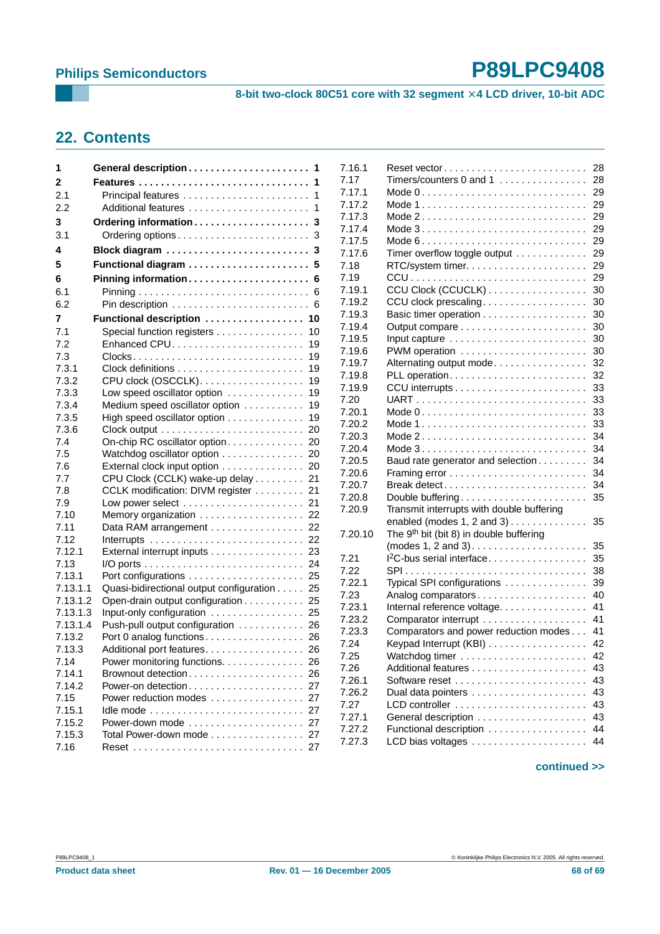8-bit two-clock 80C51 core with 32 segment  $\times$  4 LCD driver, 10-bit ADC

## **22. Contents**

| General description            | -1                                                                                                                                                                                                                                                                                                                                                                                                                                                                                                                                                                                                                              |
|--------------------------------|---------------------------------------------------------------------------------------------------------------------------------------------------------------------------------------------------------------------------------------------------------------------------------------------------------------------------------------------------------------------------------------------------------------------------------------------------------------------------------------------------------------------------------------------------------------------------------------------------------------------------------|
| Features                       | 1                                                                                                                                                                                                                                                                                                                                                                                                                                                                                                                                                                                                                               |
|                                | 1                                                                                                                                                                                                                                                                                                                                                                                                                                                                                                                                                                                                                               |
|                                | 1                                                                                                                                                                                                                                                                                                                                                                                                                                                                                                                                                                                                                               |
| Ordering information           | 3                                                                                                                                                                                                                                                                                                                                                                                                                                                                                                                                                                                                                               |
|                                | 3                                                                                                                                                                                                                                                                                                                                                                                                                                                                                                                                                                                                                               |
|                                | 3                                                                                                                                                                                                                                                                                                                                                                                                                                                                                                                                                                                                                               |
|                                |                                                                                                                                                                                                                                                                                                                                                                                                                                                                                                                                                                                                                                 |
|                                |                                                                                                                                                                                                                                                                                                                                                                                                                                                                                                                                                                                                                                 |
|                                |                                                                                                                                                                                                                                                                                                                                                                                                                                                                                                                                                                                                                                 |
|                                |                                                                                                                                                                                                                                                                                                                                                                                                                                                                                                                                                                                                                                 |
| Functional description  10     |                                                                                                                                                                                                                                                                                                                                                                                                                                                                                                                                                                                                                                 |
| Special function registers     | 10                                                                                                                                                                                                                                                                                                                                                                                                                                                                                                                                                                                                                              |
| Enhanced CPU                   | 19                                                                                                                                                                                                                                                                                                                                                                                                                                                                                                                                                                                                                              |
|                                | 19                                                                                                                                                                                                                                                                                                                                                                                                                                                                                                                                                                                                                              |
|                                | 19                                                                                                                                                                                                                                                                                                                                                                                                                                                                                                                                                                                                                              |
| CPU clock (OSCCLK).            | 19                                                                                                                                                                                                                                                                                                                                                                                                                                                                                                                                                                                                                              |
| Low speed oscillator option    | 19                                                                                                                                                                                                                                                                                                                                                                                                                                                                                                                                                                                                                              |
| Medium speed oscillator option | 19                                                                                                                                                                                                                                                                                                                                                                                                                                                                                                                                                                                                                              |
| High speed oscillator option   | 19                                                                                                                                                                                                                                                                                                                                                                                                                                                                                                                                                                                                                              |
|                                | 20                                                                                                                                                                                                                                                                                                                                                                                                                                                                                                                                                                                                                              |
| On-chip RC oscillator option   | 20                                                                                                                                                                                                                                                                                                                                                                                                                                                                                                                                                                                                                              |
|                                |                                                                                                                                                                                                                                                                                                                                                                                                                                                                                                                                                                                                                                 |
|                                |                                                                                                                                                                                                                                                                                                                                                                                                                                                                                                                                                                                                                                 |
|                                |                                                                                                                                                                                                                                                                                                                                                                                                                                                                                                                                                                                                                                 |
|                                |                                                                                                                                                                                                                                                                                                                                                                                                                                                                                                                                                                                                                                 |
|                                |                                                                                                                                                                                                                                                                                                                                                                                                                                                                                                                                                                                                                                 |
|                                |                                                                                                                                                                                                                                                                                                                                                                                                                                                                                                                                                                                                                                 |
|                                |                                                                                                                                                                                                                                                                                                                                                                                                                                                                                                                                                                                                                                 |
|                                |                                                                                                                                                                                                                                                                                                                                                                                                                                                                                                                                                                                                                                 |
|                                |                                                                                                                                                                                                                                                                                                                                                                                                                                                                                                                                                                                                                                 |
|                                |                                                                                                                                                                                                                                                                                                                                                                                                                                                                                                                                                                                                                                 |
|                                |                                                                                                                                                                                                                                                                                                                                                                                                                                                                                                                                                                                                                                 |
| 7.13.1.1                       |                                                                                                                                                                                                                                                                                                                                                                                                                                                                                                                                                                                                                                 |
| 7.13.1.2                       |                                                                                                                                                                                                                                                                                                                                                                                                                                                                                                                                                                                                                                 |
| 7.13.1.3                       |                                                                                                                                                                                                                                                                                                                                                                                                                                                                                                                                                                                                                                 |
| 7.13.1.4                       |                                                                                                                                                                                                                                                                                                                                                                                                                                                                                                                                                                                                                                 |
|                                |                                                                                                                                                                                                                                                                                                                                                                                                                                                                                                                                                                                                                                 |
|                                |                                                                                                                                                                                                                                                                                                                                                                                                                                                                                                                                                                                                                                 |
|                                | 26                                                                                                                                                                                                                                                                                                                                                                                                                                                                                                                                                                                                                              |
| Brownout detection 26          |                                                                                                                                                                                                                                                                                                                                                                                                                                                                                                                                                                                                                                 |
| Power-on detection 27          |                                                                                                                                                                                                                                                                                                                                                                                                                                                                                                                                                                                                                                 |
|                                |                                                                                                                                                                                                                                                                                                                                                                                                                                                                                                                                                                                                                                 |
|                                |                                                                                                                                                                                                                                                                                                                                                                                                                                                                                                                                                                                                                                 |
|                                | 27                                                                                                                                                                                                                                                                                                                                                                                                                                                                                                                                                                                                                              |
|                                | 27                                                                                                                                                                                                                                                                                                                                                                                                                                                                                                                                                                                                                              |
|                                |                                                                                                                                                                                                                                                                                                                                                                                                                                                                                                                                                                                                                                 |
|                                | Ordering options<br>Block diagram<br>Pinning information 6<br>Watchdog oscillator option 20<br>External clock input option 20<br>CPU Clock (CCLK) wake-up delay 21<br>CCLK modification: DIVM register  21<br>Memory organization 22<br>Data RAM arrangement  22<br>External interrupt inputs 23<br>Quasi-bidirectional output configuration 25<br>Open-drain output configuration 25<br>Input-only configuration  25<br>Push-pull output configuration 26<br>Port 0 analog functions 26<br>Additional port features 26<br>Power monitoring functions.<br>Power reduction modes  27<br>Power-down mode<br>Total Power-down mode |

| 7.16.1           |                                                                             | 28       |
|------------------|-----------------------------------------------------------------------------|----------|
| 7.17             | Timers/counters 0 and 1                                                     | 28       |
| 7.17.1           |                                                                             | 29       |
| 7.17.2           |                                                                             | 29       |
| 7.17.3           |                                                                             | 29       |
| 7.17.4           |                                                                             | 29       |
| 7.17.5           |                                                                             | 29       |
| 7.17.6           | Timer overflow toggle output                                                | 29       |
| 7.18             |                                                                             | 29       |
| 7.19             |                                                                             | 29       |
| 7.19.1           | CCU Clock (CCUCLK)                                                          | 30       |
| 7.19.2           |                                                                             | 30       |
| 7.19.3           | CCU clock prescaling                                                        | 30       |
|                  |                                                                             | 30       |
| 7.19.4           |                                                                             |          |
| 7.19.5           |                                                                             | 30<br>30 |
| 7.19.6           | PWM operation                                                               | 32       |
| 7.19.7           | Alternating output mode                                                     |          |
| 7.19.8           |                                                                             | 32<br>33 |
| 7.19.9           |                                                                             |          |
| 7.20             |                                                                             | 33       |
| 7.20.1<br>7.20.2 | Mode $0 \ldots \ldots \ldots \ldots \ldots \ldots \ldots \ldots \ldots$     | 33<br>33 |
|                  |                                                                             |          |
| 7.20.3           |                                                                             | 34<br>34 |
| 7.20.4           |                                                                             |          |
| 7.20.5           | Baud rate generator and selection                                           | 34<br>34 |
| 7.20.6           |                                                                             | 34       |
| 7.20.7<br>7.20.8 | Break detect                                                                | 35       |
|                  | Double buffering                                                            |          |
| 7.20.9           | Transmit interrupts with double buffering<br>enabled (modes $1, 2$ and $3)$ | 35       |
| 7.20.10          | The 9 <sup>th</sup> bit (bit 8) in double buffering                         |          |
|                  | $(modes 1, 2 and 3).$ $\dots$ $\dots$                                       | 35       |
| 7.21             | 1 <sup>2</sup> C-bus serial interface                                       | 35       |
| 7.22             |                                                                             | 38       |
| 7.22.1           | Typical SPI configurations                                                  | 39       |
| 7.23             | Analog comparators                                                          | 40       |
| 7.23.1           | Internal reference voltage.                                                 | 41       |
| 7.23.2           |                                                                             | 41       |
| 7.23.3           | Comparators and power reduction modes                                       | 41       |
| 7.24             | Keypad Interrupt (KBI).                                                     | 42       |
| 7.25             |                                                                             | 42       |
| 7.26             |                                                                             | 43       |
| 7.26.1           |                                                                             | 43       |
| 7.26.2           |                                                                             | 43       |
| 7.27             | LCD controller                                                              | 43       |
| 7.27.1           | General description                                                         | 43       |
| 7.27.2           | Functional description                                                      | 44       |
| 7.27.3           | LCD bias voltages                                                           | 44       |
|                  |                                                                             |          |

#### **continued >>**